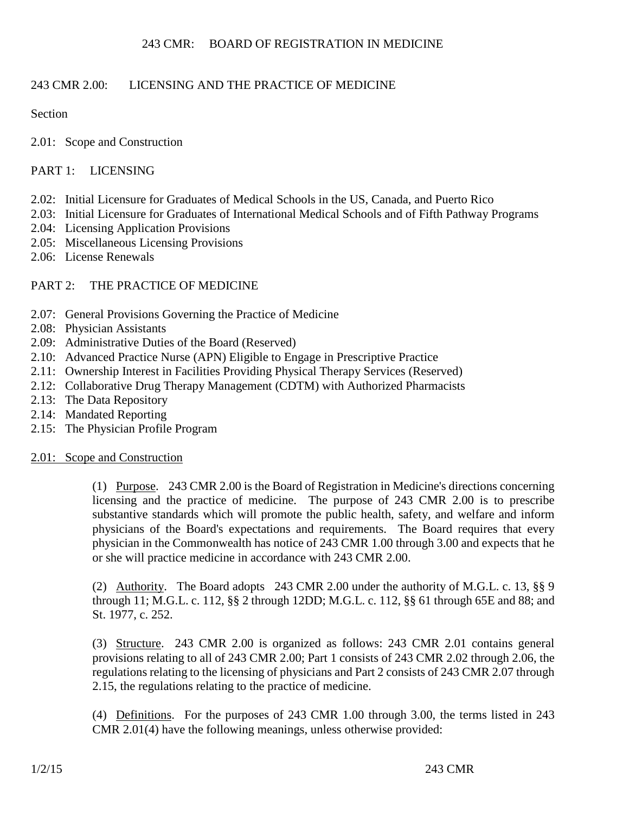# 243 CMR 2.00: LICENSING AND THE PRACTICE OF MEDICINE

# Section

2.01: Scope and Construction

# PART 1: LICENSING

- 2.02: Initial Licensure for Graduates of Medical Schools in the US, Canada, and Puerto Rico
- 2.03: Initial Licensure for Graduates of International Medical Schools and of Fifth Pathway Programs
- 2.04: Licensing Application Provisions
- 2.05: Miscellaneous Licensing Provisions
- 2.06: License Renewals

# PART 2: THE PRACTICE OF MEDICINE

- 2.07: General Provisions Governing the Practice of Medicine
- 2.08: Physician Assistants
- 2.09: Administrative Duties of the Board (Reserved)
- 2.10: Advanced Practice Nurse (APN) Eligible to Engage in Prescriptive Practice
- 2.11: Ownership Interest in Facilities Providing Physical Therapy Services (Reserved)
- 2.12: Collaborative Drug Therapy Management (CDTM) with Authorized Pharmacists
- 2.13: The Data Repository
- 2.14: Mandated Reporting
- 2.15: The Physician Profile Program

#### 2.01: Scope and Construction

(1) Purpose. 243 CMR 2.00 is the Board of Registration in Medicine's directions concerning licensing and the practice of medicine. The purpose of 243 CMR 2.00 is to prescribe substantive standards which will promote the public health, safety, and welfare and inform physicians of the Board's expectations and requirements. The Board requires that every physician in the Commonwealth has notice of 243 CMR 1.00 through 3.00 and expects that he or she will practice medicine in accordance with 243 CMR 2.00.

(2) Authority. The Board adopts 243 CMR 2.00 under the authority of M.G.L. c. 13, §§ 9 through 11; M.G.L. c. 112, §§ 2 through 12DD; M.G.L. c. 112, §§ 61 through 65E and 88; and St. 1977, c. 252.

(3) Structure. 243 CMR 2.00 is organized as follows: 243 CMR 2.01 contains general provisions relating to all of 243 CMR 2.00; Part 1 consists of 243 CMR 2.02 through 2.06, the regulations relating to the licensing of physicians and Part 2 consists of 243 CMR 2.07 through 2.15, the regulations relating to the practice of medicine.

(4) Definitions. For the purposes of 243 CMR 1.00 through 3.00, the terms listed in 243 CMR 2.01(4) have the following meanings, unless otherwise provided: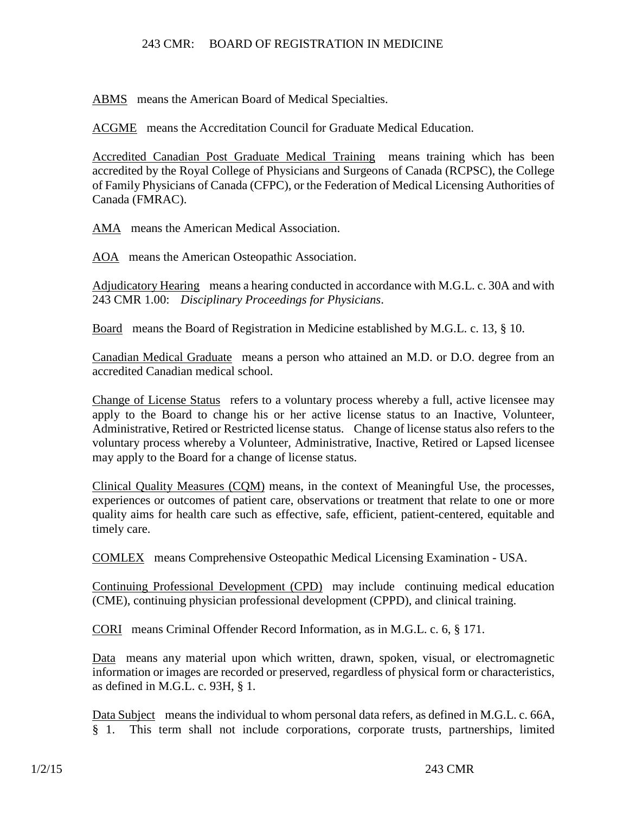ABMS means the American Board of Medical Specialties.

ACGME means the Accreditation Council for Graduate Medical Education.

Accredited Canadian Post Graduate Medical Training means training which has been accredited by the Royal College of Physicians and Surgeons of Canada (RCPSC), the College of Family Physicians of Canada (CFPC), or the Federation of Medical Licensing Authorities of Canada (FMRAC).

AMA means the American Medical Association.

AOA means the American Osteopathic Association.

Adjudicatory Hearing means a hearing conducted in accordance with M.G.L. c. 30A and with 243 CMR 1.00: *Disciplinary Proceedings for Physicians*.

Board means the Board of Registration in Medicine established by M.G.L. c. 13, § 10.

Canadian Medical Graduate means a person who attained an M.D. or D.O. degree from an accredited Canadian medical school.

Change of License Status refers to a voluntary process whereby a full, active licensee may apply to the Board to change his or her active license status to an Inactive, Volunteer, Administrative, Retired or Restricted license status. Change of license status also refers to the voluntary process whereby a Volunteer, Administrative, Inactive, Retired or Lapsed licensee may apply to the Board for a change of license status.

Clinical Quality Measures (CQM) means, in the context of Meaningful Use, the processes, experiences or outcomes of patient care, observations or treatment that relate to one or more quality aims for health care such as effective, safe, efficient, patient-centered, equitable and timely care.

COMLEX means Comprehensive Osteopathic Medical Licensing Examination - USA.

Continuing Professional Development (CPD) may include continuing medical education (CME), continuing physician professional development (CPPD), and clinical training.

CORI means Criminal Offender Record Information, as in M.G.L. c. 6, § 171.

Data means any material upon which written, drawn, spoken, visual, or electromagnetic information or images are recorded or preserved, regardless of physical form or characteristics, as defined in M.G.L. c. 93H, § 1.

Data Subject means the individual to whom personal data refers, as defined in M.G.L. c. 66A, § 1. This term shall not include corporations, corporate trusts, partnerships, limited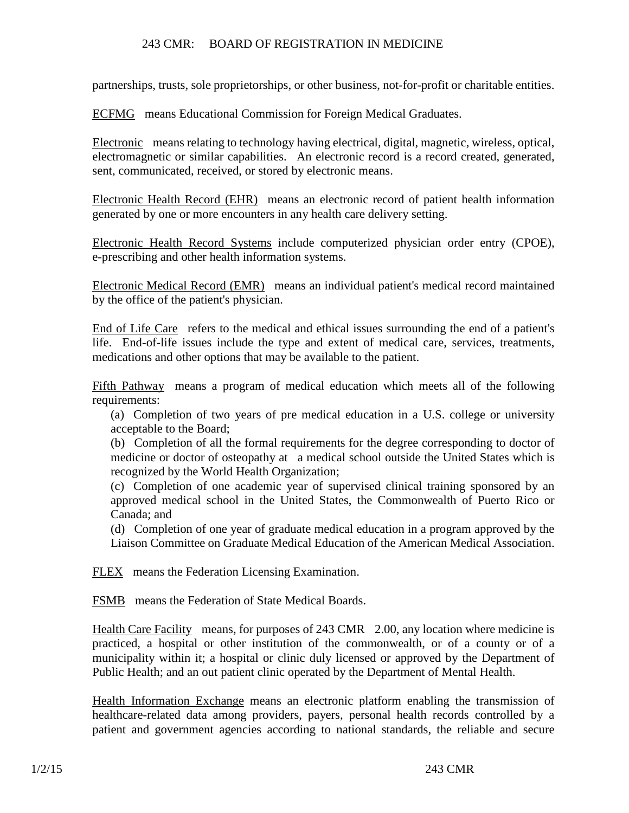partnerships, trusts, sole proprietorships, or other business, not-for-profit or charitable entities.

ECFMG means Educational Commission for Foreign Medical Graduates.

Electronic means relating to technology having electrical, digital, magnetic, wireless, optical, electromagnetic or similar capabilities. An electronic record is a record created, generated, sent, communicated, received, or stored by electronic means.

Electronic Health Record (EHR) means an electronic record of patient health information generated by one or more encounters in any health care delivery setting.

Electronic Health Record Systems include computerized physician order entry (CPOE), e-prescribing and other health information systems.

Electronic Medical Record (EMR) means an individual patient's medical record maintained by the office of the patient's physician.

End of Life Care refers to the medical and ethical issues surrounding the end of a patient's life. End-of-life issues include the type and extent of medical care, services, treatments, medications and other options that may be available to the patient.

Fifth Pathway means a program of medical education which meets all of the following requirements:

(a) Completion of two years of pre medical education in a U.S. college or university acceptable to the Board;

(b) Completion of all the formal requirements for the degree corresponding to doctor of medicine or doctor of osteopathy at a medical school outside the United States which is recognized by the World Health Organization;

(c) Completion of one academic year of supervised clinical training sponsored by an approved medical school in the United States, the Commonwealth of Puerto Rico or Canada; and

(d) Completion of one year of graduate medical education in a program approved by the Liaison Committee on Graduate Medical Education of the American Medical Association.

FLEX means the Federation Licensing Examination.

FSMB means the Federation of State Medical Boards.

Health Care Facility means, for purposes of 243 CMR 2.00, any location where medicine is practiced, a hospital or other institution of the commonwealth, or of a county or of a municipality within it; a hospital or clinic duly licensed or approved by the Department of Public Health; and an out patient clinic operated by the Department of Mental Health.

Health Information Exchange means an electronic platform enabling the transmission of healthcare-related data among providers, payers, personal health records controlled by a patient and government agencies according to national standards, the reliable and secure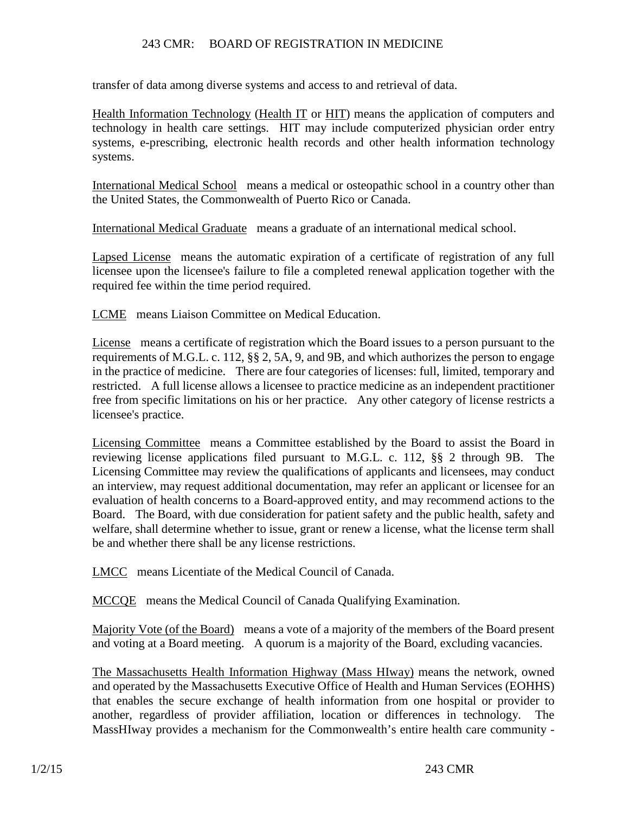transfer of data among diverse systems and access to and retrieval of data.

Health Information Technology (Health IT or HIT) means the application of computers and technology in health care settings. HIT may include computerized physician order entry systems, e-prescribing, electronic health records and other health information technology systems.

International Medical School means a medical or osteopathic school in a country other than the United States, the Commonwealth of Puerto Rico or Canada.

International Medical Graduate means a graduate of an international medical school.

Lapsed License means the automatic expiration of a certificate of registration of any full licensee upon the licensee's failure to file a completed renewal application together with the required fee within the time period required.

LCME means Liaison Committee on Medical Education.

License means a certificate of registration which the Board issues to a person pursuant to the requirements of M.G.L. c. 112, §§ 2, 5A, 9, and 9B, and which authorizes the person to engage in the practice of medicine. There are four categories of licenses: full, limited, temporary and restricted. A full license allows a licensee to practice medicine as an independent practitioner free from specific limitations on his or her practice. Any other category of license restricts a licensee's practice.

Licensing Committee means a Committee established by the Board to assist the Board in reviewing license applications filed pursuant to M.G.L. c. 112, §§ 2 through 9B. The Licensing Committee may review the qualifications of applicants and licensees, may conduct an interview, may request additional documentation, may refer an applicant or licensee for an evaluation of health concerns to a Board-approved entity, and may recommend actions to the Board. The Board, with due consideration for patient safety and the public health, safety and welfare, shall determine whether to issue, grant or renew a license, what the license term shall be and whether there shall be any license restrictions.

LMCC means Licentiate of the Medical Council of Canada.

MCCQE means the Medical Council of Canada Qualifying Examination.

Majority Vote (of the Board) means a vote of a majority of the members of the Board present and voting at a Board meeting. A quorum is a majority of the Board, excluding vacancies.

The Massachusetts Health Information Highway (Mass HIway) means the network, owned and operated by the Massachusetts Executive Office of Health and Human Services (EOHHS) that enables the secure exchange of health information from one hospital or provider to another, regardless of provider affiliation, location or differences in technology. The MassHIway provides a mechanism for the Commonwealth's entire health care community -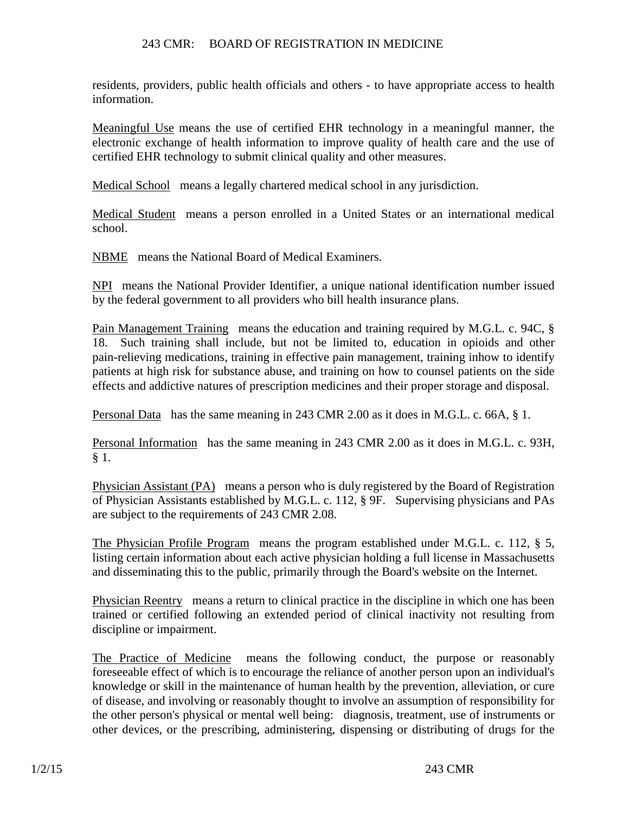residents, providers, public health officials and others - to have appropriate access to health information.

Meaningful Use means the use of certified EHR technology in a meaningful manner, the electronic exchange of health information to improve quality of health care and the use of certified EHR technology to submit clinical quality and other measures.

Medical School means a legally chartered medical school in any jurisdiction.

Medical Student means a person enrolled in a United States or an international medical school.

NBME means the National Board of Medical Examiners.

NPI means the National Provider Identifier, a unique national identification number issued by the federal government to all providers who bill health insurance plans.

Pain Management Training means the education and training required by M.G.L. c. 94C, § 18. Such training shall include, but not be limited to, education in opioids and other pain-relieving medications, training in effective pain management, training inhow to identify patients at high risk for substance abuse, and training on how to counsel patients on the side effects and addictive natures of prescription medicines and their proper storage and disposal.

Personal Data has the same meaning in 243 CMR 2.00 as it does in M.G.L. c. 66A, § 1.

Personal Information has the same meaning in 243 CMR 2.00 as it does in M.G.L. c. 93H, § 1.

Physician Assistant (PA) means a person who is duly registered by the Board of Registration of Physician Assistants established by M.G.L. c. 112, § 9F. Supervising physicians and PAs are subject to the requirements of 243 CMR 2.08.

The Physician Profile Program means the program established under M.G.L. c. 112, § 5, listing certain information about each active physician holding a full license in Massachusetts and disseminating this to the public, primarily through the Board's website on the Internet.

Physician Reentry means a return to clinical practice in the discipline in which one has been trained or certified following an extended period of clinical inactivity not resulting from discipline or impairment.

The Practice of Medicine means the following conduct, the purpose or reasonably foreseeable effect of which is to encourage the reliance of another person upon an individual's knowledge or skill in the maintenance of human health by the prevention, alleviation, or cure of disease, and involving or reasonably thought to involve an assumption of responsibility for the other person's physical or mental well being: diagnosis, treatment, use of instruments or other devices, or the prescribing, administering, dispensing or distributing of drugs for the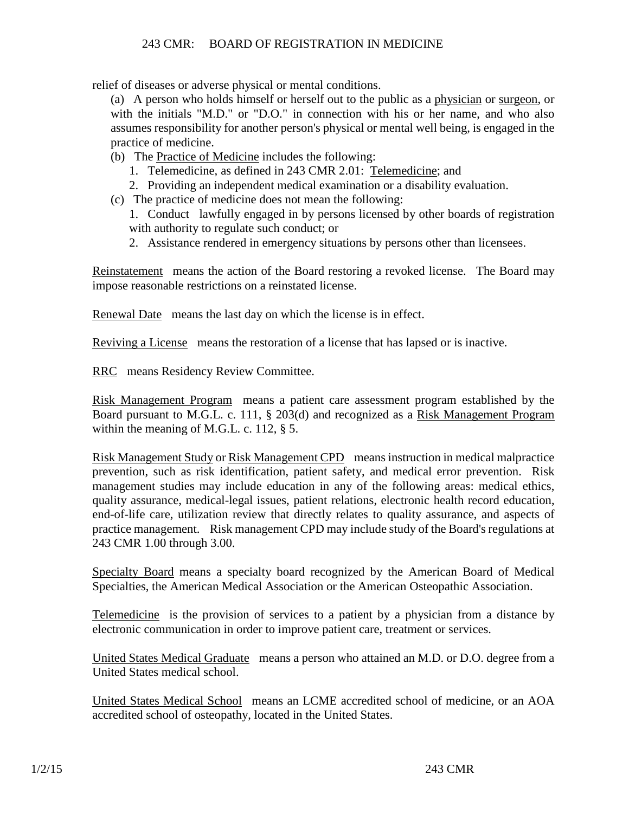relief of diseases or adverse physical or mental conditions.

(a) A person who holds himself or herself out to the public as a physician or surgeon, or with the initials "M.D." or "D.O." in connection with his or her name, and who also assumes responsibility for another person's physical or mental well being, is engaged in the practice of medicine.

- (b) The Practice of Medicine includes the following:
	- 1. Telemedicine, as defined in 243 CMR 2.01: Telemedicine; and
	- 2. Providing an independent medical examination or a disability evaluation.
- (c) The practice of medicine does not mean the following:
	- 1. Conduct lawfully engaged in by persons licensed by other boards of registration with authority to regulate such conduct; or
	- 2. Assistance rendered in emergency situations by persons other than licensees.

Reinstatement means the action of the Board restoring a revoked license. The Board may impose reasonable restrictions on a reinstated license.

Renewal Date means the last day on which the license is in effect.

Reviving a License means the restoration of a license that has lapsed or is inactive.

RRC means Residency Review Committee.

Risk Management Program means a patient care assessment program established by the Board pursuant to M.G.L. c. 111, § 203(d) and recognized as a Risk Management Program within the meaning of M.G.L. c. 112, § 5.

Risk Management Study or Risk Management CPD means instruction in medical malpractice prevention, such as risk identification, patient safety, and medical error prevention. Risk management studies may include education in any of the following areas: medical ethics, quality assurance, medical-legal issues, patient relations, electronic health record education, end-of-life care, utilization review that directly relates to quality assurance, and aspects of practice management. Risk management CPD may include study of the Board's regulations at 243 CMR 1.00 through 3.00.

Specialty Board means a specialty board recognized by the American Board of Medical Specialties, the American Medical Association or the American Osteopathic Association.

Telemedicine is the provision of services to a patient by a physician from a distance by electronic communication in order to improve patient care, treatment or services.

United States Medical Graduate means a person who attained an M.D. or D.O. degree from a United States medical school.

United States Medical School means an LCME accredited school of medicine, or an AOA accredited school of osteopathy, located in the United States.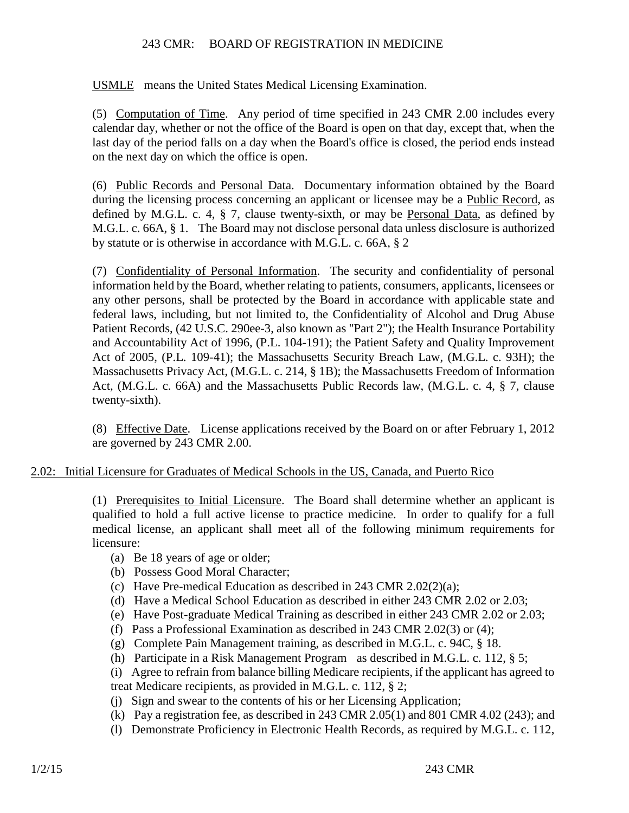USMLE means the United States Medical Licensing Examination.

(5) Computation of Time. Any period of time specified in 243 CMR 2.00 includes every calendar day, whether or not the office of the Board is open on that day, except that, when the last day of the period falls on a day when the Board's office is closed, the period ends instead on the next day on which the office is open.

(6) Public Records and Personal Data. Documentary information obtained by the Board during the licensing process concerning an applicant or licensee may be a Public Record, as defined by M.G.L. c. 4, § 7, clause twenty-sixth, or may be Personal Data, as defined by M.G.L. c. 66A, § 1. The Board may not disclose personal data unless disclosure is authorized by statute or is otherwise in accordance with M.G.L. c. 66A, § 2

(7) Confidentiality of Personal Information. The security and confidentiality of personal information held by the Board, whether relating to patients, consumers, applicants, licensees or any other persons, shall be protected by the Board in accordance with applicable state and federal laws, including, but not limited to, the Confidentiality of Alcohol and Drug Abuse Patient Records, (42 U.S.C. 290ee-3, also known as "Part 2"); the Health Insurance Portability and Accountability Act of 1996, (P.L. 104-191); the Patient Safety and Quality Improvement Act of 2005, (P.L. 109-41); the Massachusetts Security Breach Law, (M.G.L. c. 93H); the Massachusetts Privacy Act, (M.G.L. c. 214, § 1B); the Massachusetts Freedom of Information Act, (M.G.L. c. 66A) and the Massachusetts Public Records law, (M.G.L. c. 4, § 7, clause twenty-sixth).

(8) Effective Date. License applications received by the Board on or after February 1, 2012 are governed by 243 CMR 2.00.

# 2.02: Initial Licensure for Graduates of Medical Schools in the US, Canada, and Puerto Rico

(1) Prerequisites to Initial Licensure. The Board shall determine whether an applicant is qualified to hold a full active license to practice medicine. In order to qualify for a full medical license, an applicant shall meet all of the following minimum requirements for licensure:

- (a) Be 18 years of age or older;
- (b) Possess Good Moral Character;
- (c) Have Pre-medical Education as described in 243 CMR 2.02(2)(a);
- (d) Have a Medical School Education as described in either 243 CMR 2.02 or 2.03;
- (e) Have Post-graduate Medical Training as described in either 243 CMR 2.02 or 2.03;
- (f) Pass a Professional Examination as described in 243 CMR 2.02(3) or (4);
- (g) Complete Pain Management training, as described in M.G.L. c. 94C, § 18.
- (h) Participate in a Risk Management Program as described in M.G.L. c. 112, § 5;

(i) Agree to refrain from balance billing Medicare recipients, if the applicant has agreed to treat Medicare recipients, as provided in M.G.L. c. 112, § 2;

- (j) Sign and swear to the contents of his or her Licensing Application;
- (k) Pay a registration fee, as described in 243 CMR 2.05(1) and 801 CMR 4.02 (243); and
- (l) Demonstrate Proficiency in Electronic Health Records, as required by M.G.L. c. 112,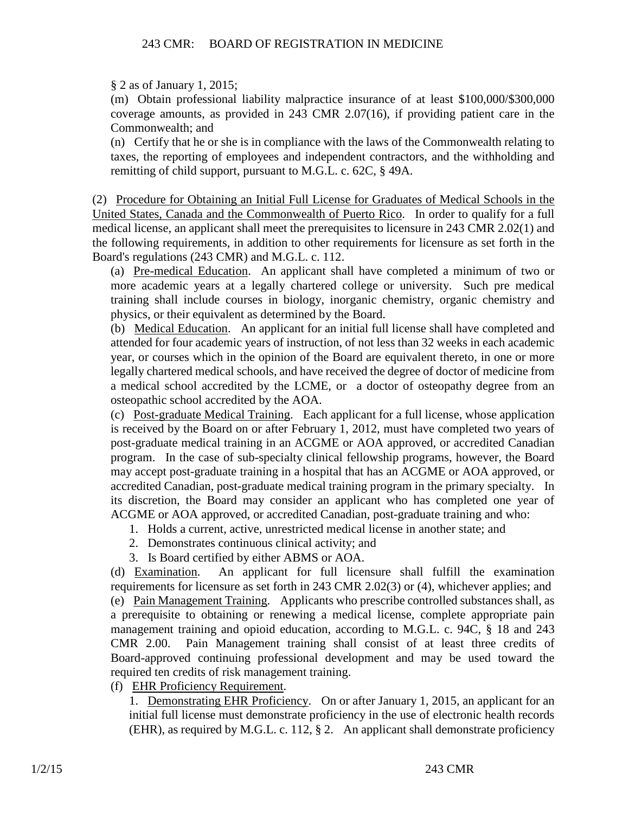§ 2 as of January 1, 2015;

(m) Obtain professional liability malpractice insurance of at least \$100,000/\$300,000 coverage amounts, as provided in 243 CMR 2.07(16), if providing patient care in the Commonwealth; and

(n) Certify that he or she is in compliance with the laws of the Commonwealth relating to taxes, the reporting of employees and independent contractors, and the withholding and remitting of child support, pursuant to M.G.L. c. 62C, § 49A.

(2) Procedure for Obtaining an Initial Full License for Graduates of Medical Schools in the United States, Canada and the Commonwealth of Puerto Rico. In order to qualify for a full medical license, an applicant shall meet the prerequisites to licensure in 243 CMR 2.02(1) and the following requirements, in addition to other requirements for licensure as set forth in the Board's regulations (243 CMR) and M.G.L. c. 112.

(a) Pre-medical Education. An applicant shall have completed a minimum of two or more academic years at a legally chartered college or university. Such pre medical training shall include courses in biology, inorganic chemistry, organic chemistry and physics, or their equivalent as determined by the Board.

(b) Medical Education. An applicant for an initial full license shall have completed and attended for four academic years of instruction, of not less than 32 weeks in each academic year, or courses which in the opinion of the Board are equivalent thereto, in one or more legally chartered medical schools, and have received the degree of doctor of medicine from a medical school accredited by the LCME, or a doctor of osteopathy degree from an osteopathic school accredited by the AOA.

(c) Post-graduate Medical Training. Each applicant for a full license, whose application is received by the Board on or after February 1, 2012, must have completed two years of post-graduate medical training in an ACGME or AOA approved, or accredited Canadian program. In the case of sub-specialty clinical fellowship programs, however, the Board may accept post-graduate training in a hospital that has an ACGME or AOA approved, or accredited Canadian, post-graduate medical training program in the primary specialty. In its discretion, the Board may consider an applicant who has completed one year of ACGME or AOA approved, or accredited Canadian, post-graduate training and who:

- 1. Holds a current, active, unrestricted medical license in another state; and
- 2. Demonstrates continuous clinical activity; and
- 3. Is Board certified by either ABMS or AOA.

(d) Examination. An applicant for full licensure shall fulfill the examination requirements for licensure as set forth in 243 CMR 2.02(3) or (4), whichever applies; and (e) Pain Management Training. Applicants who prescribe controlled substances shall, as a prerequisite to obtaining or renewing a medical license, complete appropriate pain management training and opioid education, according to M.G.L. c. 94C, § 18 and 243 CMR 2.00. Pain Management training shall consist of at least three credits of Board-approved continuing professional development and may be used toward the required ten credits of risk management training.

(f) EHR Proficiency Requirement.

1. Demonstrating EHR Proficiency. On or after January 1, 2015, an applicant for an initial full license must demonstrate proficiency in the use of electronic health records (EHR), as required by M.G.L. c. 112, § 2. An applicant shall demonstrate proficiency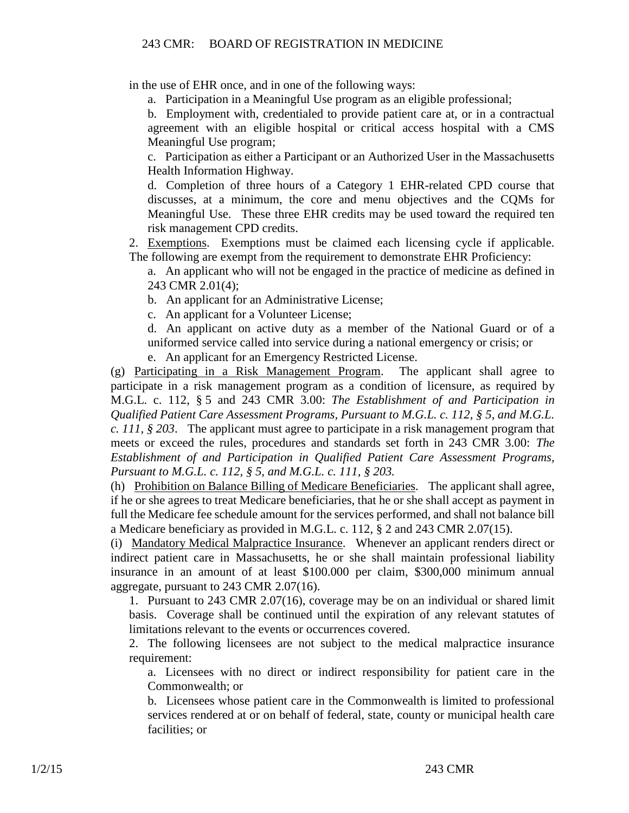in the use of EHR once, and in one of the following ways:

a. Participation in a Meaningful Use program as an eligible professional;

b. Employment with, credentialed to provide patient care at, or in a contractual agreement with an eligible hospital or critical access hospital with a CMS Meaningful Use program;

c. Participation as either a Participant or an Authorized User in the Massachusetts Health Information Highway.

d. Completion of three hours of a Category 1 EHR-related CPD course that discusses, at a minimum, the core and menu objectives and the CQMs for Meaningful Use. These three EHR credits may be used toward the required ten risk management CPD credits.

2. Exemptions. Exemptions must be claimed each licensing cycle if applicable. The following are exempt from the requirement to demonstrate EHR Proficiency:

a. An applicant who will not be engaged in the practice of medicine as defined in 243 CMR 2.01(4);

b. An applicant for an Administrative License;

c. An applicant for a Volunteer License;

d. An applicant on active duty as a member of the National Guard or of a uniformed service called into service during a national emergency or crisis; or

e. An applicant for an Emergency Restricted License.

(g) Participating in a Risk Management Program. The applicant shall agree to participate in a risk management program as a condition of licensure, as required by M.G.L. c. 112, § 5 and 243 CMR 3.00: *The Establishment of and Participation in Qualified Patient Care Assessment Programs, Pursuant to M.G.L. c. 112, § 5, and M.G.L. c. 111, § 203*. The applicant must agree to participate in a risk management program that meets or exceed the rules, procedures and standards set forth in 243 CMR 3.00: *The Establishment of and Participation in Qualified Patient Care Assessment Programs, Pursuant to M.G.L. c. 112, § 5, and M.G.L. c. 111, § 203.*

(h) Prohibition on Balance Billing of Medicare Beneficiaries. The applicant shall agree, if he or she agrees to treat Medicare beneficiaries, that he or she shall accept as payment in full the Medicare fee schedule amount for the services performed, and shall not balance bill a Medicare beneficiary as provided in M.G.L. c. 112, § 2 and 243 CMR 2.07(15).

(i) Mandatory Medical Malpractice Insurance. Whenever an applicant renders direct or indirect patient care in Massachusetts, he or she shall maintain professional liability insurance in an amount of at least \$100.000 per claim, \$300,000 minimum annual aggregate, pursuant to 243 CMR 2.07(16).

1. Pursuant to 243 CMR 2.07(16), coverage may be on an individual or shared limit basis. Coverage shall be continued until the expiration of any relevant statutes of limitations relevant to the events or occurrences covered.

2. The following licensees are not subject to the medical malpractice insurance requirement:

a. Licensees with no direct or indirect responsibility for patient care in the Commonwealth; or

b. Licensees whose patient care in the Commonwealth is limited to professional services rendered at or on behalf of federal, state, county or municipal health care facilities; or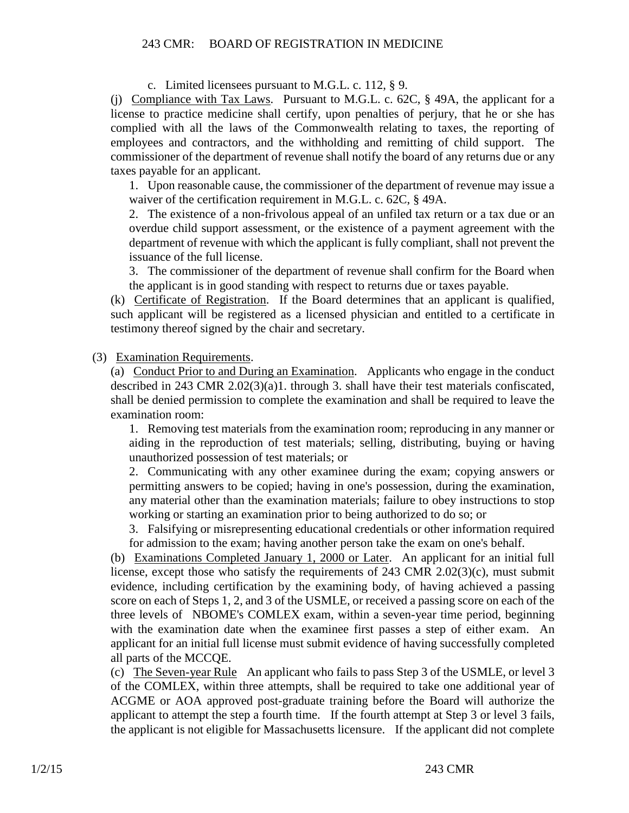c. Limited licensees pursuant to M.G.L. c. 112, § 9.

(j) Compliance with Tax Laws. Pursuant to M.G.L. c. 62C, § 49A, the applicant for a license to practice medicine shall certify, upon penalties of perjury, that he or she has complied with all the laws of the Commonwealth relating to taxes, the reporting of employees and contractors, and the withholding and remitting of child support. The commissioner of the department of revenue shall notify the board of any returns due or any taxes payable for an applicant.

1. Upon reasonable cause, the commissioner of the department of revenue may issue a waiver of the certification requirement in M.G.L. c. 62C, § 49A.

2. The existence of a non-frivolous appeal of an unfiled tax return or a tax due or an overdue child support assessment, or the existence of a payment agreement with the department of revenue with which the applicant is fully compliant, shall not prevent the issuance of the full license.

3. The commissioner of the department of revenue shall confirm for the Board when the applicant is in good standing with respect to returns due or taxes payable.

(k) Certificate of Registration. If the Board determines that an applicant is qualified, such applicant will be registered as a licensed physician and entitled to a certificate in testimony thereof signed by the chair and secretary.

(3) Examination Requirements.

(a) Conduct Prior to and During an Examination. Applicants who engage in the conduct described in 243 CMR 2.02(3)(a)1. through 3. shall have their test materials confiscated, shall be denied permission to complete the examination and shall be required to leave the examination room:

1. Removing test materials from the examination room; reproducing in any manner or aiding in the reproduction of test materials; selling, distributing, buying or having unauthorized possession of test materials; or

2. Communicating with any other examinee during the exam; copying answers or permitting answers to be copied; having in one's possession, during the examination, any material other than the examination materials; failure to obey instructions to stop working or starting an examination prior to being authorized to do so; or

3. Falsifying or misrepresenting educational credentials or other information required for admission to the exam; having another person take the exam on one's behalf.

(b) Examinations Completed January 1, 2000 or Later. An applicant for an initial full license, except those who satisfy the requirements of 243 CMR 2.02(3)(c), must submit evidence, including certification by the examining body, of having achieved a passing score on each of Steps 1, 2, and 3 of the USMLE, or received a passing score on each of the three levels of NBOME's COMLEX exam, within a seven-year time period, beginning with the examination date when the examinee first passes a step of either exam. An applicant for an initial full license must submit evidence of having successfully completed all parts of the MCCQE.

(c) The Seven-year Rule An applicant who fails to pass Step 3 of the USMLE, or level 3 of the COMLEX, within three attempts, shall be required to take one additional year of ACGME or AOA approved post-graduate training before the Board will authorize the applicant to attempt the step a fourth time. If the fourth attempt at Step 3 or level 3 fails, the applicant is not eligible for Massachusetts licensure. If the applicant did not complete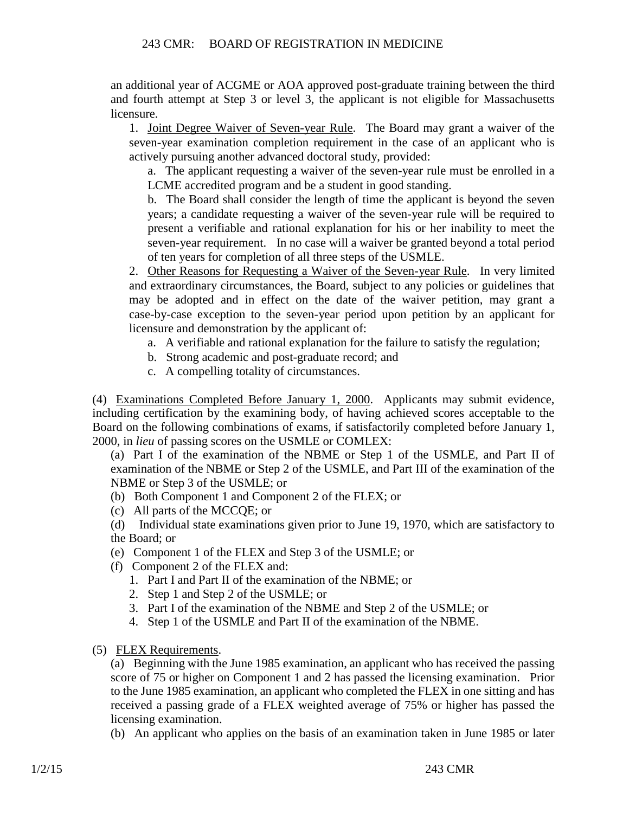an additional year of ACGME or AOA approved post-graduate training between the third and fourth attempt at Step 3 or level 3, the applicant is not eligible for Massachusetts licensure.

1. Joint Degree Waiver of Seven-year Rule. The Board may grant a waiver of the seven-year examination completion requirement in the case of an applicant who is actively pursuing another advanced doctoral study, provided:

a. The applicant requesting a waiver of the seven-year rule must be enrolled in a LCME accredited program and be a student in good standing.

b. The Board shall consider the length of time the applicant is beyond the seven years; a candidate requesting a waiver of the seven-year rule will be required to present a verifiable and rational explanation for his or her inability to meet the seven-year requirement. In no case will a waiver be granted beyond a total period of ten years for completion of all three steps of the USMLE.

2. Other Reasons for Requesting a Waiver of the Seven-year Rule. In very limited and extraordinary circumstances, the Board, subject to any policies or guidelines that may be adopted and in effect on the date of the waiver petition, may grant a case-by-case exception to the seven-year period upon petition by an applicant for licensure and demonstration by the applicant of:

- a. A verifiable and rational explanation for the failure to satisfy the regulation;
- b. Strong academic and post-graduate record; and
- c. A compelling totality of circumstances.

(4) Examinations Completed Before January 1, 2000. Applicants may submit evidence, including certification by the examining body, of having achieved scores acceptable to the Board on the following combinations of exams, if satisfactorily completed before January 1, 2000, in *lieu* of passing scores on the USMLE or COMLEX:

(a) Part I of the examination of the NBME or Step 1 of the USMLE, and Part II of examination of the NBME or Step 2 of the USMLE, and Part III of the examination of the NBME or Step 3 of the USMLE; or

- (b) Both Component 1 and Component 2 of the FLEX; or
- (c) All parts of the MCCQE; or

(d) Individual state examinations given prior to June 19, 1970, which are satisfactory to the Board; or

- (e) Component 1 of the FLEX and Step 3 of the USMLE; or
- (f) Component 2 of the FLEX and:
	- 1. Part I and Part II of the examination of the NBME; or
	- 2. Step 1 and Step 2 of the USMLE; or
	- 3. Part I of the examination of the NBME and Step 2 of the USMLE; or
	- 4. Step 1 of the USMLE and Part II of the examination of the NBME.
- (5) FLEX Requirements.

(a) Beginning with the June 1985 examination, an applicant who has received the passing score of 75 or higher on Component 1 and 2 has passed the licensing examination. Prior to the June 1985 examination, an applicant who completed the FLEX in one sitting and has received a passing grade of a FLEX weighted average of 75% or higher has passed the licensing examination.

(b) An applicant who applies on the basis of an examination taken in June 1985 or later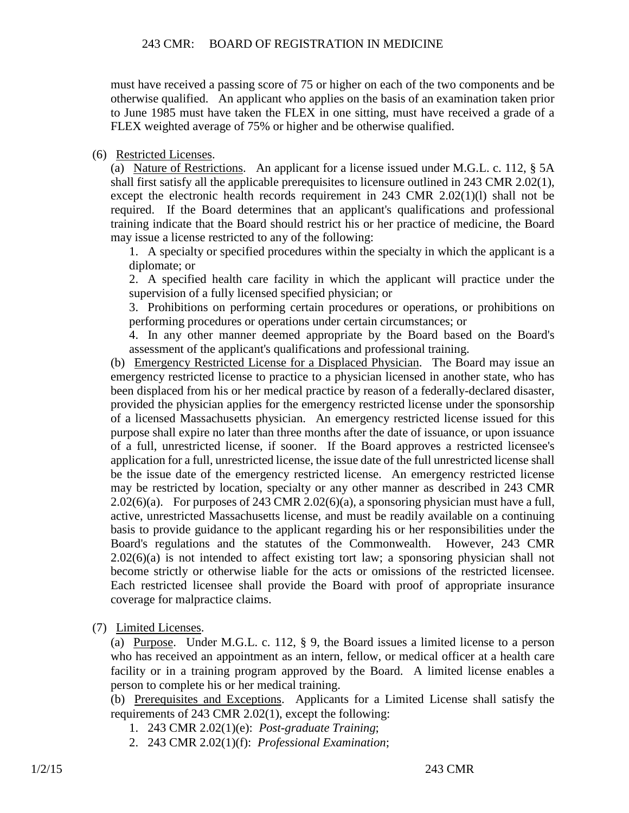must have received a passing score of 75 or higher on each of the two components and be otherwise qualified. An applicant who applies on the basis of an examination taken prior to June 1985 must have taken the FLEX in one sitting, must have received a grade of a FLEX weighted average of 75% or higher and be otherwise qualified.

### (6) Restricted Licenses.

(a) Nature of Restrictions. An applicant for a license issued under M.G.L. c. 112, § 5A shall first satisfy all the applicable prerequisites to licensure outlined in 243 CMR 2.02(1), except the electronic health records requirement in 243 CMR 2.02(1)(l) shall not be required. If the Board determines that an applicant's qualifications and professional training indicate that the Board should restrict his or her practice of medicine, the Board may issue a license restricted to any of the following:

1. A specialty or specified procedures within the specialty in which the applicant is a diplomate; or

2. A specified health care facility in which the applicant will practice under the supervision of a fully licensed specified physician; or

3. Prohibitions on performing certain procedures or operations, or prohibitions on performing procedures or operations under certain circumstances; or

4. In any other manner deemed appropriate by the Board based on the Board's assessment of the applicant's qualifications and professional training.

(b) Emergency Restricted License for a Displaced Physician. The Board may issue an emergency restricted license to practice to a physician licensed in another state, who has been displaced from his or her medical practice by reason of a federally-declared disaster, provided the physician applies for the emergency restricted license under the sponsorship of a licensed Massachusetts physician. An emergency restricted license issued for this purpose shall expire no later than three months after the date of issuance, or upon issuance of a full, unrestricted license, if sooner. If the Board approves a restricted licensee's application for a full, unrestricted license, the issue date of the full unrestricted license shall be the issue date of the emergency restricted license. An emergency restricted license may be restricted by location, specialty or any other manner as described in 243 CMR  $2.02(6)(a)$ . For purposes of 243 CMR 2.02(6)(a), a sponsoring physician must have a full, active, unrestricted Massachusetts license, and must be readily available on a continuing basis to provide guidance to the applicant regarding his or her responsibilities under the Board's regulations and the statutes of the Commonwealth. However, 243 CMR  $2.02(6)(a)$  is not intended to affect existing tort law; a sponsoring physician shall not become strictly or otherwise liable for the acts or omissions of the restricted licensee. Each restricted licensee shall provide the Board with proof of appropriate insurance coverage for malpractice claims.

(7) Limited Licenses.

(a) Purpose. Under M.G.L. c. 112, § 9, the Board issues a limited license to a person who has received an appointment as an intern, fellow, or medical officer at a health care facility or in a training program approved by the Board. A limited license enables a person to complete his or her medical training.

(b) Prerequisites and Exceptions. Applicants for a Limited License shall satisfy the requirements of 243 CMR 2.02(1), except the following:

- 1. 243 CMR 2.02(1)(e): *Post-graduate Training*;
- 2. 243 CMR 2.02(1)(f): *Professional Examination*;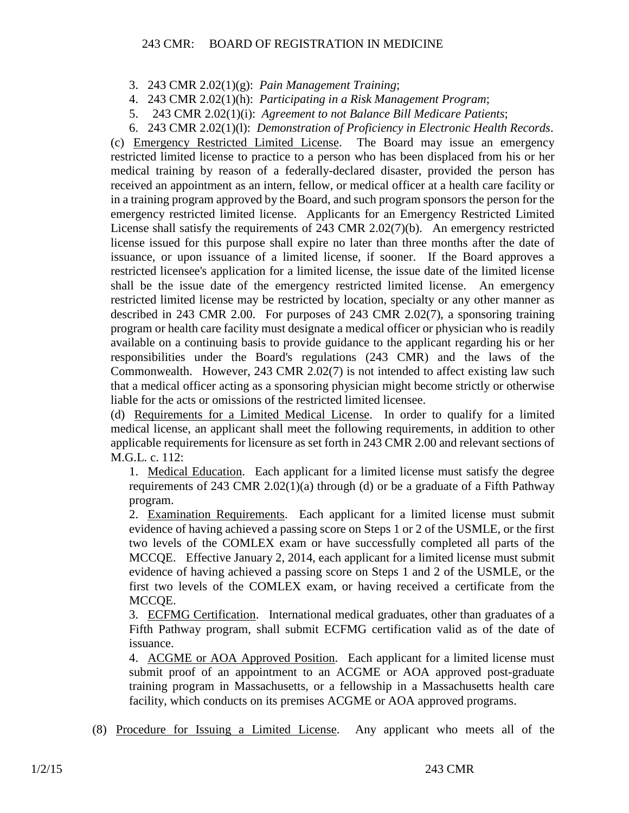- 3. 243 CMR 2.02(1)(g): *Pain Management Training*;
- 4. 243 CMR 2.02(1)(h): *Participating in a Risk Management Program*;
- 5. 243 CMR 2.02(1)(i): *Agreement to not Balance Bill Medicare Patients*;
- 6. 243 CMR 2.02(1)(l): *Demonstration of Proficiency in Electronic Health Records*.

(c) Emergency Restricted Limited License. The Board may issue an emergency restricted limited license to practice to a person who has been displaced from his or her medical training by reason of a federally-declared disaster, provided the person has received an appointment as an intern, fellow, or medical officer at a health care facility or in a training program approved by the Board, and such program sponsors the person for the emergency restricted limited license. Applicants for an Emergency Restricted Limited License shall satisfy the requirements of 243 CMR 2.02(7)(b). An emergency restricted license issued for this purpose shall expire no later than three months after the date of issuance, or upon issuance of a limited license, if sooner. If the Board approves a restricted licensee's application for a limited license, the issue date of the limited license shall be the issue date of the emergency restricted limited license. An emergency restricted limited license may be restricted by location, specialty or any other manner as described in 243 CMR 2.00. For purposes of 243 CMR 2.02(7), a sponsoring training program or health care facility must designate a medical officer or physician who is readily available on a continuing basis to provide guidance to the applicant regarding his or her responsibilities under the Board's regulations (243 CMR) and the laws of the Commonwealth. However, 243 CMR 2.02(7) is not intended to affect existing law such that a medical officer acting as a sponsoring physician might become strictly or otherwise liable for the acts or omissions of the restricted limited licensee.

(d) Requirements for a Limited Medical License. In order to qualify for a limited medical license, an applicant shall meet the following requirements, in addition to other applicable requirements for licensure as set forth in 243 CMR 2.00 and relevant sections of M.G.L. c. 112:

1. Medical Education. Each applicant for a limited license must satisfy the degree requirements of 243 CMR 2.02(1)(a) through (d) or be a graduate of a Fifth Pathway program.

2. Examination Requirements. Each applicant for a limited license must submit evidence of having achieved a passing score on Steps 1 or 2 of the USMLE, or the first two levels of the COMLEX exam or have successfully completed all parts of the MCCQE. Effective January 2, 2014, each applicant for a limited license must submit evidence of having achieved a passing score on Steps 1 and 2 of the USMLE, or the first two levels of the COMLEX exam, or having received a certificate from the MCCQE.

3. ECFMG Certification. International medical graduates, other than graduates of a Fifth Pathway program, shall submit ECFMG certification valid as of the date of issuance.

4. ACGME or AOA Approved Position. Each applicant for a limited license must submit proof of an appointment to an ACGME or AOA approved post-graduate training program in Massachusetts, or a fellowship in a Massachusetts health care facility, which conducts on its premises ACGME or AOA approved programs.

(8) Procedure for Issuing a Limited License. Any applicant who meets all of the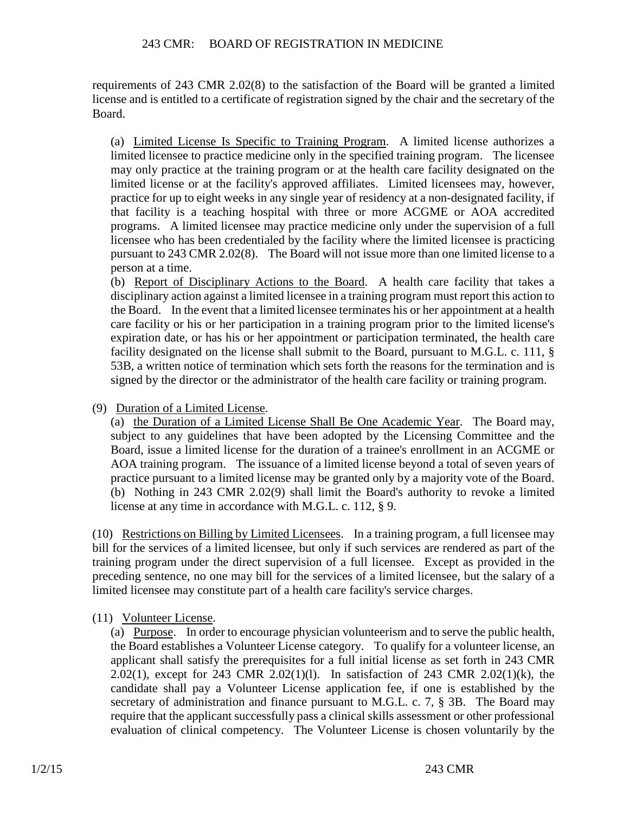requirements of 243 CMR 2.02(8) to the satisfaction of the Board will be granted a limited license and is entitled to a certificate of registration signed by the chair and the secretary of the Board.

(a) Limited License Is Specific to Training Program. A limited license authorizes a limited licensee to practice medicine only in the specified training program. The licensee may only practice at the training program or at the health care facility designated on the limited license or at the facility's approved affiliates. Limited licensees may, however, practice for up to eight weeks in any single year of residency at a non-designated facility, if that facility is a teaching hospital with three or more ACGME or AOA accredited programs. A limited licensee may practice medicine only under the supervision of a full licensee who has been credentialed by the facility where the limited licensee is practicing pursuant to 243 CMR 2.02(8). The Board will not issue more than one limited license to a person at a time.

(b) Report of Disciplinary Actions to the Board. A health care facility that takes a disciplinary action against a limited licensee in a training program must report this action to the Board. In the event that a limited licensee terminates his or her appointment at a health care facility or his or her participation in a training program prior to the limited license's expiration date, or has his or her appointment or participation terminated, the health care facility designated on the license shall submit to the Board, pursuant to M.G.L. c. 111, § 53B, a written notice of termination which sets forth the reasons for the termination and is signed by the director or the administrator of the health care facility or training program.

(9) Duration of a Limited License.

(a) the Duration of a Limited License Shall Be One Academic Year. The Board may, subject to any guidelines that have been adopted by the Licensing Committee and the Board, issue a limited license for the duration of a trainee's enrollment in an ACGME or AOA training program. The issuance of a limited license beyond a total of seven years of practice pursuant to a limited license may be granted only by a majority vote of the Board. (b) Nothing in 243 CMR 2.02(9) shall limit the Board's authority to revoke a limited license at any time in accordance with M.G.L. c. 112, § 9.

(10) Restrictions on Billing by Limited Licensees. In a training program, a full licensee may bill for the services of a limited licensee, but only if such services are rendered as part of the training program under the direct supervision of a full licensee. Except as provided in the preceding sentence, no one may bill for the services of a limited licensee, but the salary of a limited licensee may constitute part of a health care facility's service charges.

(11) Volunteer License.

(a) Purpose. In order to encourage physician volunteerism and to serve the public health, the Board establishes a Volunteer License category. To qualify for a volunteer license, an applicant shall satisfy the prerequisites for a full initial license as set forth in 243 CMR 2.02(1), except for 243 CMR 2.02(1)(l). In satisfaction of 243 CMR 2.02(1)(k), the candidate shall pay a Volunteer License application fee, if one is established by the secretary of administration and finance pursuant to M.G.L. c. 7, § 3B. The Board may require that the applicant successfully pass a clinical skills assessment or other professional evaluation of clinical competency. The Volunteer License is chosen voluntarily by the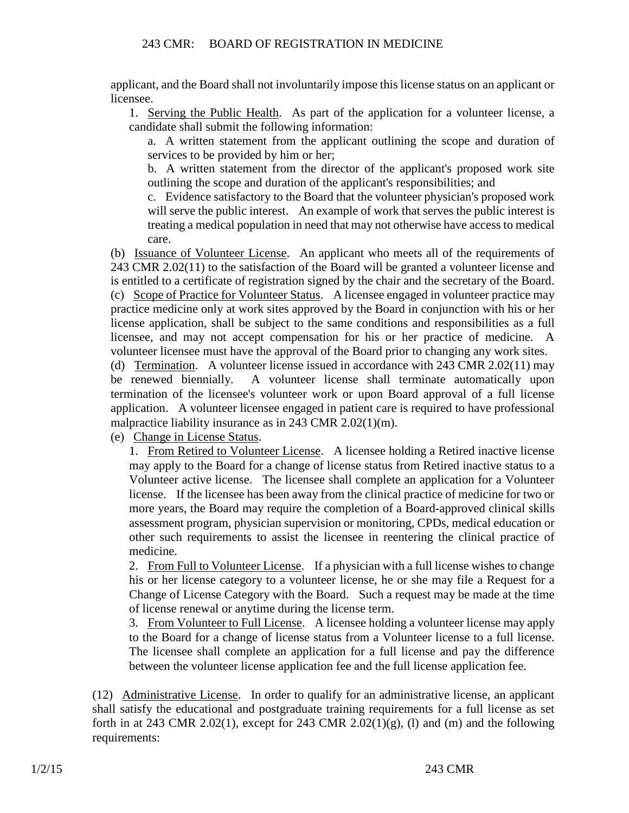applicant, and the Board shall not involuntarily impose this license status on an applicant or licensee.

1. Serving the Public Health. As part of the application for a volunteer license, a candidate shall submit the following information:

a. A written statement from the applicant outlining the scope and duration of services to be provided by him or her;

b. A written statement from the director of the applicant's proposed work site outlining the scope and duration of the applicant's responsibilities; and

c. Evidence satisfactory to the Board that the volunteer physician's proposed work will serve the public interest. An example of work that serves the public interest is treating a medical population in need that may not otherwise have access to medical care.

(b) Issuance of Volunteer License. An applicant who meets all of the requirements of 243 CMR 2.02(11) to the satisfaction of the Board will be granted a volunteer license and is entitled to a certificate of registration signed by the chair and the secretary of the Board. (c) Scope of Practice for Volunteer Status. A licensee engaged in volunteer practice may practice medicine only at work sites approved by the Board in conjunction with his or her license application, shall be subject to the same conditions and responsibilities as a full licensee, and may not accept compensation for his or her practice of medicine. A volunteer licensee must have the approval of the Board prior to changing any work sites.

(d) Termination. A volunteer license issued in accordance with 243 CMR 2.02(11) may be renewed biennially. A volunteer license shall terminate automatically upon termination of the licensee's volunteer work or upon Board approval of a full license application. A volunteer licensee engaged in patient care is required to have professional malpractice liability insurance as in 243 CMR 2.02(1)(m).

(e) Change in License Status.

1. From Retired to Volunteer License. A licensee holding a Retired inactive license may apply to the Board for a change of license status from Retired inactive status to a Volunteer active license. The licensee shall complete an application for a Volunteer license. If the licensee has been away from the clinical practice of medicine for two or more years, the Board may require the completion of a Board-approved clinical skills assessment program, physician supervision or monitoring, CPDs, medical education or other such requirements to assist the licensee in reentering the clinical practice of medicine.

2. From Full to Volunteer License. If a physician with a full license wishes to change his or her license category to a volunteer license, he or she may file a Request for a Change of License Category with the Board. Such a request may be made at the time of license renewal or anytime during the license term.

3. From Volunteer to Full License. A licensee holding a volunteer license may apply to the Board for a change of license status from a Volunteer license to a full license. The licensee shall complete an application for a full license and pay the difference between the volunteer license application fee and the full license application fee.

(12) Administrative License. In order to qualify for an administrative license, an applicant shall satisfy the educational and postgraduate training requirements for a full license as set forth in at 243 CMR 2.02(1), except for 243 CMR 2.02(1)(g), (1) and (m) and the following requirements: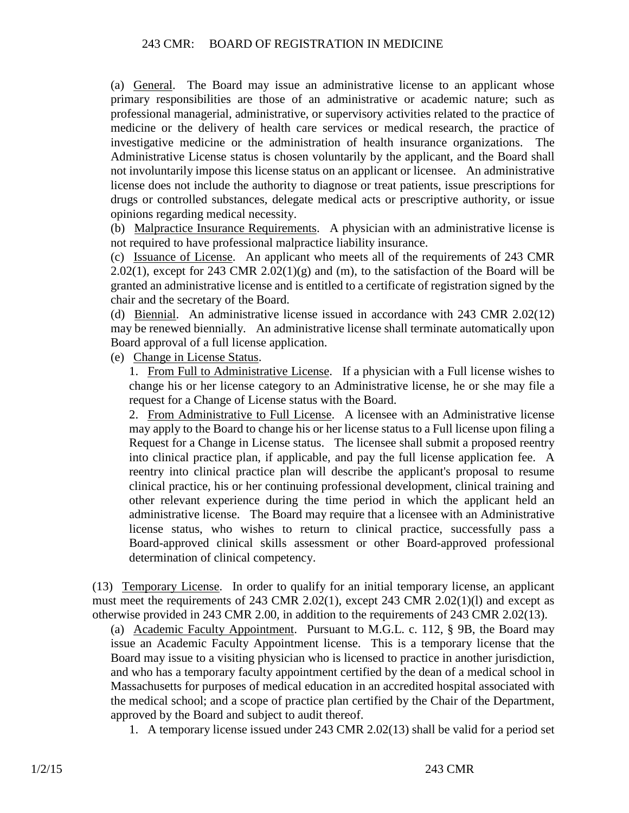(a) General. The Board may issue an administrative license to an applicant whose primary responsibilities are those of an administrative or academic nature; such as professional managerial, administrative, or supervisory activities related to the practice of medicine or the delivery of health care services or medical research, the practice of investigative medicine or the administration of health insurance organizations. The Administrative License status is chosen voluntarily by the applicant, and the Board shall not involuntarily impose this license status on an applicant or licensee. An administrative license does not include the authority to diagnose or treat patients, issue prescriptions for drugs or controlled substances, delegate medical acts or prescriptive authority, or issue opinions regarding medical necessity.

(b) Malpractice Insurance Requirements. A physician with an administrative license is not required to have professional malpractice liability insurance.

(c) Issuance of License. An applicant who meets all of the requirements of 243 CMR 2.02(1), except for 243 CMR 2.02(1)(g) and (m), to the satisfaction of the Board will be granted an administrative license and is entitled to a certificate of registration signed by the chair and the secretary of the Board.

(d) Biennial. An administrative license issued in accordance with 243 CMR 2.02(12) may be renewed biennially. An administrative license shall terminate automatically upon Board approval of a full license application.

(e) Change in License Status.

1. From Full to Administrative License. If a physician with a Full license wishes to change his or her license category to an Administrative license, he or she may file a request for a Change of License status with the Board.

2. From Administrative to Full License. A licensee with an Administrative license may apply to the Board to change his or her license status to a Full license upon filing a Request for a Change in License status. The licensee shall submit a proposed reentry into clinical practice plan, if applicable, and pay the full license application fee. A reentry into clinical practice plan will describe the applicant's proposal to resume clinical practice, his or her continuing professional development, clinical training and other relevant experience during the time period in which the applicant held an administrative license. The Board may require that a licensee with an Administrative license status, who wishes to return to clinical practice, successfully pass a Board-approved clinical skills assessment or other Board-approved professional determination of clinical competency.

(13) Temporary License. In order to qualify for an initial temporary license, an applicant must meet the requirements of 243 CMR 2.02(1), except 243 CMR 2.02(1)(l) and except as otherwise provided in 243 CMR 2.00, in addition to the requirements of 243 CMR 2.02(13).

(a) Academic Faculty Appointment. Pursuant to M.G.L. c. 112, § 9B, the Board may issue an Academic Faculty Appointment license. This is a temporary license that the Board may issue to a visiting physician who is licensed to practice in another jurisdiction, and who has a temporary faculty appointment certified by the dean of a medical school in Massachusetts for purposes of medical education in an accredited hospital associated with the medical school; and a scope of practice plan certified by the Chair of the Department, approved by the Board and subject to audit thereof.

1. A temporary license issued under 243 CMR 2.02(13) shall be valid for a period set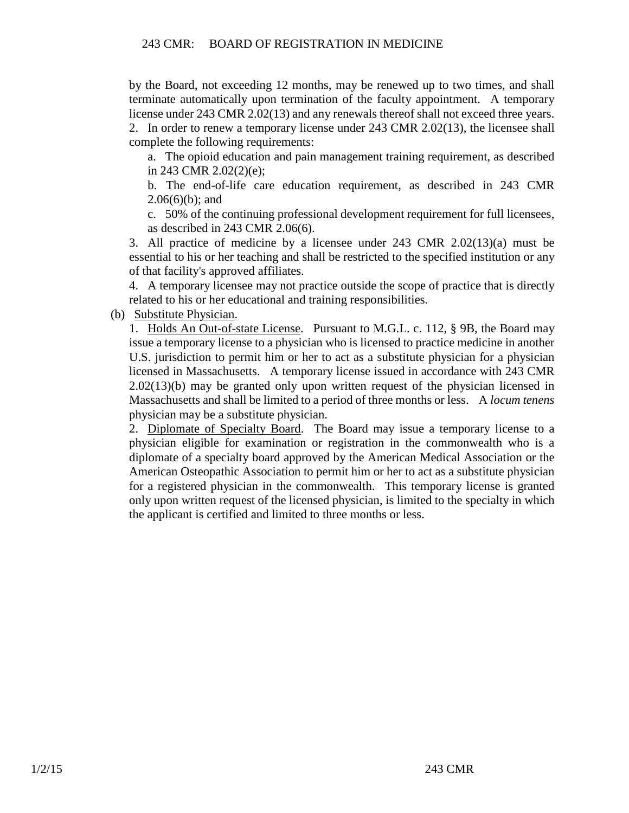by the Board, not exceeding 12 months, may be renewed up to two times, and shall terminate automatically upon termination of the faculty appointment. A temporary license under 243 CMR 2.02(13) and any renewals thereof shall not exceed three years. 2. In order to renew a temporary license under 243 CMR 2.02(13), the licensee shall complete the following requirements:

a. The opioid education and pain management training requirement, as described in 243 CMR 2.02(2)(e);

b. The end-of-life care education requirement, as described in 243 CMR  $2.06(6)(b)$ ; and

c. 50% of the continuing professional development requirement for full licensees, as described in 243 CMR 2.06(6).

3. All practice of medicine by a licensee under 243 CMR 2.02(13)(a) must be essential to his or her teaching and shall be restricted to the specified institution or any of that facility's approved affiliates.

4. A temporary licensee may not practice outside the scope of practice that is directly related to his or her educational and training responsibilities.

(b) Substitute Physician.

1. Holds An Out-of-state License. Pursuant to M.G.L. c. 112, § 9B, the Board may issue a temporary license to a physician who is licensed to practice medicine in another U.S. jurisdiction to permit him or her to act as a substitute physician for a physician licensed in Massachusetts. A temporary license issued in accordance with 243 CMR 2.02(13)(b) may be granted only upon written request of the physician licensed in Massachusetts and shall be limited to a period of three months or less. A *locum tenens* physician may be a substitute physician.

2. Diplomate of Specialty Board. The Board may issue a temporary license to a physician eligible for examination or registration in the commonwealth who is a diplomate of a specialty board approved by the American Medical Association or the American Osteopathic Association to permit him or her to act as a substitute physician for a registered physician in the commonwealth. This temporary license is granted only upon written request of the licensed physician, is limited to the specialty in which the applicant is certified and limited to three months or less.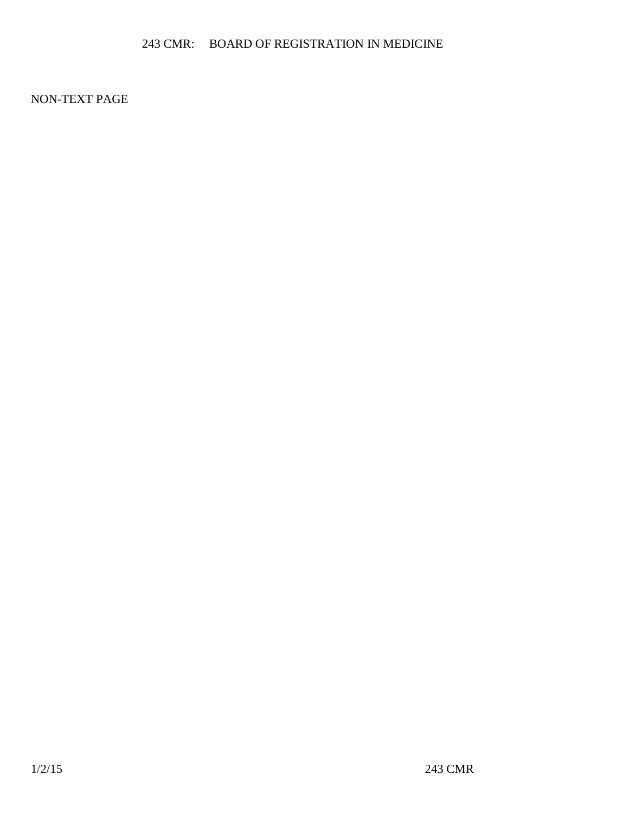NON-TEXT PAGE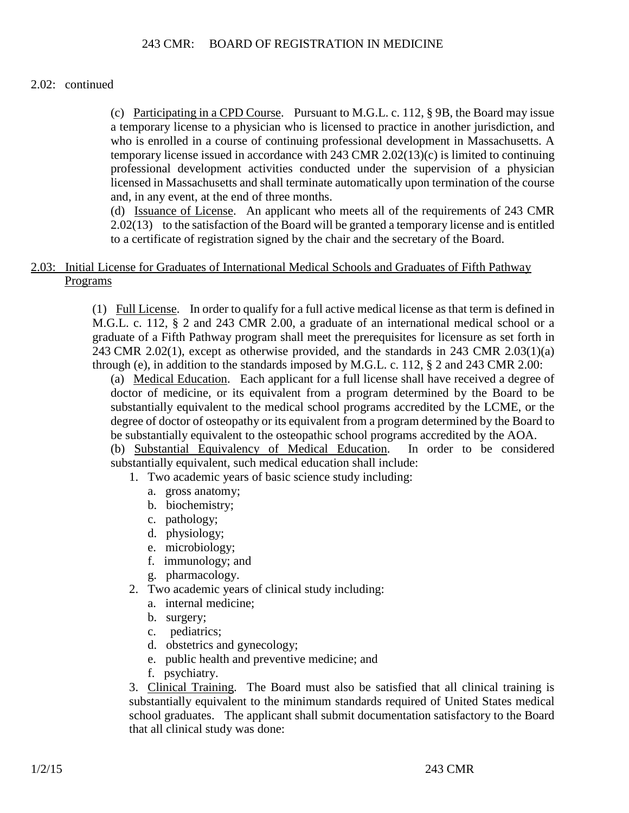### 2.02: continued

(c) Participating in a CPD Course. Pursuant to M.G.L. c. 112, § 9B, the Board may issue a temporary license to a physician who is licensed to practice in another jurisdiction, and who is enrolled in a course of continuing professional development in Massachusetts. A temporary license issued in accordance with 243 CMR 2.02(13)(c) is limited to continuing professional development activities conducted under the supervision of a physician licensed in Massachusetts and shall terminate automatically upon termination of the course and, in any event, at the end of three months.

(d) Issuance of License. An applicant who meets all of the requirements of 243 CMR 2.02(13) to the satisfaction of the Board will be granted a temporary license and is entitled to a certificate of registration signed by the chair and the secretary of the Board.

## 2.03: Initial License for Graduates of International Medical Schools and Graduates of Fifth Pathway Programs

(1) Full License. In order to qualify for a full active medical license as that term is defined in M.G.L. c. 112, § 2 and 243 CMR 2.00, a graduate of an international medical school or a graduate of a Fifth Pathway program shall meet the prerequisites for licensure as set forth in 243 CMR 2.02(1), except as otherwise provided, and the standards in 243 CMR 2.03(1)(a) through (e), in addition to the standards imposed by M.G.L. c. 112, § 2 and 243 CMR 2.00:

(a) Medical Education. Each applicant for a full license shall have received a degree of doctor of medicine, or its equivalent from a program determined by the Board to be substantially equivalent to the medical school programs accredited by the LCME, or the degree of doctor of osteopathy or its equivalent from a program determined by the Board to be substantially equivalent to the osteopathic school programs accredited by the AOA.

(b) Substantial Equivalency of Medical Education. In order to be considered substantially equivalent, such medical education shall include:

- 1. Two academic years of basic science study including:
	- a. gross anatomy;
	- b. biochemistry;
	- c. pathology;
	- d. physiology;
	- e. microbiology;
	- f. immunology; and
	- g. pharmacology.
- 2. Two academic years of clinical study including:
	- a. internal medicine;
	- b. surgery;
	- c. pediatrics;
	- d. obstetrics and gynecology;
	- e. public health and preventive medicine; and
	- f. psychiatry.

3. Clinical Training. The Board must also be satisfied that all clinical training is substantially equivalent to the minimum standards required of United States medical school graduates. The applicant shall submit documentation satisfactory to the Board that all clinical study was done: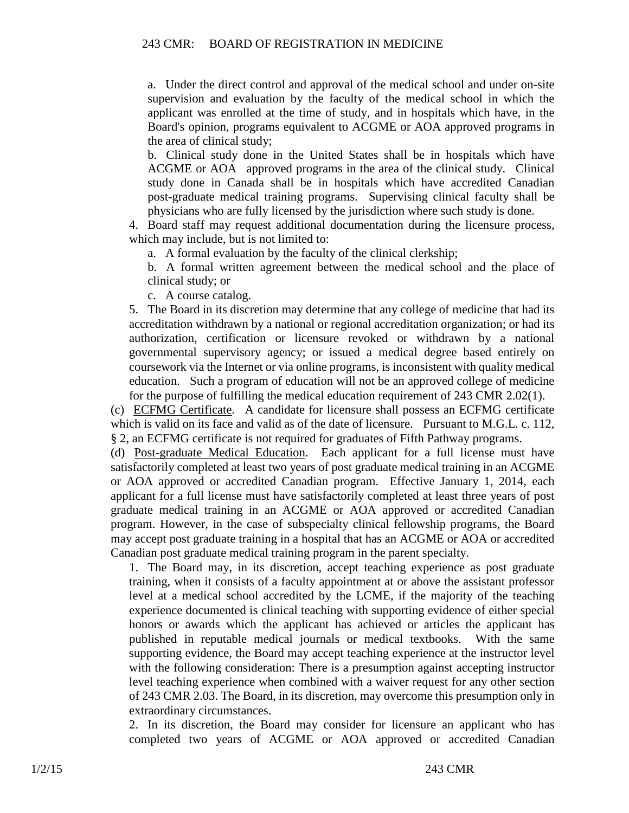a. Under the direct control and approval of the medical school and under on-site supervision and evaluation by the faculty of the medical school in which the applicant was enrolled at the time of study, and in hospitals which have, in the Board's opinion, programs equivalent to ACGME or AOA approved programs in the area of clinical study;

b. Clinical study done in the United States shall be in hospitals which have ACGME or AOA approved programs in the area of the clinical study. Clinical study done in Canada shall be in hospitals which have accredited Canadian post-graduate medical training programs. Supervising clinical faculty shall be physicians who are fully licensed by the jurisdiction where such study is done.

4. Board staff may request additional documentation during the licensure process, which may include, but is not limited to:

a. A formal evaluation by the faculty of the clinical clerkship;

b. A formal written agreement between the medical school and the place of clinical study; or

c. A course catalog.

5. The Board in its discretion may determine that any college of medicine that had its accreditation withdrawn by a national or regional accreditation organization; or had its authorization, certification or licensure revoked or withdrawn by a national governmental supervisory agency; or issued a medical degree based entirely on coursework via the Internet or via online programs, is inconsistent with quality medical education. Such a program of education will not be an approved college of medicine for the purpose of fulfilling the medical education requirement of 243 CMR 2.02(1).

(c) ECFMG Certificate. A candidate for licensure shall possess an ECFMG certificate which is valid on its face and valid as of the date of licensure. Pursuant to M.G.L. c. 112, § 2, an ECFMG certificate is not required for graduates of Fifth Pathway programs.

(d) Post-graduate Medical Education. Each applicant for a full license must have satisfactorily completed at least two years of post graduate medical training in an ACGME or AOA approved or accredited Canadian program. Effective January 1, 2014, each applicant for a full license must have satisfactorily completed at least three years of post graduate medical training in an ACGME or AOA approved or accredited Canadian program. However, in the case of subspecialty clinical fellowship programs, the Board may accept post graduate training in a hospital that has an ACGME or AOA or accredited Canadian post graduate medical training program in the parent specialty.

1. The Board may, in its discretion, accept teaching experience as post graduate training, when it consists of a faculty appointment at or above the assistant professor level at a medical school accredited by the LCME, if the majority of the teaching experience documented is clinical teaching with supporting evidence of either special honors or awards which the applicant has achieved or articles the applicant has published in reputable medical journals or medical textbooks. With the same supporting evidence, the Board may accept teaching experience at the instructor level with the following consideration: There is a presumption against accepting instructor level teaching experience when combined with a waiver request for any other section of 243 CMR 2.03. The Board, in its discretion, may overcome this presumption only in extraordinary circumstances.

2. In its discretion, the Board may consider for licensure an applicant who has completed two years of ACGME or AOA approved or accredited Canadian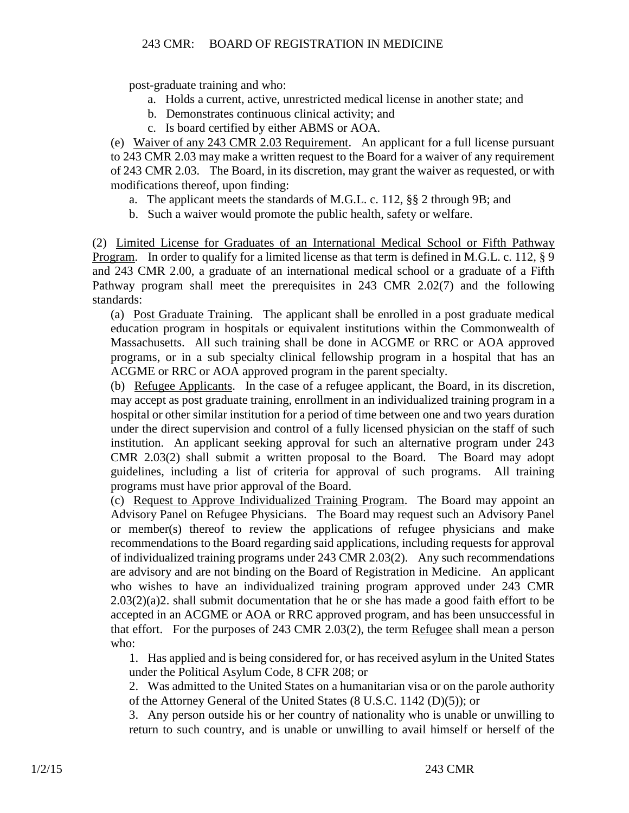post-graduate training and who:

- a. Holds a current, active, unrestricted medical license in another state; and
- b. Demonstrates continuous clinical activity; and
- c. Is board certified by either ABMS or AOA.

(e) Waiver of any 243 CMR 2.03 Requirement. An applicant for a full license pursuant to 243 CMR 2.03 may make a written request to the Board for a waiver of any requirement of 243 CMR 2.03. The Board, in its discretion, may grant the waiver as requested, or with modifications thereof, upon finding:

- a. The applicant meets the standards of M.G.L. c. 112, §§ 2 through 9B; and
- b. Such a waiver would promote the public health, safety or welfare.

(2) Limited License for Graduates of an International Medical School or Fifth Pathway Program. In order to qualify for a limited license as that term is defined in M.G.L. c. 112, § 9 and 243 CMR 2.00, a graduate of an international medical school or a graduate of a Fifth Pathway program shall meet the prerequisites in 243 CMR 2.02(7) and the following standards:

(a) Post Graduate Training. The applicant shall be enrolled in a post graduate medical education program in hospitals or equivalent institutions within the Commonwealth of Massachusetts. All such training shall be done in ACGME or RRC or AOA approved programs, or in a sub specialty clinical fellowship program in a hospital that has an ACGME or RRC or AOA approved program in the parent specialty.

(b) Refugee Applicants. In the case of a refugee applicant, the Board, in its discretion, may accept as post graduate training, enrollment in an individualized training program in a hospital or other similar institution for a period of time between one and two years duration under the direct supervision and control of a fully licensed physician on the staff of such institution. An applicant seeking approval for such an alternative program under 243 CMR 2.03(2) shall submit a written proposal to the Board. The Board may adopt guidelines, including a list of criteria for approval of such programs. All training programs must have prior approval of the Board.

(c) Request to Approve Individualized Training Program. The Board may appoint an Advisory Panel on Refugee Physicians. The Board may request such an Advisory Panel or member(s) thereof to review the applications of refugee physicians and make recommendations to the Board regarding said applications, including requests for approval of individualized training programs under 243 CMR 2.03(2). Any such recommendations are advisory and are not binding on the Board of Registration in Medicine. An applicant who wishes to have an individualized training program approved under 243 CMR 2.03(2)(a)2. shall submit documentation that he or she has made a good faith effort to be accepted in an ACGME or AOA or RRC approved program, and has been unsuccessful in that effort. For the purposes of 243 CMR 2.03(2), the term Refugee shall mean a person who:

1. Has applied and is being considered for, or has received asylum in the United States under the Political Asylum Code, 8 CFR 208; or

2. Was admitted to the United States on a humanitarian visa or on the parole authority of the Attorney General of the United States (8 U.S.C. 1142 (D)(5)); or

3. Any person outside his or her country of nationality who is unable or unwilling to return to such country, and is unable or unwilling to avail himself or herself of the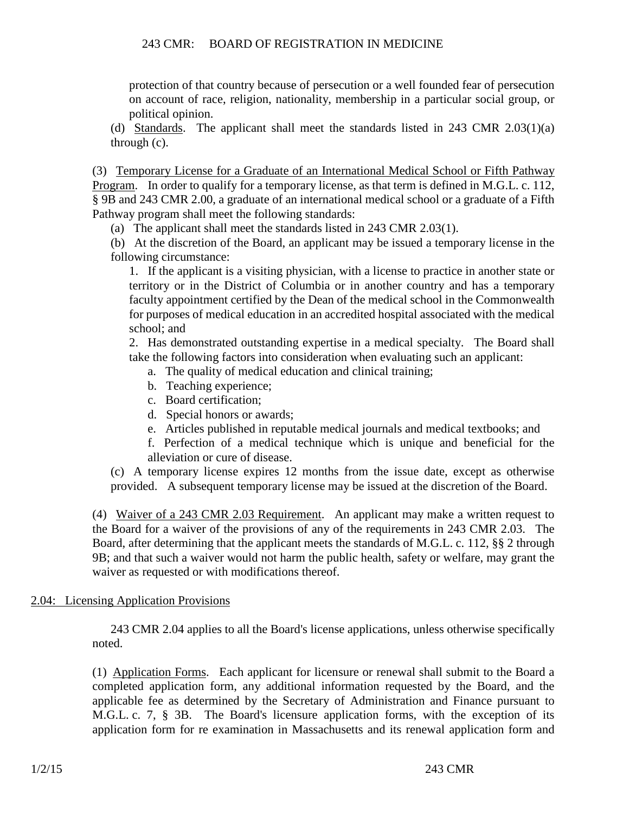protection of that country because of persecution or a well founded fear of persecution on account of race, religion, nationality, membership in a particular social group, or political opinion.

(d) Standards. The applicant shall meet the standards listed in 243 CMR 2.03(1)(a) through (c).

(3) Temporary License for a Graduate of an International Medical School or Fifth Pathway Program. In order to qualify for a temporary license, as that term is defined in M.G.L. c. 112, § 9B and 243 CMR 2.00, a graduate of an international medical school or a graduate of a Fifth Pathway program shall meet the following standards:

(a) The applicant shall meet the standards listed in 243 CMR 2.03(1).

(b) At the discretion of the Board, an applicant may be issued a temporary license in the following circumstance:

1. If the applicant is a visiting physician, with a license to practice in another state or territory or in the District of Columbia or in another country and has a temporary faculty appointment certified by the Dean of the medical school in the Commonwealth for purposes of medical education in an accredited hospital associated with the medical school; and

2. Has demonstrated outstanding expertise in a medical specialty. The Board shall take the following factors into consideration when evaluating such an applicant:

- a. The quality of medical education and clinical training;
- b. Teaching experience;
- c. Board certification;
- d. Special honors or awards;
- e. Articles published in reputable medical journals and medical textbooks; and
- f. Perfection of a medical technique which is unique and beneficial for the alleviation or cure of disease.

(c) A temporary license expires 12 months from the issue date, except as otherwise provided. A subsequent temporary license may be issued at the discretion of the Board.

(4) Waiver of a 243 CMR 2.03 Requirement. An applicant may make a written request to the Board for a waiver of the provisions of any of the requirements in 243 CMR 2.03. The Board, after determining that the applicant meets the standards of M.G.L. c. 112, §§ 2 through 9B; and that such a waiver would not harm the public health, safety or welfare, may grant the waiver as requested or with modifications thereof.

# 2.04: Licensing Application Provisions

243 CMR 2.04 applies to all the Board's license applications, unless otherwise specifically noted.

(1) Application Forms. Each applicant for licensure or renewal shall submit to the Board a completed application form, any additional information requested by the Board, and the applicable fee as determined by the Secretary of Administration and Finance pursuant to M.G.L. c. 7, § 3B. The Board's licensure application forms, with the exception of its application form for re examination in Massachusetts and its renewal application form and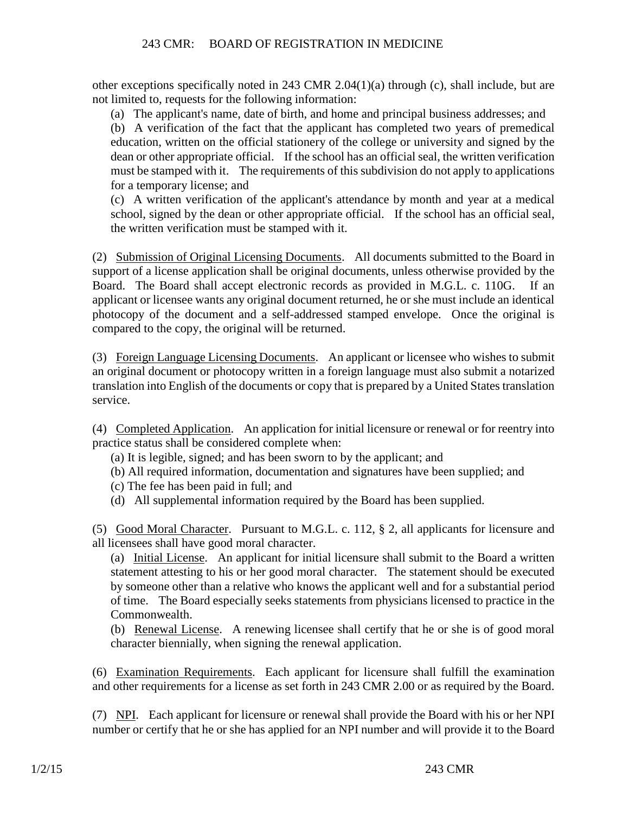other exceptions specifically noted in 243 CMR 2.04(1)(a) through (c), shall include, but are not limited to, requests for the following information:

(a) The applicant's name, date of birth, and home and principal business addresses; and

(b) A verification of the fact that the applicant has completed two years of premedical education, written on the official stationery of the college or university and signed by the dean or other appropriate official. If the school has an official seal, the written verification must be stamped with it. The requirements of this subdivision do not apply to applications for a temporary license; and

(c) A written verification of the applicant's attendance by month and year at a medical school, signed by the dean or other appropriate official. If the school has an official seal, the written verification must be stamped with it.

(2) Submission of Original Licensing Documents. All documents submitted to the Board in support of a license application shall be original documents, unless otherwise provided by the Board. The Board shall accept electronic records as provided in M.G.L. c. 110G. If an applicant or licensee wants any original document returned, he or she must include an identical photocopy of the document and a self-addressed stamped envelope. Once the original is compared to the copy, the original will be returned.

(3) Foreign Language Licensing Documents. An applicant or licensee who wishes to submit an original document or photocopy written in a foreign language must also submit a notarized translation into English of the documents or copy that is prepared by a United States translation service.

(4) Completed Application. An application for initial licensure or renewal or for reentry into practice status shall be considered complete when:

(a) It is legible, signed; and has been sworn to by the applicant; and

(b) All required information, documentation and signatures have been supplied; and

- (c) The fee has been paid in full; and
- (d) All supplemental information required by the Board has been supplied.

(5) Good Moral Character. Pursuant to M.G.L. c. 112, § 2, all applicants for licensure and all licensees shall have good moral character.

(a) Initial License. An applicant for initial licensure shall submit to the Board a written statement attesting to his or her good moral character. The statement should be executed by someone other than a relative who knows the applicant well and for a substantial period of time. The Board especially seeks statements from physicians licensed to practice in the Commonwealth.

(b) Renewal License. A renewing licensee shall certify that he or she is of good moral character biennially, when signing the renewal application.

(6) Examination Requirements. Each applicant for licensure shall fulfill the examination and other requirements for a license as set forth in 243 CMR 2.00 or as required by the Board.

(7) NPI. Each applicant for licensure or renewal shall provide the Board with his or her NPI number or certify that he or she has applied for an NPI number and will provide it to the Board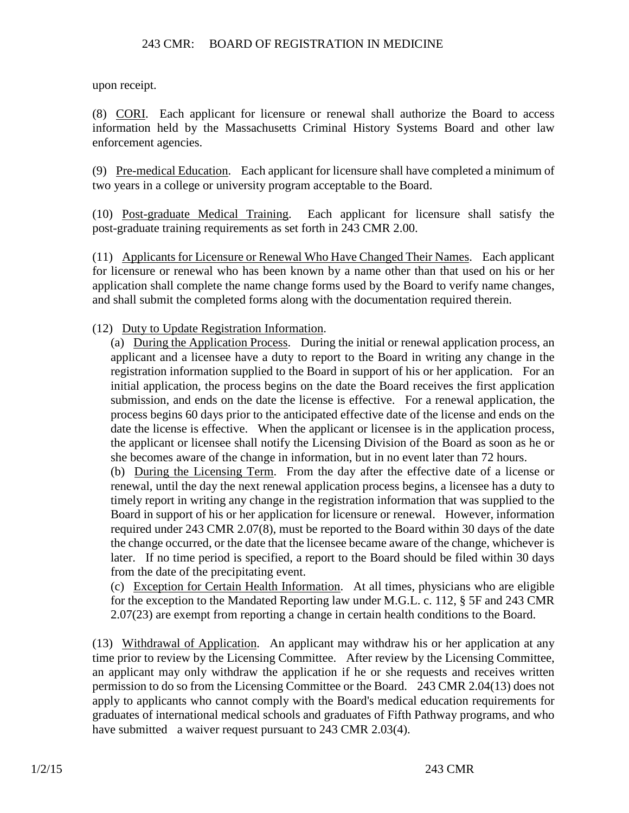upon receipt.

(8) CORI. Each applicant for licensure or renewal shall authorize the Board to access information held by the Massachusetts Criminal History Systems Board and other law enforcement agencies.

(9) Pre-medical Education. Each applicant for licensure shall have completed a minimum of two years in a college or university program acceptable to the Board.

(10) Post-graduate Medical Training. Each applicant for licensure shall satisfy the post-graduate training requirements as set forth in 243 CMR 2.00.

(11) Applicants for Licensure or Renewal Who Have Changed Their Names. Each applicant for licensure or renewal who has been known by a name other than that used on his or her application shall complete the name change forms used by the Board to verify name changes, and shall submit the completed forms along with the documentation required therein.

(12) Duty to Update Registration Information.

(a) During the Application Process. During the initial or renewal application process, an applicant and a licensee have a duty to report to the Board in writing any change in the registration information supplied to the Board in support of his or her application. For an initial application, the process begins on the date the Board receives the first application submission, and ends on the date the license is effective. For a renewal application, the process begins 60 days prior to the anticipated effective date of the license and ends on the date the license is effective. When the applicant or licensee is in the application process, the applicant or licensee shall notify the Licensing Division of the Board as soon as he or she becomes aware of the change in information, but in no event later than 72 hours.

(b) During the Licensing Term. From the day after the effective date of a license or renewal, until the day the next renewal application process begins, a licensee has a duty to timely report in writing any change in the registration information that was supplied to the Board in support of his or her application for licensure or renewal. However, information required under 243 CMR 2.07(8), must be reported to the Board within 30 days of the date the change occurred, or the date that the licensee became aware of the change, whichever is later. If no time period is specified, a report to the Board should be filed within 30 days from the date of the precipitating event.

(c) Exception for Certain Health Information. At all times, physicians who are eligible for the exception to the Mandated Reporting law under M.G.L. c. 112, § 5F and 243 CMR 2.07(23) are exempt from reporting a change in certain health conditions to the Board.

(13) Withdrawal of Application. An applicant may withdraw his or her application at any time prior to review by the Licensing Committee. After review by the Licensing Committee, an applicant may only withdraw the application if he or she requests and receives written permission to do so from the Licensing Committee or the Board. 243 CMR 2.04(13) does not apply to applicants who cannot comply with the Board's medical education requirements for graduates of international medical schools and graduates of Fifth Pathway programs, and who have submitted a waiver request pursuant to 243 CMR 2.03(4).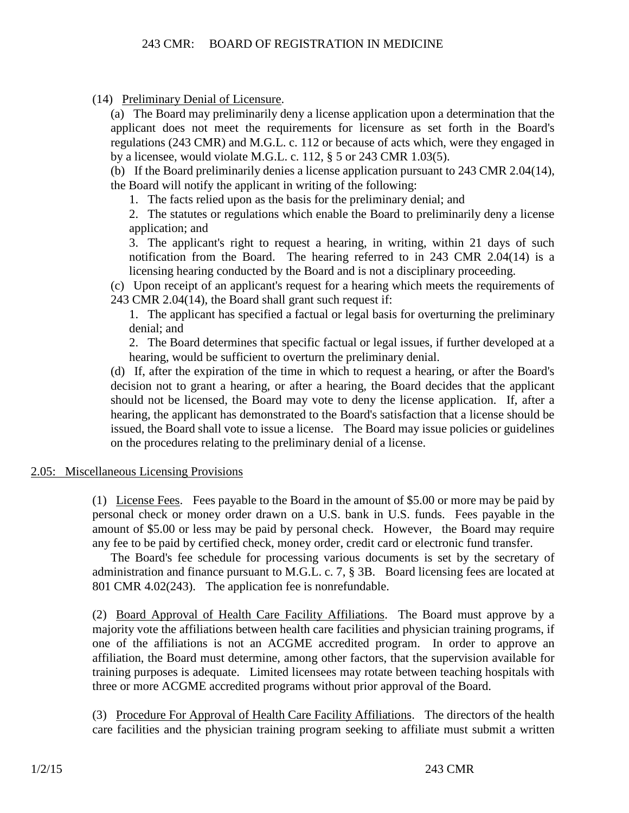(14) Preliminary Denial of Licensure.

(a) The Board may preliminarily deny a license application upon a determination that the applicant does not meet the requirements for licensure as set forth in the Board's regulations (243 CMR) and M.G.L. c. 112 or because of acts which, were they engaged in by a licensee, would violate M.G.L. c. 112, § 5 or 243 CMR 1.03(5).

(b) If the Board preliminarily denies a license application pursuant to 243 CMR 2.04(14), the Board will notify the applicant in writing of the following:

1. The facts relied upon as the basis for the preliminary denial; and

2. The statutes or regulations which enable the Board to preliminarily deny a license application; and

3. The applicant's right to request a hearing, in writing, within 21 days of such notification from the Board. The hearing referred to in 243 CMR 2.04(14) is a licensing hearing conducted by the Board and is not a disciplinary proceeding.

(c) Upon receipt of an applicant's request for a hearing which meets the requirements of 243 CMR 2.04(14), the Board shall grant such request if:

1. The applicant has specified a factual or legal basis for overturning the preliminary denial; and

2. The Board determines that specific factual or legal issues, if further developed at a hearing, would be sufficient to overturn the preliminary denial.

(d) If, after the expiration of the time in which to request a hearing, or after the Board's decision not to grant a hearing, or after a hearing, the Board decides that the applicant should not be licensed, the Board may vote to deny the license application. If, after a hearing, the applicant has demonstrated to the Board's satisfaction that a license should be issued, the Board shall vote to issue a license. The Board may issue policies or guidelines on the procedures relating to the preliminary denial of a license.

# 2.05: Miscellaneous Licensing Provisions

(1) License Fees. Fees payable to the Board in the amount of \$5.00 or more may be paid by personal check or money order drawn on a U.S. bank in U.S. funds. Fees payable in the amount of \$5.00 or less may be paid by personal check. However, the Board may require any fee to be paid by certified check, money order, credit card or electronic fund transfer.

The Board's fee schedule for processing various documents is set by the secretary of administration and finance pursuant to M.G.L. c. 7, § 3B. Board licensing fees are located at 801 CMR 4.02(243). The application fee is nonrefundable.

(2) Board Approval of Health Care Facility Affiliations. The Board must approve by a majority vote the affiliations between health care facilities and physician training programs, if one of the affiliations is not an ACGME accredited program. In order to approve an affiliation, the Board must determine, among other factors, that the supervision available for training purposes is adequate. Limited licensees may rotate between teaching hospitals with three or more ACGME accredited programs without prior approval of the Board.

(3) Procedure For Approval of Health Care Facility Affiliations. The directors of the health care facilities and the physician training program seeking to affiliate must submit a written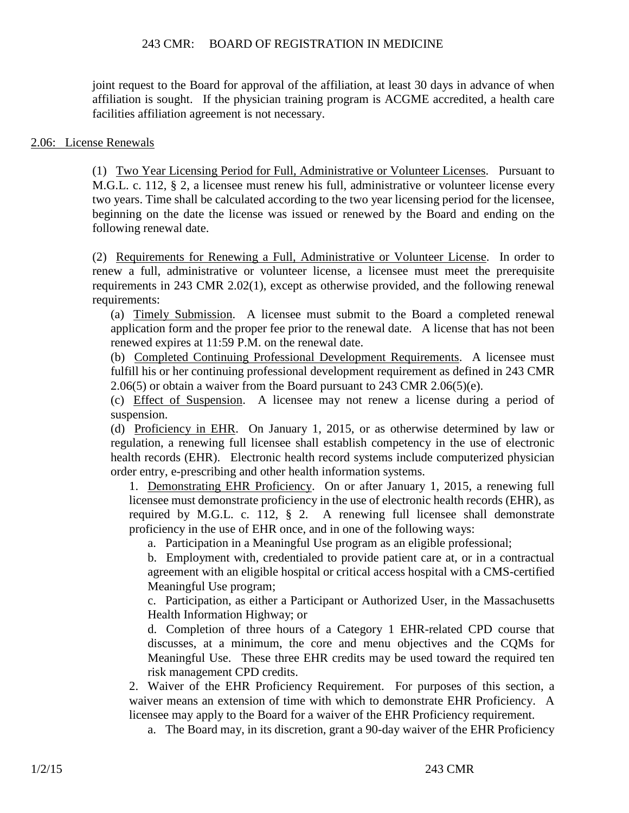joint request to the Board for approval of the affiliation, at least 30 days in advance of when affiliation is sought. If the physician training program is ACGME accredited, a health care facilities affiliation agreement is not necessary.

#### 2.06: License Renewals

(1) Two Year Licensing Period for Full, Administrative or Volunteer Licenses. Pursuant to M.G.L. c. 112, § 2, a licensee must renew his full, administrative or volunteer license every two years. Time shall be calculated according to the two year licensing period for the licensee, beginning on the date the license was issued or renewed by the Board and ending on the following renewal date.

(2) Requirements for Renewing a Full, Administrative or Volunteer License. In order to renew a full, administrative or volunteer license, a licensee must meet the prerequisite requirements in 243 CMR 2.02(1), except as otherwise provided, and the following renewal requirements:

(a) Timely Submission. A licensee must submit to the Board a completed renewal application form and the proper fee prior to the renewal date. A license that has not been renewed expires at 11:59 P.M. on the renewal date.

(b) Completed Continuing Professional Development Requirements. A licensee must fulfill his or her continuing professional development requirement as defined in 243 CMR 2.06(5) or obtain a waiver from the Board pursuant to 243 CMR 2.06(5)(e).

(c) Effect of Suspension. A licensee may not renew a license during a period of suspension.

(d) Proficiency in EHR. On January 1, 2015, or as otherwise determined by law or regulation, a renewing full licensee shall establish competency in the use of electronic health records (EHR). Electronic health record systems include computerized physician order entry, e-prescribing and other health information systems.

1. Demonstrating EHR Proficiency. On or after January 1, 2015, a renewing full licensee must demonstrate proficiency in the use of electronic health records (EHR), as required by M.G.L. c. 112, § 2. A renewing full licensee shall demonstrate proficiency in the use of EHR once, and in one of the following ways:

a. Participation in a Meaningful Use program as an eligible professional;

b. Employment with, credentialed to provide patient care at, or in a contractual agreement with an eligible hospital or critical access hospital with a CMS-certified Meaningful Use program;

c. Participation, as either a Participant or Authorized User, in the Massachusetts Health Information Highway; or

d. Completion of three hours of a Category 1 EHR-related CPD course that discusses, at a minimum, the core and menu objectives and the CQMs for Meaningful Use. These three EHR credits may be used toward the required ten risk management CPD credits.

2. Waiver of the EHR Proficiency Requirement. For purposes of this section, a waiver means an extension of time with which to demonstrate EHR Proficiency. A licensee may apply to the Board for a waiver of the EHR Proficiency requirement.

a. The Board may, in its discretion, grant a 90-day waiver of the EHR Proficiency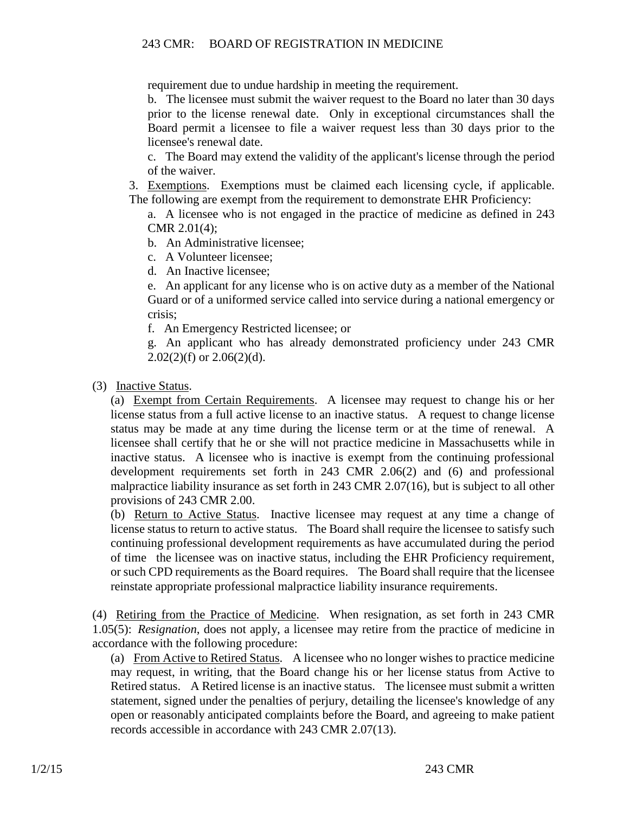requirement due to undue hardship in meeting the requirement.

b. The licensee must submit the waiver request to the Board no later than 30 days prior to the license renewal date. Only in exceptional circumstances shall the Board permit a licensee to file a waiver request less than 30 days prior to the licensee's renewal date.

c. The Board may extend the validity of the applicant's license through the period of the waiver.

3. Exemptions. Exemptions must be claimed each licensing cycle, if applicable. The following are exempt from the requirement to demonstrate EHR Proficiency:

a. A licensee who is not engaged in the practice of medicine as defined in 243 CMR 2.01(4);

b. An Administrative licensee;

c. A Volunteer licensee;

d. An Inactive licensee;

e. An applicant for any license who is on active duty as a member of the National Guard or of a uniformed service called into service during a national emergency or crisis;

f. An Emergency Restricted licensee; or

g. An applicant who has already demonstrated proficiency under 243 CMR  $2.02(2)(f)$  or  $2.06(2)(d)$ .

(3) Inactive Status.

(a) Exempt from Certain Requirements. A licensee may request to change his or her license status from a full active license to an inactive status. A request to change license status may be made at any time during the license term or at the time of renewal. A licensee shall certify that he or she will not practice medicine in Massachusetts while in inactive status. A licensee who is inactive is exempt from the continuing professional development requirements set forth in 243 CMR 2.06(2) and (6) and professional malpractice liability insurance as set forth in 243 CMR 2.07(16), but is subject to all other provisions of 243 CMR 2.00.

(b) Return to Active Status. Inactive licensee may request at any time a change of license status to return to active status. The Board shall require the licensee to satisfy such continuing professional development requirements as have accumulated during the period of time the licensee was on inactive status, including the EHR Proficiency requirement, or such CPD requirements as the Board requires. The Board shall require that the licensee reinstate appropriate professional malpractice liability insurance requirements.

(4) Retiring from the Practice of Medicine. When resignation, as set forth in 243 CMR 1.05(5): *Resignation*, does not apply, a licensee may retire from the practice of medicine in accordance with the following procedure:

(a) From Active to Retired Status. A licensee who no longer wishes to practice medicine may request, in writing, that the Board change his or her license status from Active to Retired status. A Retired license is an inactive status. The licensee must submit a written statement, signed under the penalties of perjury, detailing the licensee's knowledge of any open or reasonably anticipated complaints before the Board, and agreeing to make patient records accessible in accordance with 243 CMR 2.07(13).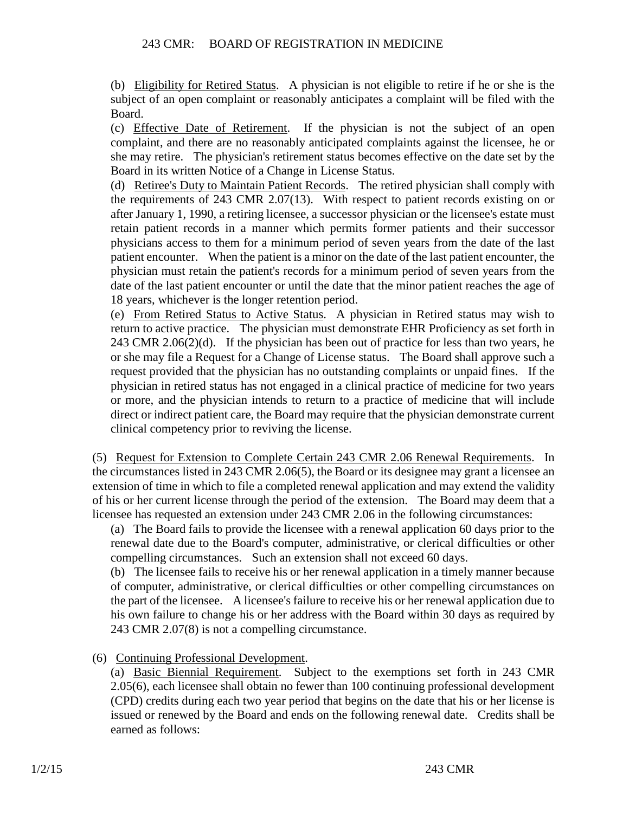(b) Eligibility for Retired Status. A physician is not eligible to retire if he or she is the subject of an open complaint or reasonably anticipates a complaint will be filed with the Board.

(c) Effective Date of Retirement. If the physician is not the subject of an open complaint, and there are no reasonably anticipated complaints against the licensee, he or she may retire. The physician's retirement status becomes effective on the date set by the Board in its written Notice of a Change in License Status.

(d) Retiree's Duty to Maintain Patient Records. The retired physician shall comply with the requirements of 243 CMR 2.07(13). With respect to patient records existing on or after January 1, 1990, a retiring licensee, a successor physician or the licensee's estate must retain patient records in a manner which permits former patients and their successor physicians access to them for a minimum period of seven years from the date of the last patient encounter. When the patient is a minor on the date of the last patient encounter, the physician must retain the patient's records for a minimum period of seven years from the date of the last patient encounter or until the date that the minor patient reaches the age of 18 years, whichever is the longer retention period.

(e) From Retired Status to Active Status. A physician in Retired status may wish to return to active practice. The physician must demonstrate EHR Proficiency as set forth in 243 CMR 2.06(2)(d). If the physician has been out of practice for less than two years, he or she may file a Request for a Change of License status. The Board shall approve such a request provided that the physician has no outstanding complaints or unpaid fines. If the physician in retired status has not engaged in a clinical practice of medicine for two years or more, and the physician intends to return to a practice of medicine that will include direct or indirect patient care, the Board may require that the physician demonstrate current clinical competency prior to reviving the license.

(5) Request for Extension to Complete Certain 243 CMR 2.06 Renewal Requirements. In the circumstances listed in 243 CMR 2.06(5), the Board or its designee may grant a licensee an extension of time in which to file a completed renewal application and may extend the validity of his or her current license through the period of the extension. The Board may deem that a licensee has requested an extension under 243 CMR 2.06 in the following circumstances:

(a) The Board fails to provide the licensee with a renewal application 60 days prior to the renewal date due to the Board's computer, administrative, or clerical difficulties or other compelling circumstances. Such an extension shall not exceed 60 days.

(b) The licensee fails to receive his or her renewal application in a timely manner because of computer, administrative, or clerical difficulties or other compelling circumstances on the part of the licensee. A licensee's failure to receive his or her renewal application due to his own failure to change his or her address with the Board within 30 days as required by 243 CMR 2.07(8) is not a compelling circumstance.

(6) Continuing Professional Development.

(a) Basic Biennial Requirement. Subject to the exemptions set forth in 243 CMR 2.05(6), each licensee shall obtain no fewer than 100 continuing professional development (CPD) credits during each two year period that begins on the date that his or her license is issued or renewed by the Board and ends on the following renewal date. Credits shall be earned as follows: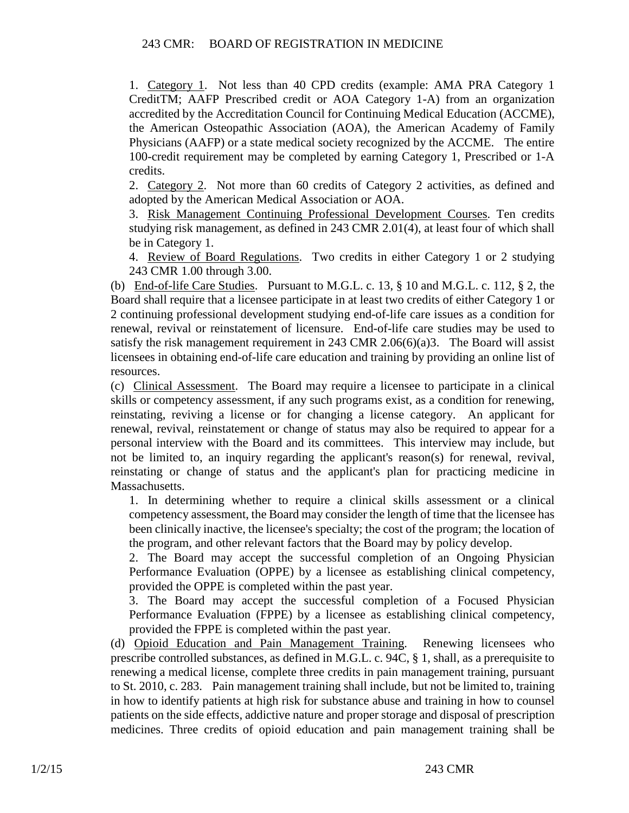1. Category 1. Not less than 40 CPD credits (example: AMA PRA Category 1 CreditTM; AAFP Prescribed credit or AOA Category 1-A) from an organization accredited by the Accreditation Council for Continuing Medical Education (ACCME), the American Osteopathic Association (AOA), the American Academy of Family Physicians (AAFP) or a state medical society recognized by the ACCME. The entire 100-credit requirement may be completed by earning Category 1, Prescribed or 1-A credits.

2. Category 2. Not more than 60 credits of Category 2 activities, as defined and adopted by the American Medical Association or AOA.

3. Risk Management Continuing Professional Development Courses. Ten credits studying risk management, as defined in 243 CMR 2.01(4), at least four of which shall be in Category 1.

4. Review of Board Regulations. Two credits in either Category 1 or 2 studying 243 CMR 1.00 through 3.00.

(b) End-of-life Care Studies. Pursuant to M.G.L. c. 13, § 10 and M.G.L. c. 112, § 2, the Board shall require that a licensee participate in at least two credits of either Category 1 or 2 continuing professional development studying end-of-life care issues as a condition for renewal, revival or reinstatement of licensure. End-of-life care studies may be used to satisfy the risk management requirement in 243 CMR 2.06(6)(a)3. The Board will assist licensees in obtaining end-of-life care education and training by providing an online list of resources.

(c) Clinical Assessment. The Board may require a licensee to participate in a clinical skills or competency assessment, if any such programs exist, as a condition for renewing, reinstating, reviving a license or for changing a license category. An applicant for renewal, revival, reinstatement or change of status may also be required to appear for a personal interview with the Board and its committees. This interview may include, but not be limited to, an inquiry regarding the applicant's reason(s) for renewal, revival, reinstating or change of status and the applicant's plan for practicing medicine in Massachusetts.

1. In determining whether to require a clinical skills assessment or a clinical competency assessment, the Board may consider the length of time that the licensee has been clinically inactive, the licensee's specialty; the cost of the program; the location of the program, and other relevant factors that the Board may by policy develop.

2. The Board may accept the successful completion of an Ongoing Physician Performance Evaluation (OPPE) by a licensee as establishing clinical competency, provided the OPPE is completed within the past year.

3. The Board may accept the successful completion of a Focused Physician Performance Evaluation (FPPE) by a licensee as establishing clinical competency, provided the FPPE is completed within the past year.

(d) Opioid Education and Pain Management Training. Renewing licensees who prescribe controlled substances, as defined in M.G.L. c. 94C, § 1, shall, as a prerequisite to renewing a medical license, complete three credits in pain management training, pursuant to St. 2010, c. 283. Pain management training shall include, but not be limited to, training in how to identify patients at high risk for substance abuse and training in how to counsel patients on the side effects, addictive nature and proper storage and disposal of prescription medicines. Three credits of opioid education and pain management training shall be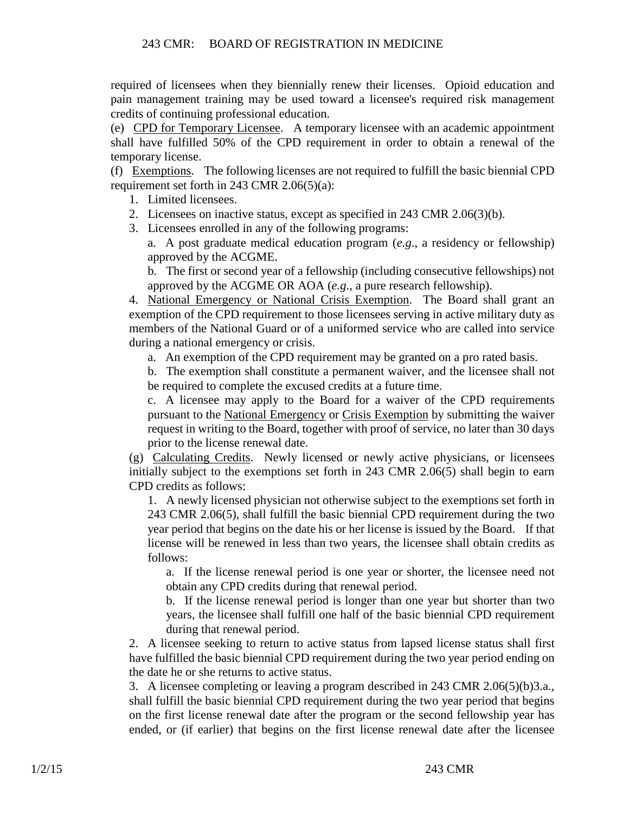required of licensees when they biennially renew their licenses. Opioid education and pain management training may be used toward a licensee's required risk management credits of continuing professional education.

(e) CPD for Temporary Licensee. A temporary licensee with an academic appointment shall have fulfilled 50% of the CPD requirement in order to obtain a renewal of the temporary license.

(f) Exemptions. The following licenses are not required to fulfill the basic biennial CPD requirement set forth in 243 CMR 2.06(5)(a):

- 1. Limited licensees.
- 2. Licensees on inactive status, except as specified in 243 CMR 2.06(3)(b).
- 3. Licensees enrolled in any of the following programs:

a. A post graduate medical education program (*e.g*., a residency or fellowship) approved by the ACGME.

b. The first or second year of a fellowship (including consecutive fellowships) not approved by the ACGME OR AOA (*e.g*., a pure research fellowship).

4. National Emergency or National Crisis Exemption. The Board shall grant an exemption of the CPD requirement to those licensees serving in active military duty as members of the National Guard or of a uniformed service who are called into service during a national emergency or crisis.

a. An exemption of the CPD requirement may be granted on a pro rated basis.

b. The exemption shall constitute a permanent waiver, and the licensee shall not be required to complete the excused credits at a future time.

c. A licensee may apply to the Board for a waiver of the CPD requirements pursuant to the National Emergency or Crisis Exemption by submitting the waiver request in writing to the Board, together with proof of service, no later than 30 days prior to the license renewal date.

(g) Calculating Credits. Newly licensed or newly active physicians, or licensees initially subject to the exemptions set forth in 243 CMR 2.06(5) shall begin to earn CPD credits as follows:

1. A newly licensed physician not otherwise subject to the exemptions set forth in 243 CMR 2.06(5), shall fulfill the basic biennial CPD requirement during the two year period that begins on the date his or her license is issued by the Board. If that license will be renewed in less than two years, the licensee shall obtain credits as follows:

a. If the license renewal period is one year or shorter, the licensee need not obtain any CPD credits during that renewal period.

b. If the license renewal period is longer than one year but shorter than two years, the licensee shall fulfill one half of the basic biennial CPD requirement during that renewal period.

2. A licensee seeking to return to active status from lapsed license status shall first have fulfilled the basic biennial CPD requirement during the two year period ending on the date he or she returns to active status.

3. A licensee completing or leaving a program described in 243 CMR 2.06(5)(b)3.a., shall fulfill the basic biennial CPD requirement during the two year period that begins on the first license renewal date after the program or the second fellowship year has ended, or (if earlier) that begins on the first license renewal date after the licensee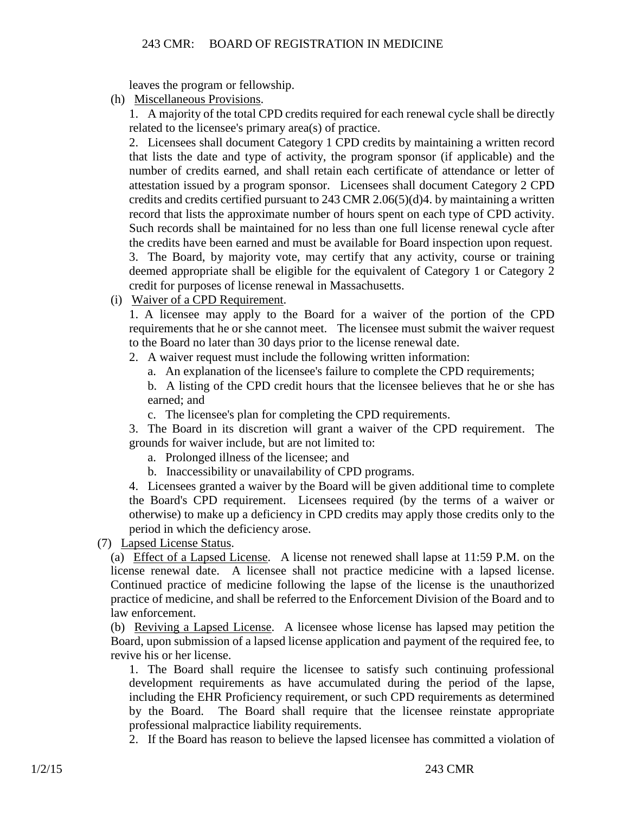leaves the program or fellowship.

(h) Miscellaneous Provisions.

1. A majority of the total CPD credits required for each renewal cycle shall be directly related to the licensee's primary area(s) of practice.

2. Licensees shall document Category 1 CPD credits by maintaining a written record that lists the date and type of activity, the program sponsor (if applicable) and the number of credits earned, and shall retain each certificate of attendance or letter of attestation issued by a program sponsor. Licensees shall document Category 2 CPD credits and credits certified pursuant to 243 CMR 2.06(5)(d)4. by maintaining a written record that lists the approximate number of hours spent on each type of CPD activity. Such records shall be maintained for no less than one full license renewal cycle after the credits have been earned and must be available for Board inspection upon request. 3. The Board, by majority vote, may certify that any activity, course or training deemed appropriate shall be eligible for the equivalent of Category 1 or Category 2 credit for purposes of license renewal in Massachusetts.

(i) Waiver of a CPD Requirement.

1. A licensee may apply to the Board for a waiver of the portion of the CPD requirements that he or she cannot meet. The licensee must submit the waiver request to the Board no later than 30 days prior to the license renewal date.

2. A waiver request must include the following written information:

a. An explanation of the licensee's failure to complete the CPD requirements;

b. A listing of the CPD credit hours that the licensee believes that he or she has earned; and

c. The licensee's plan for completing the CPD requirements.

3. The Board in its discretion will grant a waiver of the CPD requirement. The grounds for waiver include, but are not limited to:

a. Prolonged illness of the licensee; and

b. Inaccessibility or unavailability of CPD programs.

4. Licensees granted a waiver by the Board will be given additional time to complete the Board's CPD requirement. Licensees required (by the terms of a waiver or otherwise) to make up a deficiency in CPD credits may apply those credits only to the period in which the deficiency arose.

(7) Lapsed License Status.

(a) Effect of a Lapsed License. A license not renewed shall lapse at 11:59 P.M. on the license renewal date. A licensee shall not practice medicine with a lapsed license. Continued practice of medicine following the lapse of the license is the unauthorized practice of medicine, and shall be referred to the Enforcement Division of the Board and to law enforcement.

(b) Reviving a Lapsed License. A licensee whose license has lapsed may petition the Board, upon submission of a lapsed license application and payment of the required fee, to revive his or her license.

1. The Board shall require the licensee to satisfy such continuing professional development requirements as have accumulated during the period of the lapse, including the EHR Proficiency requirement, or such CPD requirements as determined by the Board. The Board shall require that the licensee reinstate appropriate professional malpractice liability requirements.

2. If the Board has reason to believe the lapsed licensee has committed a violation of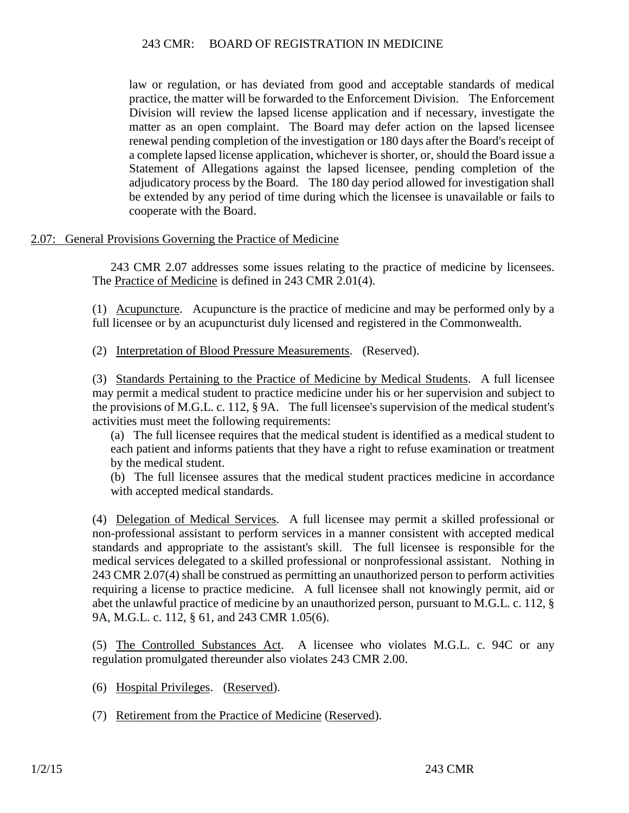law or regulation, or has deviated from good and acceptable standards of medical practice, the matter will be forwarded to the Enforcement Division. The Enforcement Division will review the lapsed license application and if necessary, investigate the matter as an open complaint. The Board may defer action on the lapsed licensee renewal pending completion of the investigation or 180 days after the Board's receipt of a complete lapsed license application, whichever is shorter, or, should the Board issue a Statement of Allegations against the lapsed licensee, pending completion of the adjudicatory process by the Board. The 180 day period allowed for investigation shall be extended by any period of time during which the licensee is unavailable or fails to cooperate with the Board.

### 2.07: General Provisions Governing the Practice of Medicine

243 CMR 2.07 addresses some issues relating to the practice of medicine by licensees. The Practice of Medicine is defined in 243 CMR 2.01(4).

(1) Acupuncture. Acupuncture is the practice of medicine and may be performed only by a full licensee or by an acupuncturist duly licensed and registered in the Commonwealth.

(2) Interpretation of Blood Pressure Measurements. (Reserved).

(3) Standards Pertaining to the Practice of Medicine by Medical Students. A full licensee may permit a medical student to practice medicine under his or her supervision and subject to the provisions of M.G.L. c. 112, § 9A. The full licensee's supervision of the medical student's activities must meet the following requirements:

(a) The full licensee requires that the medical student is identified as a medical student to each patient and informs patients that they have a right to refuse examination or treatment by the medical student.

(b) The full licensee assures that the medical student practices medicine in accordance with accepted medical standards.

(4) Delegation of Medical Services. A full licensee may permit a skilled professional or non-professional assistant to perform services in a manner consistent with accepted medical standards and appropriate to the assistant's skill. The full licensee is responsible for the medical services delegated to a skilled professional or nonprofessional assistant. Nothing in 243 CMR 2.07(4) shall be construed as permitting an unauthorized person to perform activities requiring a license to practice medicine. A full licensee shall not knowingly permit, aid or abet the unlawful practice of medicine by an unauthorized person, pursuant to M.G.L. c. 112, § 9A, M.G.L. c. 112, § 61, and 243 CMR 1.05(6).

(5) The Controlled Substances Act. A licensee who violates M.G.L. c. 94C or any regulation promulgated thereunder also violates 243 CMR 2.00.

- (6) Hospital Privileges. (Reserved).
- (7) Retirement from the Practice of Medicine (Reserved).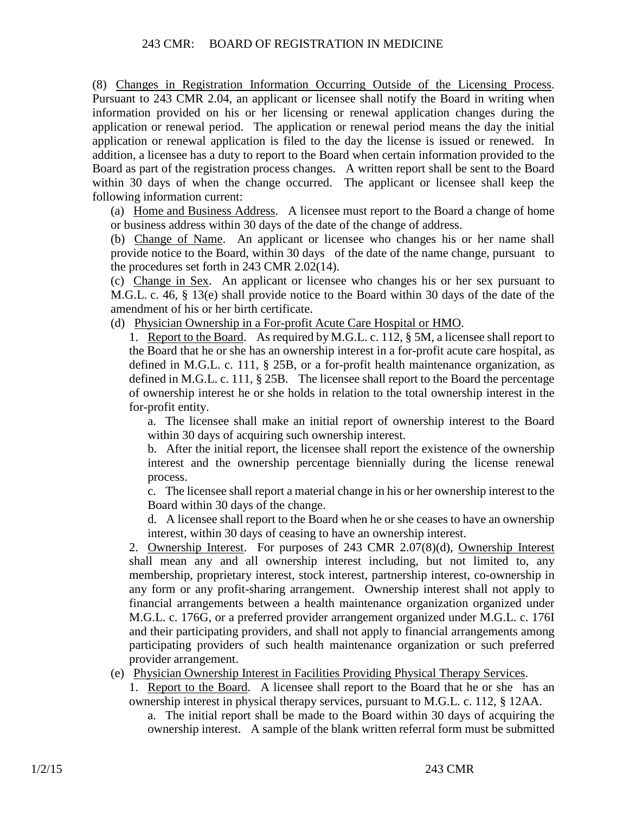(8) Changes in Registration Information Occurring Outside of the Licensing Process. Pursuant to 243 CMR 2.04, an applicant or licensee shall notify the Board in writing when information provided on his or her licensing or renewal application changes during the application or renewal period. The application or renewal period means the day the initial application or renewal application is filed to the day the license is issued or renewed. In addition, a licensee has a duty to report to the Board when certain information provided to the Board as part of the registration process changes. A written report shall be sent to the Board within 30 days of when the change occurred. The applicant or licensee shall keep the following information current:

(a) Home and Business Address. A licensee must report to the Board a change of home or business address within 30 days of the date of the change of address.

(b) Change of Name. An applicant or licensee who changes his or her name shall provide notice to the Board, within 30 days of the date of the name change, pursuant to the procedures set forth in 243 CMR 2.02(14).

(c) Change in Sex. An applicant or licensee who changes his or her sex pursuant to M.G.L. c. 46, § 13(e) shall provide notice to the Board within 30 days of the date of the amendment of his or her birth certificate.

(d) Physician Ownership in a For-profit Acute Care Hospital or HMO.

1. Report to the Board. As required by M.G.L. c. 112, § 5M, a licensee shall report to the Board that he or she has an ownership interest in a for-profit acute care hospital, as defined in M.G.L. c. 111, § 25B, or a for-profit health maintenance organization, as defined in M.G.L. c. 111, § 25B. The licensee shall report to the Board the percentage of ownership interest he or she holds in relation to the total ownership interest in the for-profit entity.

a. The licensee shall make an initial report of ownership interest to the Board within 30 days of acquiring such ownership interest.

b. After the initial report, the licensee shall report the existence of the ownership interest and the ownership percentage biennially during the license renewal process.

c. The licensee shall report a material change in his or her ownership interest to the Board within 30 days of the change.

d. A licensee shall report to the Board when he or she ceases to have an ownership interest, within 30 days of ceasing to have an ownership interest.

2. Ownership Interest. For purposes of 243 CMR 2.07(8)(d), Ownership Interest shall mean any and all ownership interest including, but not limited to, any membership, proprietary interest, stock interest, partnership interest, co-ownership in any form or any profit-sharing arrangement. Ownership interest shall not apply to financial arrangements between a health maintenance organization organized under M.G.L. c. 176G, or a preferred provider arrangement organized under M.G.L. c. 176I and their participating providers, and shall not apply to financial arrangements among participating providers of such health maintenance organization or such preferred provider arrangement.

(e) Physician Ownership Interest in Facilities Providing Physical Therapy Services.

1. Report to the Board. A licensee shall report to the Board that he or she has an ownership interest in physical therapy services, pursuant to M.G.L. c. 112, § 12AA.

a. The initial report shall be made to the Board within 30 days of acquiring the ownership interest. A sample of the blank written referral form must be submitted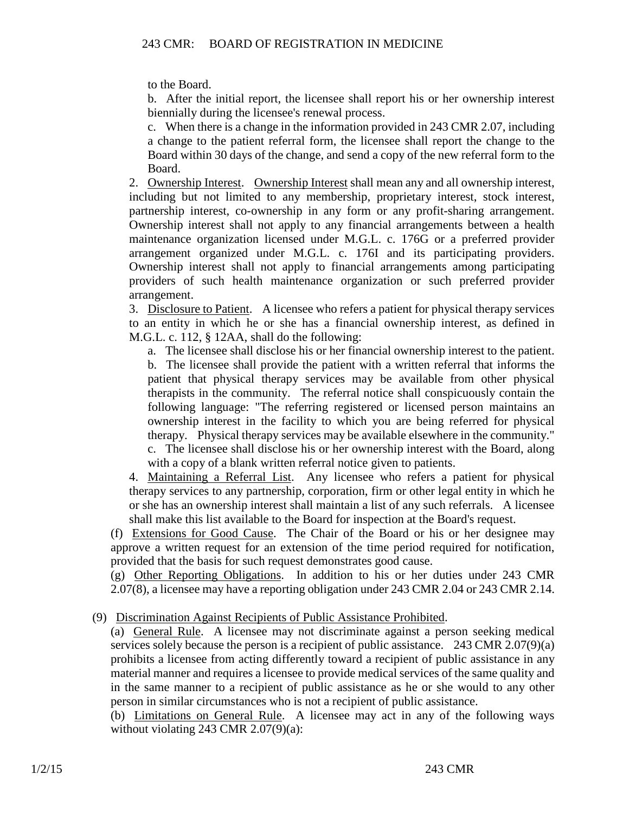to the Board.

b. After the initial report, the licensee shall report his or her ownership interest biennially during the licensee's renewal process.

c. When there is a change in the information provided in 243 CMR 2.07, including a change to the patient referral form, the licensee shall report the change to the Board within 30 days of the change, and send a copy of the new referral form to the Board.

2. Ownership Interest. Ownership Interest shall mean any and all ownership interest, including but not limited to any membership, proprietary interest, stock interest, partnership interest, co-ownership in any form or any profit-sharing arrangement. Ownership interest shall not apply to any financial arrangements between a health maintenance organization licensed under M.G.L. c. 176G or a preferred provider arrangement organized under M.G.L. c. 176I and its participating providers. Ownership interest shall not apply to financial arrangements among participating providers of such health maintenance organization or such preferred provider arrangement.

3. Disclosure to Patient. A licensee who refers a patient for physical therapy services to an entity in which he or she has a financial ownership interest, as defined in M.G.L. c. 112, § 12AA, shall do the following:

a. The licensee shall disclose his or her financial ownership interest to the patient.

b. The licensee shall provide the patient with a written referral that informs the patient that physical therapy services may be available from other physical therapists in the community. The referral notice shall conspicuously contain the following language: "The referring registered or licensed person maintains an ownership interest in the facility to which you are being referred for physical therapy. Physical therapy services may be available elsewhere in the community." c. The licensee shall disclose his or her ownership interest with the Board, along

with a copy of a blank written referral notice given to patients.

4. Maintaining a Referral List. Any licensee who refers a patient for physical therapy services to any partnership, corporation, firm or other legal entity in which he or she has an ownership interest shall maintain a list of any such referrals. A licensee shall make this list available to the Board for inspection at the Board's request.

(f) Extensions for Good Cause. The Chair of the Board or his or her designee may approve a written request for an extension of the time period required for notification, provided that the basis for such request demonstrates good cause.

(g) Other Reporting Obligations. In addition to his or her duties under 243 CMR 2.07(8), a licensee may have a reporting obligation under 243 CMR 2.04 or 243 CMR 2.14.

# (9) Discrimination Against Recipients of Public Assistance Prohibited.

(a) General Rule. A licensee may not discriminate against a person seeking medical services solely because the person is a recipient of public assistance. 243 CMR 2.07(9)(a) prohibits a licensee from acting differently toward a recipient of public assistance in any material manner and requires a licensee to provide medical services of the same quality and in the same manner to a recipient of public assistance as he or she would to any other person in similar circumstances who is not a recipient of public assistance.

(b) Limitations on General Rule. A licensee may act in any of the following ways without violating 243 CMR 2.07(9)(a):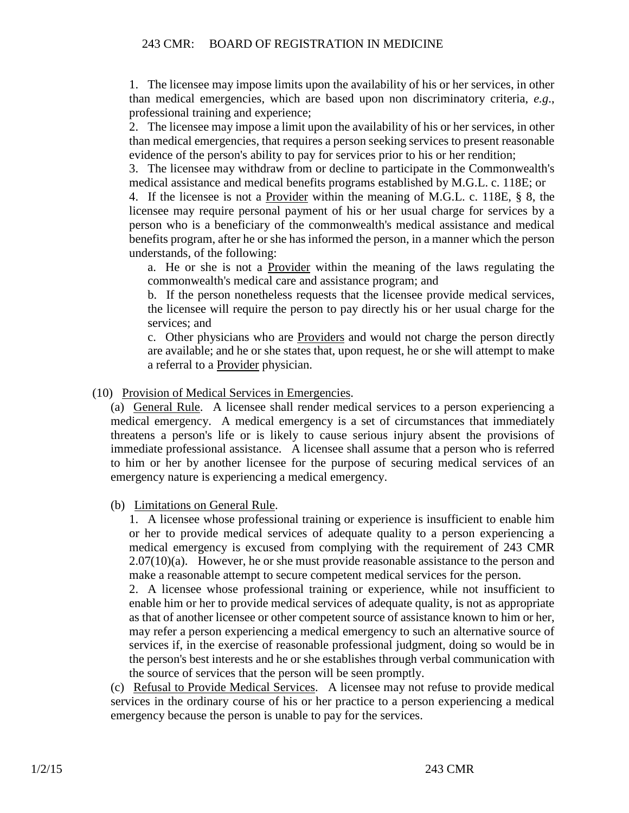1. The licensee may impose limits upon the availability of his or her services, in other than medical emergencies, which are based upon non discriminatory criteria, *e.g*., professional training and experience;

2. The licensee may impose a limit upon the availability of his or her services, in other than medical emergencies, that requires a person seeking services to present reasonable evidence of the person's ability to pay for services prior to his or her rendition;

3. The licensee may withdraw from or decline to participate in the Commonwealth's medical assistance and medical benefits programs established by M.G.L. c. 118E; or

4. If the licensee is not a Provider within the meaning of M.G.L. c. 118E, § 8, the licensee may require personal payment of his or her usual charge for services by a person who is a beneficiary of the commonwealth's medical assistance and medical benefits program, after he or she has informed the person, in a manner which the person understands, of the following:

a. He or she is not a Provider within the meaning of the laws regulating the commonwealth's medical care and assistance program; and

b. If the person nonetheless requests that the licensee provide medical services, the licensee will require the person to pay directly his or her usual charge for the services; and

c. Other physicians who are **Providers** and would not charge the person directly are available; and he or she states that, upon request, he or she will attempt to make a referral to a Provider physician.

(10) Provision of Medical Services in Emergencies.

(a) General Rule. A licensee shall render medical services to a person experiencing a medical emergency. A medical emergency is a set of circumstances that immediately threatens a person's life or is likely to cause serious injury absent the provisions of immediate professional assistance. A licensee shall assume that a person who is referred to him or her by another licensee for the purpose of securing medical services of an emergency nature is experiencing a medical emergency.

(b) Limitations on General Rule.

1. A licensee whose professional training or experience is insufficient to enable him or her to provide medical services of adequate quality to a person experiencing a medical emergency is excused from complying with the requirement of 243 CMR  $2.07(10)(a)$ . However, he or she must provide reasonable assistance to the person and make a reasonable attempt to secure competent medical services for the person.

2. A licensee whose professional training or experience, while not insufficient to enable him or her to provide medical services of adequate quality, is not as appropriate as that of another licensee or other competent source of assistance known to him or her, may refer a person experiencing a medical emergency to such an alternative source of services if, in the exercise of reasonable professional judgment, doing so would be in the person's best interests and he or she establishes through verbal communication with the source of services that the person will be seen promptly.

(c) Refusal to Provide Medical Services. A licensee may not refuse to provide medical services in the ordinary course of his or her practice to a person experiencing a medical emergency because the person is unable to pay for the services.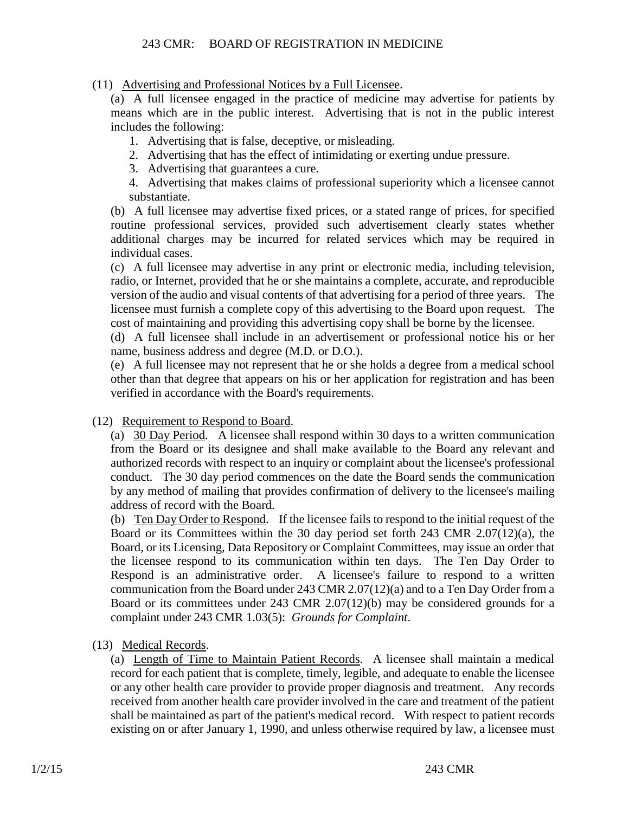(11) Advertising and Professional Notices by a Full Licensee.

(a) A full licensee engaged in the practice of medicine may advertise for patients by means which are in the public interest. Advertising that is not in the public interest includes the following:

1. Advertising that is false, deceptive, or misleading.

2. Advertising that has the effect of intimidating or exerting undue pressure.

3. Advertising that guarantees a cure.

4. Advertising that makes claims of professional superiority which a licensee cannot substantiate.

(b) A full licensee may advertise fixed prices, or a stated range of prices, for specified routine professional services, provided such advertisement clearly states whether additional charges may be incurred for related services which may be required in individual cases.

(c) A full licensee may advertise in any print or electronic media, including television, radio, or Internet, provided that he or she maintains a complete, accurate, and reproducible version of the audio and visual contents of that advertising for a period of three years. The licensee must furnish a complete copy of this advertising to the Board upon request. The cost of maintaining and providing this advertising copy shall be borne by the licensee.

(d) A full licensee shall include in an advertisement or professional notice his or her name, business address and degree (M.D. or D.O.).

(e) A full licensee may not represent that he or she holds a degree from a medical school other than that degree that appears on his or her application for registration and has been verified in accordance with the Board's requirements.

#### (12) Requirement to Respond to Board.

(a) 30 Day Period. A licensee shall respond within 30 days to a written communication from the Board or its designee and shall make available to the Board any relevant and authorized records with respect to an inquiry or complaint about the licensee's professional conduct. The 30 day period commences on the date the Board sends the communication by any method of mailing that provides confirmation of delivery to the licensee's mailing address of record with the Board.

(b) Ten Day Order to Respond. If the licensee fails to respond to the initial request of the Board or its Committees within the 30 day period set forth 243 CMR 2.07(12)(a), the Board, or its Licensing, Data Repository or Complaint Committees, may issue an order that the licensee respond to its communication within ten days. The Ten Day Order to Respond is an administrative order. A licensee's failure to respond to a written communication from the Board under 243 CMR 2.07(12)(a) and to a Ten Day Order from a Board or its committees under 243 CMR 2.07(12)(b) may be considered grounds for a complaint under 243 CMR 1.03(5): *Grounds for Complaint*.

(13) Medical Records.

(a) Length of Time to Maintain Patient Records. A licensee shall maintain a medical record for each patient that is complete, timely, legible, and adequate to enable the licensee or any other health care provider to provide proper diagnosis and treatment. Any records received from another health care provider involved in the care and treatment of the patient shall be maintained as part of the patient's medical record. With respect to patient records existing on or after January 1, 1990, and unless otherwise required by law, a licensee must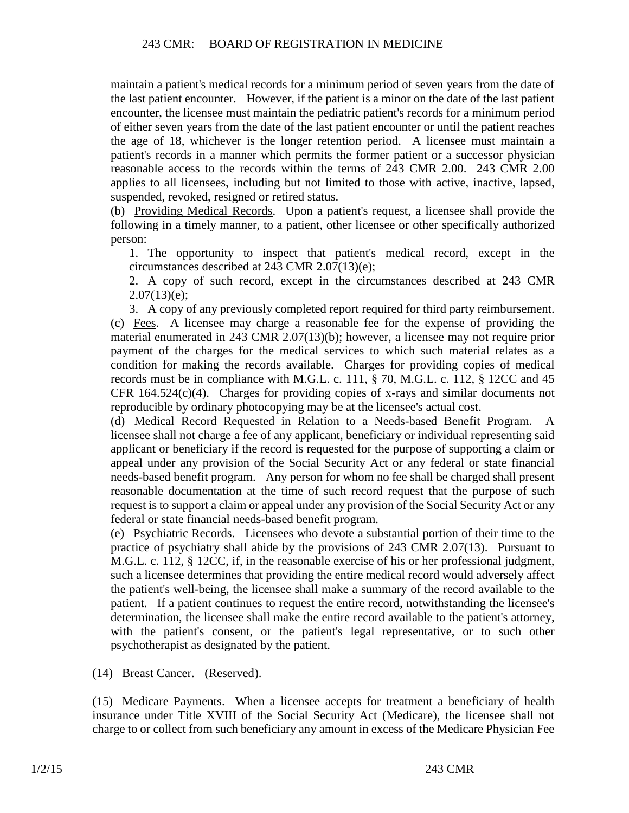maintain a patient's medical records for a minimum period of seven years from the date of the last patient encounter. However, if the patient is a minor on the date of the last patient encounter, the licensee must maintain the pediatric patient's records for a minimum period of either seven years from the date of the last patient encounter or until the patient reaches the age of 18, whichever is the longer retention period. A licensee must maintain a patient's records in a manner which permits the former patient or a successor physician reasonable access to the records within the terms of 243 CMR 2.00. 243 CMR 2.00 applies to all licensees, including but not limited to those with active, inactive, lapsed, suspended, revoked, resigned or retired status.

(b) Providing Medical Records. Upon a patient's request, a licensee shall provide the following in a timely manner, to a patient, other licensee or other specifically authorized person:

1. The opportunity to inspect that patient's medical record, except in the circumstances described at 243 CMR 2.07(13)(e);

2. A copy of such record, except in the circumstances described at 243 CMR  $2.07(13)(e)$ ;

3. A copy of any previously completed report required for third party reimbursement. (c) Fees. A licensee may charge a reasonable fee for the expense of providing the material enumerated in 243 CMR 2.07(13)(b); however, a licensee may not require prior payment of the charges for the medical services to which such material relates as a condition for making the records available. Charges for providing copies of medical records must be in compliance with M.G.L. c. 111, § 70, M.G.L. c. 112, § 12CC and 45 CFR 164.524(c)(4). Charges for providing copies of x-rays and similar documents not reproducible by ordinary photocopying may be at the licensee's actual cost.

(d) Medical Record Requested in Relation to a Needs-based Benefit Program. A licensee shall not charge a fee of any applicant, beneficiary or individual representing said applicant or beneficiary if the record is requested for the purpose of supporting a claim or appeal under any provision of the Social Security Act or any federal or state financial needs-based benefit program. Any person for whom no fee shall be charged shall present reasonable documentation at the time of such record request that the purpose of such request is to support a claim or appeal under any provision of the Social Security Act or any federal or state financial needs-based benefit program.

(e) Psychiatric Records. Licensees who devote a substantial portion of their time to the practice of psychiatry shall abide by the provisions of 243 CMR 2.07(13). Pursuant to M.G.L. c. 112, § 12CC, if, in the reasonable exercise of his or her professional judgment, such a licensee determines that providing the entire medical record would adversely affect the patient's well-being, the licensee shall make a summary of the record available to the patient. If a patient continues to request the entire record, notwithstanding the licensee's determination, the licensee shall make the entire record available to the patient's attorney, with the patient's consent, or the patient's legal representative, or to such other psychotherapist as designated by the patient.

(14) Breast Cancer. (Reserved).

(15) Medicare Payments. When a licensee accepts for treatment a beneficiary of health insurance under Title XVIII of the Social Security Act (Medicare), the licensee shall not charge to or collect from such beneficiary any amount in excess of the Medicare Physician Fee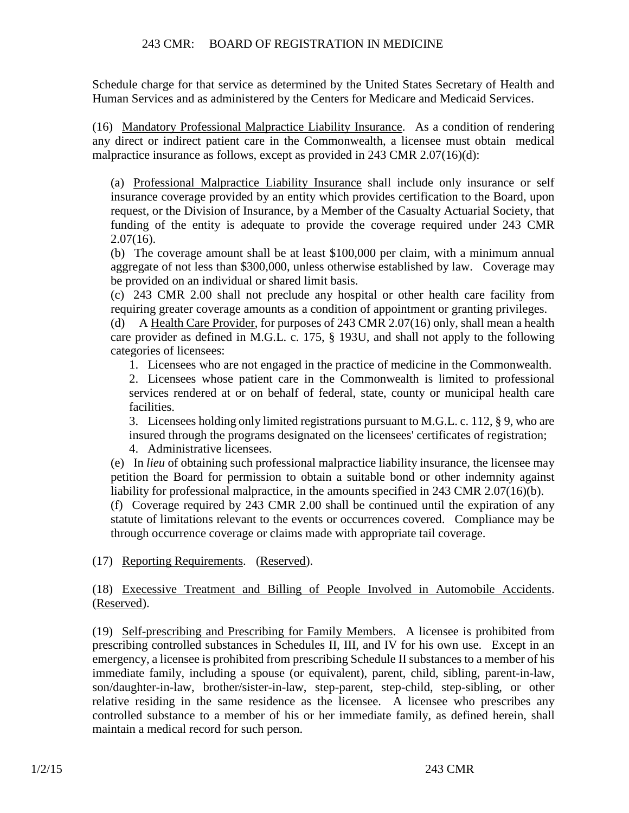Schedule charge for that service as determined by the United States Secretary of Health and Human Services and as administered by the Centers for Medicare and Medicaid Services.

(16) Mandatory Professional Malpractice Liability Insurance. As a condition of rendering any direct or indirect patient care in the Commonwealth, a licensee must obtain medical malpractice insurance as follows, except as provided in 243 CMR 2.07(16)(d):

(a) Professional Malpractice Liability Insurance shall include only insurance or self insurance coverage provided by an entity which provides certification to the Board, upon request, or the Division of Insurance, by a Member of the Casualty Actuarial Society, that funding of the entity is adequate to provide the coverage required under 243 CMR  $2.07(16)$ .

(b) The coverage amount shall be at least \$100,000 per claim, with a minimum annual aggregate of not less than \$300,000, unless otherwise established by law. Coverage may be provided on an individual or shared limit basis.

(c) 243 CMR 2.00 shall not preclude any hospital or other health care facility from requiring greater coverage amounts as a condition of appointment or granting privileges.

(d) A Health Care Provider, for purposes of 243 CMR 2.07(16) only, shall mean a health care provider as defined in M.G.L. c. 175, § 193U, and shall not apply to the following categories of licensees:

1. Licensees who are not engaged in the practice of medicine in the Commonwealth.

2. Licensees whose patient care in the Commonwealth is limited to professional services rendered at or on behalf of federal, state, county or municipal health care facilities.

3. Licensees holding only limited registrations pursuant to M.G.L. c. 112, § 9, who are insured through the programs designated on the licensees' certificates of registration;

4. Administrative licensees.

(e) In *lieu* of obtaining such professional malpractice liability insurance, the licensee may petition the Board for permission to obtain a suitable bond or other indemnity against liability for professional malpractice, in the amounts specified in 243 CMR 2.07(16)(b).

(f) Coverage required by 243 CMR 2.00 shall be continued until the expiration of any statute of limitations relevant to the events or occurrences covered. Compliance may be through occurrence coverage or claims made with appropriate tail coverage.

(17) Reporting Requirements. (Reserved).

(18) Execessive Treatment and Billing of People Involved in Automobile Accidents. (Reserved).

(19) Self-prescribing and Prescribing for Family Members. A licensee is prohibited from prescribing controlled substances in Schedules II, III, and IV for his own use. Except in an emergency, a licensee is prohibited from prescribing Schedule II substances to a member of his immediate family, including a spouse (or equivalent), parent, child, sibling, parent-in-law, son/daughter-in-law, brother/sister-in-law, step-parent, step-child, step-sibling, or other relative residing in the same residence as the licensee. A licensee who prescribes any controlled substance to a member of his or her immediate family, as defined herein, shall maintain a medical record for such person.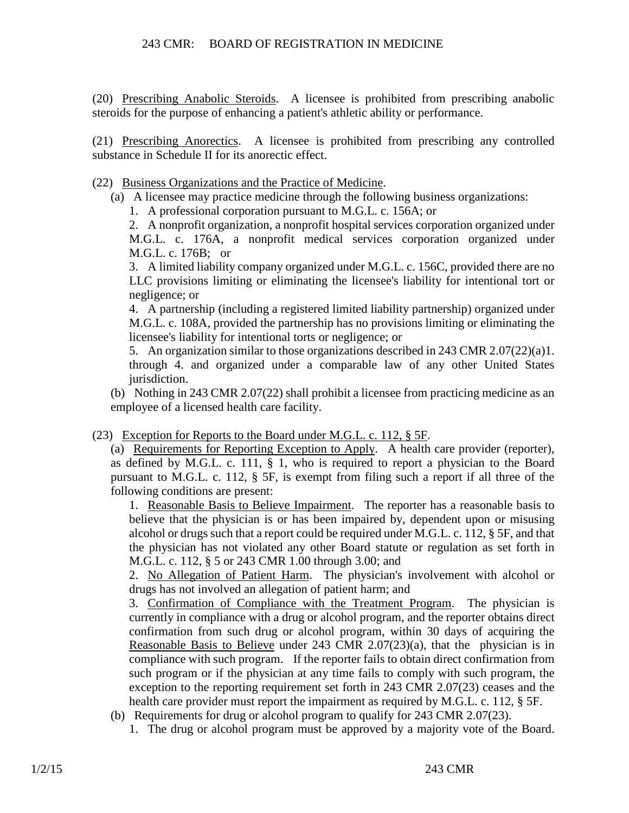(20) Prescribing Anabolic Steroids. A licensee is prohibited from prescribing anabolic steroids for the purpose of enhancing a patient's athletic ability or performance.

(21) Prescribing Anorectics. A licensee is prohibited from prescribing any controlled substance in Schedule II for its anorectic effect.

(22) Business Organizations and the Practice of Medicine.

- (a) A licensee may practice medicine through the following business organizations:
	- 1. A professional corporation pursuant to M.G.L. c. 156A; or

2. A nonprofit organization, a nonprofit hospital services corporation organized under M.G.L. c. 176A, a nonprofit medical services corporation organized under M.G.L. c. 176B; or

3. A limited liability company organized under M.G.L. c. 156C, provided there are no LLC provisions limiting or eliminating the licensee's liability for intentional tort or negligence; or

4. A partnership (including a registered limited liability partnership) organized under M.G.L. c. 108A, provided the partnership has no provisions limiting or eliminating the licensee's liability for intentional torts or negligence; or

5. An organization similar to those organizations described in 243 CMR 2.07(22)(a)1. through 4. and organized under a comparable law of any other United States jurisdiction.

(b) Nothing in 243 CMR 2.07(22) shall prohibit a licensee from practicing medicine as an employee of a licensed health care facility.

(23) Exception for Reports to the Board under M.G.L. c. 112, § 5F.

(a) Requirements for Reporting Exception to Apply. A health care provider (reporter), as defined by M.G.L. c. 111, § 1, who is required to report a physician to the Board pursuant to M.G.L. c. 112, § 5F, is exempt from filing such a report if all three of the following conditions are present:

1. Reasonable Basis to Believe Impairment. The reporter has a reasonable basis to believe that the physician is or has been impaired by, dependent upon or misusing alcohol or drugs such that a report could be required under M.G.L. c. 112, § 5F, and that the physician has not violated any other Board statute or regulation as set forth in M.G.L. c. 112, § 5 or 243 CMR 1.00 through 3.00; and

2. No Allegation of Patient Harm. The physician's involvement with alcohol or drugs has not involved an allegation of patient harm; and

3. Confirmation of Compliance with the Treatment Program. The physician is currently in compliance with a drug or alcohol program, and the reporter obtains direct confirmation from such drug or alcohol program, within 30 days of acquiring the Reasonable Basis to Believe under 243 CMR 2.07(23)(a), that the physician is in compliance with such program. If the reporter fails to obtain direct confirmation from such program or if the physician at any time fails to comply with such program, the exception to the reporting requirement set forth in 243 CMR 2.07(23) ceases and the health care provider must report the impairment as required by M.G.L. c. 112, § 5F.

- (b) Requirements for drug or alcohol program to qualify for 243 CMR 2.07(23).
	- 1. The drug or alcohol program must be approved by a majority vote of the Board.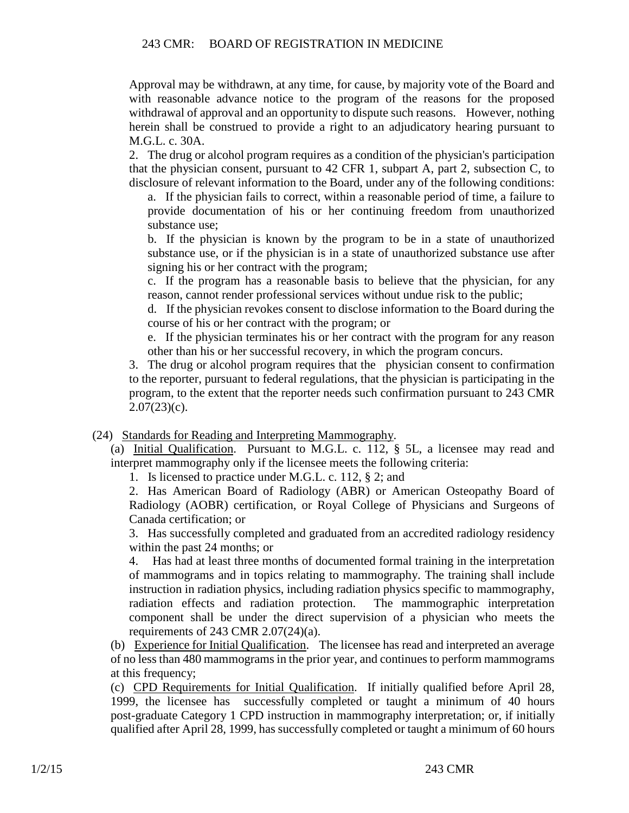Approval may be withdrawn, at any time, for cause, by majority vote of the Board and with reasonable advance notice to the program of the reasons for the proposed withdrawal of approval and an opportunity to dispute such reasons. However, nothing herein shall be construed to provide a right to an adjudicatory hearing pursuant to M.G.L. c. 30A.

2. The drug or alcohol program requires as a condition of the physician's participation that the physician consent, pursuant to 42 CFR 1, subpart A, part 2, subsection C, to disclosure of relevant information to the Board, under any of the following conditions:

a. If the physician fails to correct, within a reasonable period of time, a failure to provide documentation of his or her continuing freedom from unauthorized substance use;

b. If the physician is known by the program to be in a state of unauthorized substance use, or if the physician is in a state of unauthorized substance use after signing his or her contract with the program;

c. If the program has a reasonable basis to believe that the physician, for any reason, cannot render professional services without undue risk to the public;

d. If the physician revokes consent to disclose information to the Board during the course of his or her contract with the program; or

e. If the physician terminates his or her contract with the program for any reason other than his or her successful recovery, in which the program concurs.

3. The drug or alcohol program requires that the physician consent to confirmation to the reporter, pursuant to federal regulations, that the physician is participating in the program, to the extent that the reporter needs such confirmation pursuant to 243 CMR  $2.07(23)(c)$ .

(24) Standards for Reading and Interpreting Mammography.

(a) Initial Qualification. Pursuant to M.G.L. c. 112, § 5L, a licensee may read and interpret mammography only if the licensee meets the following criteria:

1. Is licensed to practice under M.G.L. c. 112, § 2; and

2. Has American Board of Radiology (ABR) or American Osteopathy Board of Radiology (AOBR) certification, or Royal College of Physicians and Surgeons of Canada certification; or

3. Has successfully completed and graduated from an accredited radiology residency within the past 24 months; or

4. Has had at least three months of documented formal training in the interpretation of mammograms and in topics relating to mammography. The training shall include instruction in radiation physics, including radiation physics specific to mammography, radiation effects and radiation protection. The mammographic interpretation component shall be under the direct supervision of a physician who meets the requirements of 243 CMR  $2.07(24)(a)$ .

(b) Experience for Initial Qualification. The licensee has read and interpreted an average of no less than 480 mammograms in the prior year, and continues to perform mammograms at this frequency;

(c) CPD Requirements for Initial Qualification. If initially qualified before April 28, 1999, the licensee has successfully completed or taught a minimum of 40 hours post-graduate Category 1 CPD instruction in mammography interpretation; or, if initially qualified after April 28, 1999, has successfully completed or taught a minimum of 60 hours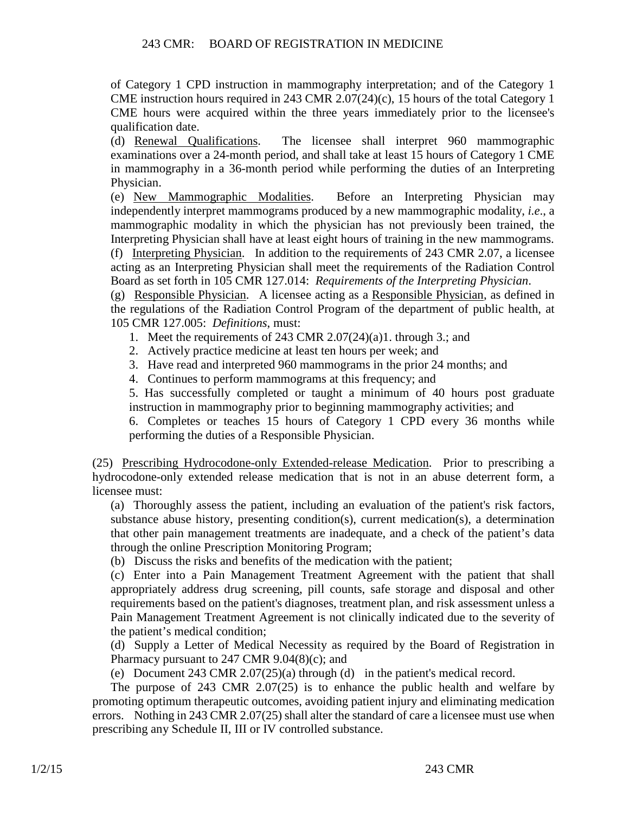of Category 1 CPD instruction in mammography interpretation; and of the Category 1 CME instruction hours required in 243 CMR 2.07(24)(c), 15 hours of the total Category 1 CME hours were acquired within the three years immediately prior to the licensee's qualification date.

(d) Renewal Qualifications. The licensee shall interpret 960 mammographic examinations over a 24-month period, and shall take at least 15 hours of Category 1 CME in mammography in a 36-month period while performing the duties of an Interpreting Physician.

(e) New Mammographic Modalities. Before an Interpreting Physician may independently interpret mammograms produced by a new mammographic modality, *i.e*., a mammographic modality in which the physician has not previously been trained, the Interpreting Physician shall have at least eight hours of training in the new mammograms. (f) Interpreting Physician. In addition to the requirements of 243 CMR 2.07, a licensee acting as an Interpreting Physician shall meet the requirements of the Radiation Control Board as set forth in 105 CMR 127.014: *Requirements of the Interpreting Physician*.

(g) Responsible Physician. A licensee acting as a Responsible Physician, as defined in the regulations of the Radiation Control Program of the department of public health, at 105 CMR 127.005: *Definitions*, must:

- 1. Meet the requirements of 243 CMR 2.07(24)(a)1. through 3.; and
- 2. Actively practice medicine at least ten hours per week; and
- 3. Have read and interpreted 960 mammograms in the prior 24 months; and
- 4. Continues to perform mammograms at this frequency; and

5. Has successfully completed or taught a minimum of 40 hours post graduate instruction in mammography prior to beginning mammography activities; and

6. Completes or teaches 15 hours of Category 1 CPD every 36 months while performing the duties of a Responsible Physician.

(25) Prescribing Hydrocodone-only Extended-release Medication. Prior to prescribing a hydrocodone-only extended release medication that is not in an abuse deterrent form, a licensee must:

(a) Thoroughly assess the patient, including an evaluation of the patient's risk factors, substance abuse history, presenting condition(s), current medication(s), a determination that other pain management treatments are inadequate, and a check of the patient's data through the online Prescription Monitoring Program;

(b) Discuss the risks and benefits of the medication with the patient;

(c) Enter into a Pain Management Treatment Agreement with the patient that shall appropriately address drug screening, pill counts, safe storage and disposal and other requirements based on the patient's diagnoses, treatment plan, and risk assessment unless a Pain Management Treatment Agreement is not clinically indicated due to the severity of the patient's medical condition;

(d) Supply a Letter of Medical Necessity as required by the Board of Registration in Pharmacy pursuant to 247 CMR 9.04(8)(c); and

(e) Document 243 CMR 2.07(25)(a) through (d) in the patient's medical record.

The purpose of 243 CMR 2.07(25) is to enhance the public health and welfare by promoting optimum therapeutic outcomes, avoiding patient injury and eliminating medication errors. Nothing in 243 CMR 2.07(25) shall alter the standard of care a licensee must use when prescribing any Schedule II, III or IV controlled substance.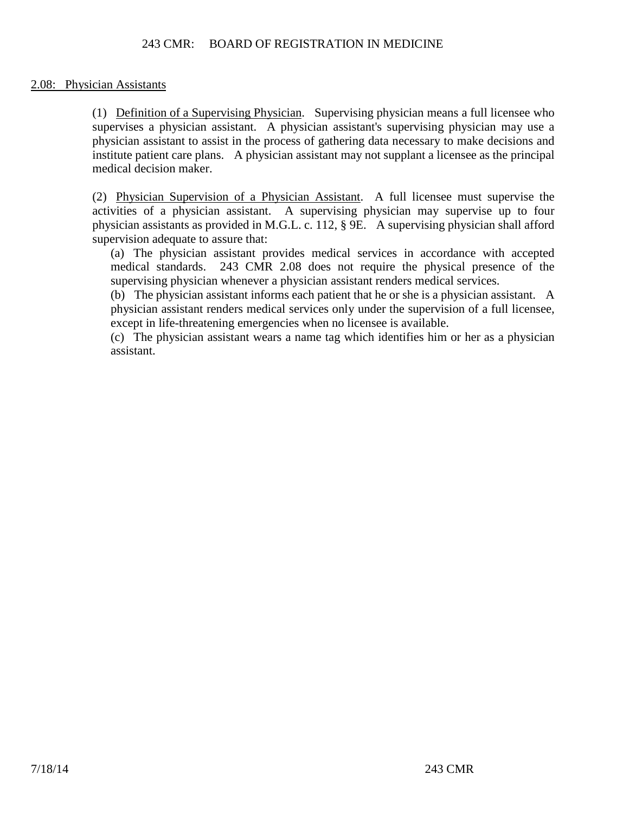# 2.08: Physician Assistants

(1) Definition of a Supervising Physician. Supervising physician means a full licensee who supervises a physician assistant. A physician assistant's supervising physician may use a physician assistant to assist in the process of gathering data necessary to make decisions and institute patient care plans. A physician assistant may not supplant a licensee as the principal medical decision maker.

(2) Physician Supervision of a Physician Assistant. A full licensee must supervise the activities of a physician assistant. A supervising physician may supervise up to four physician assistants as provided in M.G.L. c. 112, § 9E. A supervising physician shall afford supervision adequate to assure that:

(a) The physician assistant provides medical services in accordance with accepted medical standards. 243 CMR 2.08 does not require the physical presence of the supervising physician whenever a physician assistant renders medical services.

(b) The physician assistant informs each patient that he or she is a physician assistant. A physician assistant renders medical services only under the supervision of a full licensee, except in life-threatening emergencies when no licensee is available.

(c) The physician assistant wears a name tag which identifies him or her as a physician assistant.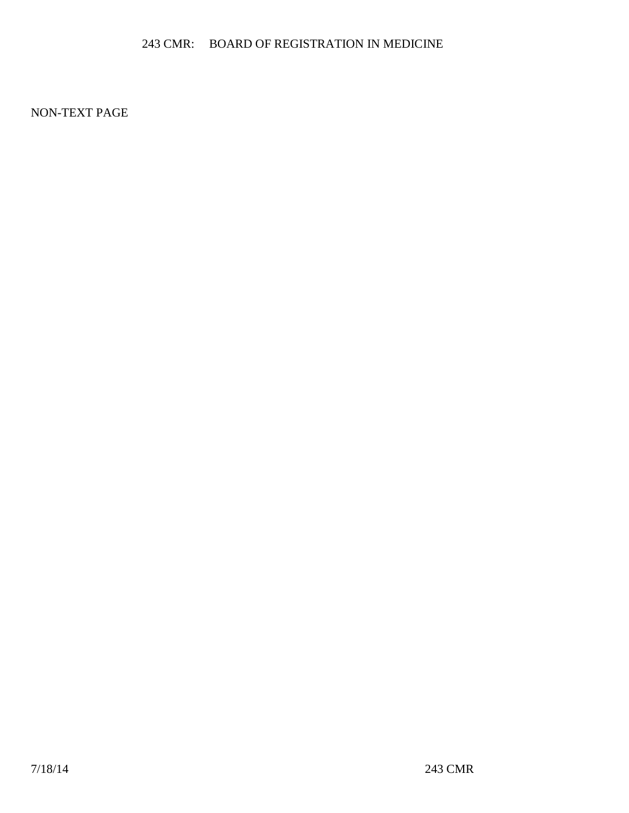NON-TEXT PAGE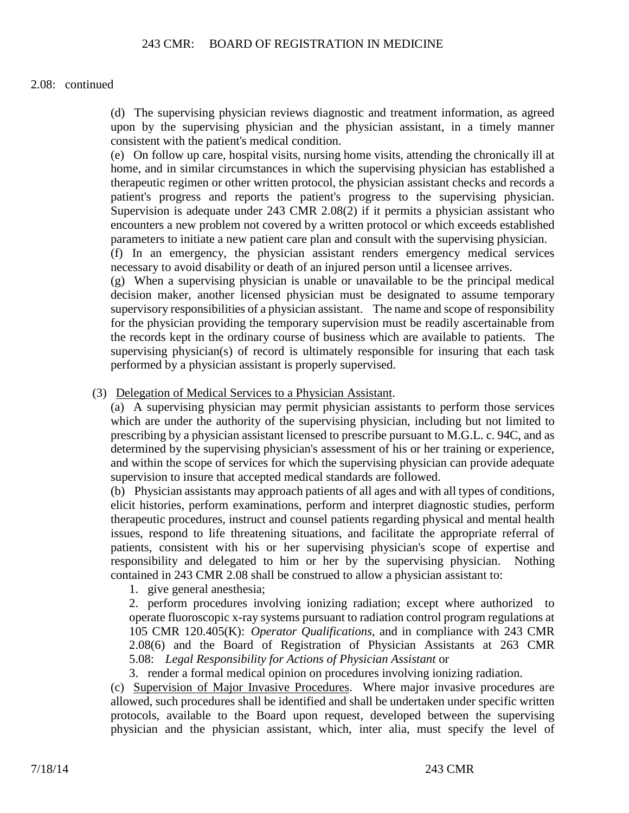#### 2.08: continued

(d) The supervising physician reviews diagnostic and treatment information, as agreed upon by the supervising physician and the physician assistant, in a timely manner consistent with the patient's medical condition.

(e) On follow up care, hospital visits, nursing home visits, attending the chronically ill at home, and in similar circumstances in which the supervising physician has established a therapeutic regimen or other written protocol, the physician assistant checks and records a patient's progress and reports the patient's progress to the supervising physician. Supervision is adequate under 243 CMR 2.08(2) if it permits a physician assistant who encounters a new problem not covered by a written protocol or which exceeds established parameters to initiate a new patient care plan and consult with the supervising physician.

(f) In an emergency, the physician assistant renders emergency medical services necessary to avoid disability or death of an injured person until a licensee arrives.

(g) When a supervising physician is unable or unavailable to be the principal medical decision maker, another licensed physician must be designated to assume temporary supervisory responsibilities of a physician assistant. The name and scope of responsibility for the physician providing the temporary supervision must be readily ascertainable from the records kept in the ordinary course of business which are available to patients. The supervising physician(s) of record is ultimately responsible for insuring that each task performed by a physician assistant is properly supervised.

(3) Delegation of Medical Services to a Physician Assistant.

(a) A supervising physician may permit physician assistants to perform those services which are under the authority of the supervising physician, including but not limited to prescribing by a physician assistant licensed to prescribe pursuant to M.G.L. c. 94C, and as determined by the supervising physician's assessment of his or her training or experience, and within the scope of services for which the supervising physician can provide adequate supervision to insure that accepted medical standards are followed.

(b) Physician assistants may approach patients of all ages and with all types of conditions, elicit histories, perform examinations, perform and interpret diagnostic studies, perform therapeutic procedures, instruct and counsel patients regarding physical and mental health issues, respond to life threatening situations, and facilitate the appropriate referral of patients, consistent with his or her supervising physician's scope of expertise and responsibility and delegated to him or her by the supervising physician. Nothing contained in 243 CMR 2.08 shall be construed to allow a physician assistant to:

1. give general anesthesia;

2. perform procedures involving ionizing radiation; except where authorized to operate fluoroscopic x-ray systems pursuant to radiation control program regulations at 105 CMR 120.405(K): *Operator Qualifications*, and in compliance with 243 CMR 2.08(6) and the Board of Registration of Physician Assistants at 263 CMR 5.08: *Legal Responsibility for Actions of Physician Assistant* or

3. render a formal medical opinion on procedures involving ionizing radiation.

(c) Supervision of Major Invasive Procedures. Where major invasive procedures are allowed, such procedures shall be identified and shall be undertaken under specific written protocols, available to the Board upon request, developed between the supervising physician and the physician assistant, which, inter alia, must specify the level of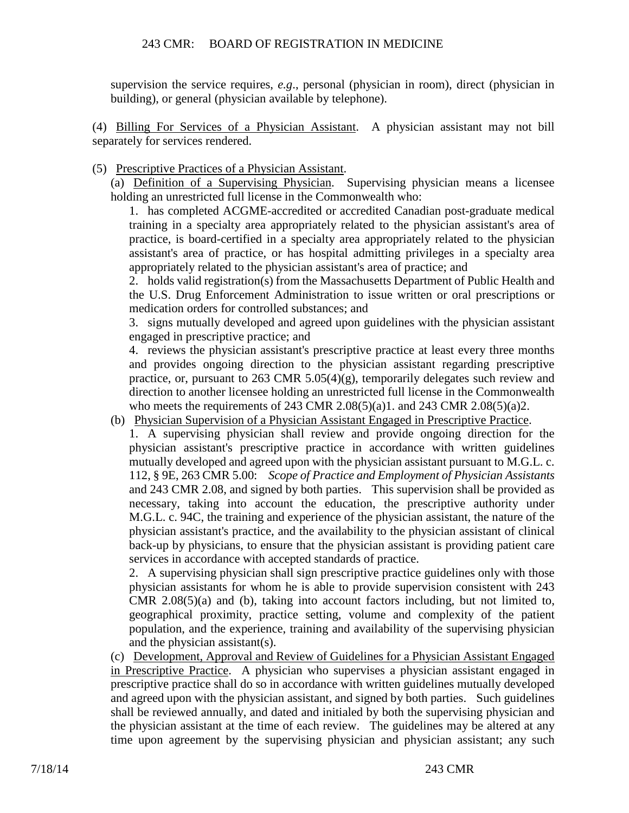supervision the service requires, *e.g*., personal (physician in room), direct (physician in building), or general (physician available by telephone).

(4) Billing For Services of a Physician Assistant. A physician assistant may not bill separately for services rendered.

(5) Prescriptive Practices of a Physician Assistant.

(a) Definition of a Supervising Physician. Supervising physician means a licensee holding an unrestricted full license in the Commonwealth who:

1. has completed ACGME-accredited or accredited Canadian post-graduate medical training in a specialty area appropriately related to the physician assistant's area of practice, is board-certified in a specialty area appropriately related to the physician assistant's area of practice, or has hospital admitting privileges in a specialty area appropriately related to the physician assistant's area of practice; and

2. holds valid registration(s) from the Massachusetts Department of Public Health and the U.S. Drug Enforcement Administration to issue written or oral prescriptions or medication orders for controlled substances; and

3. signs mutually developed and agreed upon guidelines with the physician assistant engaged in prescriptive practice; and

4. reviews the physician assistant's prescriptive practice at least every three months and provides ongoing direction to the physician assistant regarding prescriptive practice, or, pursuant to 263 CMR 5.05(4)(g), temporarily delegates such review and direction to another licensee holding an unrestricted full license in the Commonwealth who meets the requirements of 243 CMR 2.08(5)(a)1. and 243 CMR 2.08(5)(a)2.

(b) Physician Supervision of a Physician Assistant Engaged in Prescriptive Practice.

1. A supervising physician shall review and provide ongoing direction for the physician assistant's prescriptive practice in accordance with written guidelines mutually developed and agreed upon with the physician assistant pursuant to M.G.L. c. 112, § 9E, 263 CMR 5.00: *Scope of Practice and Employment of Physician Assistants*  and 243 CMR 2.08, and signed by both parties. This supervision shall be provided as necessary, taking into account the education, the prescriptive authority under M.G.L. c. 94C, the training and experience of the physician assistant, the nature of the physician assistant's practice, and the availability to the physician assistant of clinical back-up by physicians, to ensure that the physician assistant is providing patient care services in accordance with accepted standards of practice.

2. A supervising physician shall sign prescriptive practice guidelines only with those physician assistants for whom he is able to provide supervision consistent with 243 CMR 2.08(5)(a) and (b), taking into account factors including, but not limited to, geographical proximity, practice setting, volume and complexity of the patient population, and the experience, training and availability of the supervising physician and the physician assistant(s).

(c) Development, Approval and Review of Guidelines for a Physician Assistant Engaged in Prescriptive Practice. A physician who supervises a physician assistant engaged in prescriptive practice shall do so in accordance with written guidelines mutually developed and agreed upon with the physician assistant, and signed by both parties. Such guidelines shall be reviewed annually, and dated and initialed by both the supervising physician and the physician assistant at the time of each review. The guidelines may be altered at any time upon agreement by the supervising physician and physician assistant; any such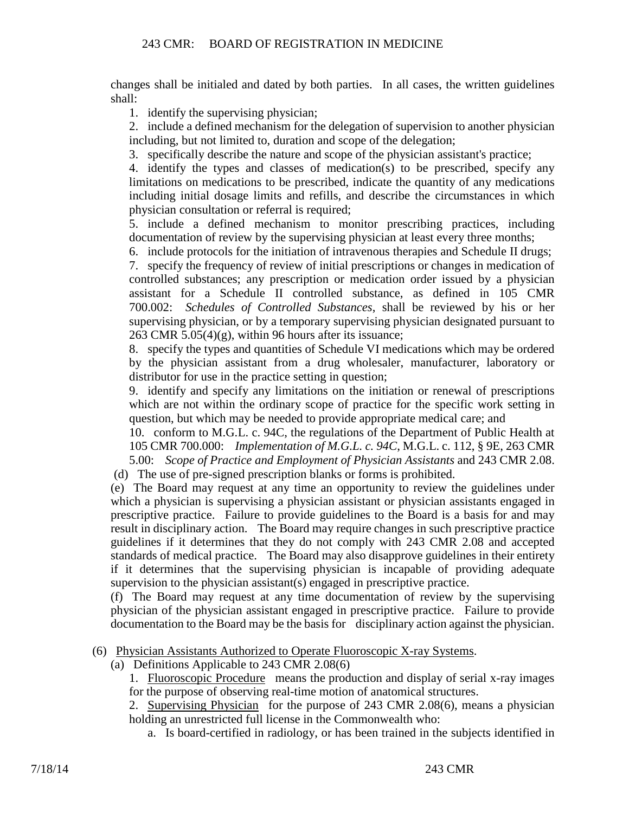changes shall be initialed and dated by both parties. In all cases, the written guidelines shall:

1. identify the supervising physician;

2. include a defined mechanism for the delegation of supervision to another physician including, but not limited to, duration and scope of the delegation;

3. specifically describe the nature and scope of the physician assistant's practice;

4. identify the types and classes of medication(s) to be prescribed, specify any limitations on medications to be prescribed, indicate the quantity of any medications including initial dosage limits and refills, and describe the circumstances in which physician consultation or referral is required;

5. include a defined mechanism to monitor prescribing practices, including documentation of review by the supervising physician at least every three months;

6. include protocols for the initiation of intravenous therapies and Schedule II drugs;

7. specify the frequency of review of initial prescriptions or changes in medication of controlled substances; any prescription or medication order issued by a physician assistant for a Schedule II controlled substance, as defined in 105 CMR 700.002: *Schedules of Controlled Substances*, shall be reviewed by his or her supervising physician, or by a temporary supervising physician designated pursuant to 263 CMR  $5.05(4)(g)$ , within 96 hours after its issuance;

8. specify the types and quantities of Schedule VI medications which may be ordered by the physician assistant from a drug wholesaler, manufacturer, laboratory or distributor for use in the practice setting in question;

9. identify and specify any limitations on the initiation or renewal of prescriptions which are not within the ordinary scope of practice for the specific work setting in question, but which may be needed to provide appropriate medical care; and

10. conform to M.G.L. c. 94C, the regulations of the Department of Public Health at 105 CMR 700.000: *Implementation of M.G.L. c. 94C*, M.G.L. c. 112, § 9E, 263 CMR 5.00: *Scope of Practice and Employment of Physician Assistants* and 243 CMR 2.08.

(d) The use of pre-signed prescription blanks or forms is prohibited.

(e) The Board may request at any time an opportunity to review the guidelines under which a physician is supervising a physician assistant or physician assistants engaged in prescriptive practice. Failure to provide guidelines to the Board is a basis for and may result in disciplinary action. The Board may require changes in such prescriptive practice guidelines if it determines that they do not comply with 243 CMR 2.08 and accepted standards of medical practice. The Board may also disapprove guidelines in their entirety if it determines that the supervising physician is incapable of providing adequate supervision to the physician assistant(s) engaged in prescriptive practice.

(f) The Board may request at any time documentation of review by the supervising physician of the physician assistant engaged in prescriptive practice. Failure to provide documentation to the Board may be the basis for disciplinary action against the physician.

# (6) Physician Assistants Authorized to Operate Fluoroscopic X-ray Systems.

(a) Definitions Applicable to 243 CMR 2.08(6)

1. Fluoroscopic Procedure means the production and display of serial x-ray images for the purpose of observing real-time motion of anatomical structures.

2. Supervising Physician for the purpose of 243 CMR 2.08(6), means a physician holding an unrestricted full license in the Commonwealth who:

a. Is board-certified in radiology, or has been trained in the subjects identified in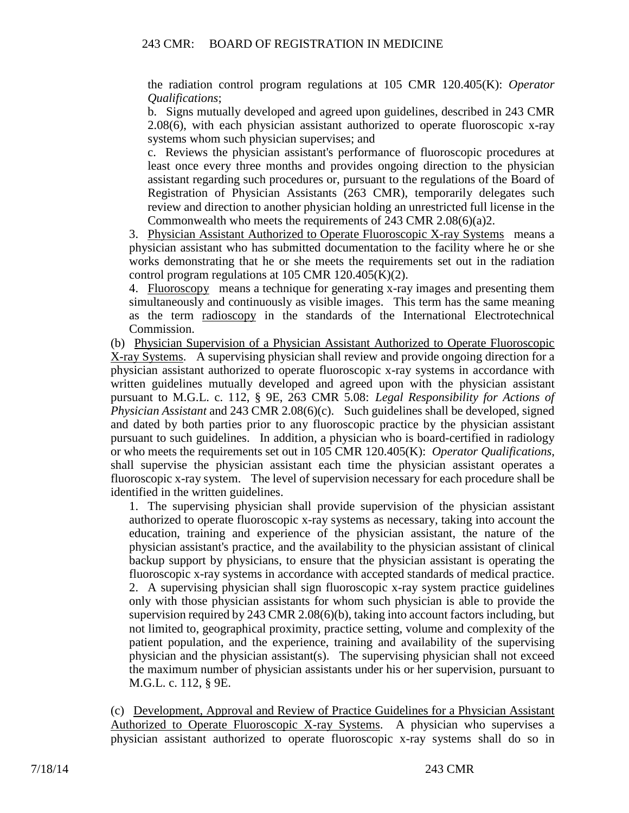the radiation control program regulations at 105 CMR 120.405(K): *Operator Qualifications*;

b. Signs mutually developed and agreed upon guidelines, described in 243 CMR 2.08(6), with each physician assistant authorized to operate fluoroscopic x-ray systems whom such physician supervises; and

c. Reviews the physician assistant's performance of fluoroscopic procedures at least once every three months and provides ongoing direction to the physician assistant regarding such procedures or, pursuant to the regulations of the Board of Registration of Physician Assistants (263 CMR), temporarily delegates such review and direction to another physician holding an unrestricted full license in the Commonwealth who meets the requirements of 243 CMR 2.08(6)(a)2.

3. Physician Assistant Authorized to Operate Fluoroscopic X-ray Systems means a physician assistant who has submitted documentation to the facility where he or she works demonstrating that he or she meets the requirements set out in the radiation control program regulations at  $105$  CMR  $120.405(K)(2)$ .

4. Fluoroscopy means a technique for generating x-ray images and presenting them simultaneously and continuously as visible images. This term has the same meaning as the term radioscopy in the standards of the International Electrotechnical Commission.

(b) Physician Supervision of a Physician Assistant Authorized to Operate Fluoroscopic X-ray Systems. A supervising physician shall review and provide ongoing direction for a physician assistant authorized to operate fluoroscopic x-ray systems in accordance with written guidelines mutually developed and agreed upon with the physician assistant pursuant to M.G.L. c. 112, § 9E, 263 CMR 5.08: *Legal Responsibility for Actions of Physician Assistant* and 243 CMR 2.08(6)(c). Such guidelines shall be developed, signed and dated by both parties prior to any fluoroscopic practice by the physician assistant pursuant to such guidelines. In addition, a physician who is board-certified in radiology or who meets the requirements set out in 105 CMR 120.405(K): *Operator Qualifications*, shall supervise the physician assistant each time the physician assistant operates a fluoroscopic x-ray system. The level of supervision necessary for each procedure shall be identified in the written guidelines.

1. The supervising physician shall provide supervision of the physician assistant authorized to operate fluoroscopic x-ray systems as necessary, taking into account the education, training and experience of the physician assistant, the nature of the physician assistant's practice, and the availability to the physician assistant of clinical backup support by physicians, to ensure that the physician assistant is operating the fluoroscopic x-ray systems in accordance with accepted standards of medical practice. 2. A supervising physician shall sign fluoroscopic x-ray system practice guidelines only with those physician assistants for whom such physician is able to provide the supervision required by 243 CMR 2.08(6)(b), taking into account factors including, but not limited to, geographical proximity, practice setting, volume and complexity of the patient population, and the experience, training and availability of the supervising physician and the physician assistant(s). The supervising physician shall not exceed the maximum number of physician assistants under his or her supervision, pursuant to M.G.L. c. 112, § 9E.

(c) Development, Approval and Review of Practice Guidelines for a Physician Assistant Authorized to Operate Fluoroscopic X-ray Systems. A physician who supervises a physician assistant authorized to operate fluoroscopic x-ray systems shall do so in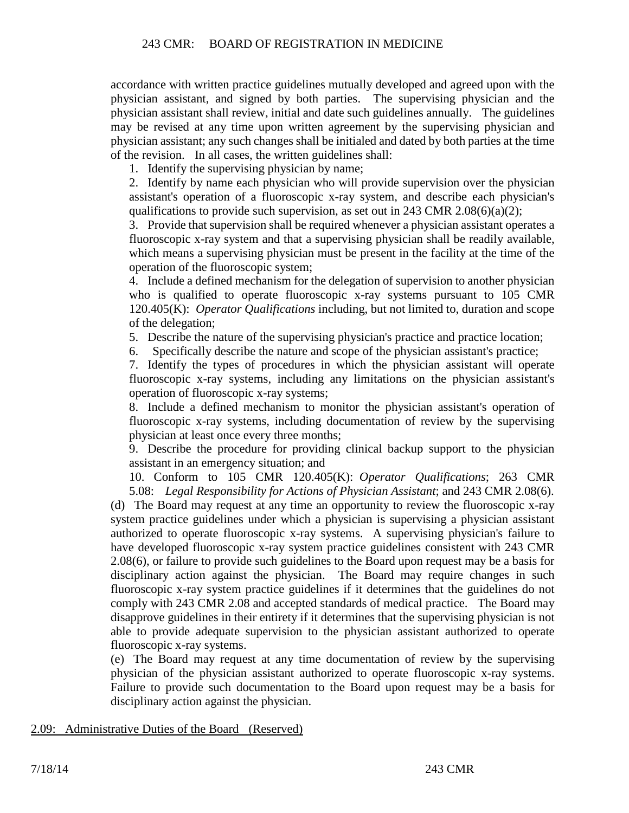accordance with written practice guidelines mutually developed and agreed upon with the physician assistant, and signed by both parties. The supervising physician and the physician assistant shall review, initial and date such guidelines annually. The guidelines may be revised at any time upon written agreement by the supervising physician and physician assistant; any such changes shall be initialed and dated by both parties at the time of the revision. In all cases, the written guidelines shall:

1. Identify the supervising physician by name;

2. Identify by name each physician who will provide supervision over the physician assistant's operation of a fluoroscopic x-ray system, and describe each physician's qualifications to provide such supervision, as set out in 243 CMR 2.08(6)(a)(2);

3. Provide that supervision shall be required whenever a physician assistant operates a fluoroscopic x-ray system and that a supervising physician shall be readily available, which means a supervising physician must be present in the facility at the time of the operation of the fluoroscopic system;

4. Include a defined mechanism for the delegation of supervision to another physician who is qualified to operate fluoroscopic x-ray systems pursuant to 105 CMR 120.405(K): *Operator Qualifications* including, but not limited to, duration and scope of the delegation;

5. Describe the nature of the supervising physician's practice and practice location;

6. Specifically describe the nature and scope of the physician assistant's practice;

7. Identify the types of procedures in which the physician assistant will operate fluoroscopic x-ray systems, including any limitations on the physician assistant's operation of fluoroscopic x-ray systems;

8. Include a defined mechanism to monitor the physician assistant's operation of fluoroscopic x-ray systems, including documentation of review by the supervising physician at least once every three months;

9. Describe the procedure for providing clinical backup support to the physician assistant in an emergency situation; and

10. Conform to 105 CMR 120.405(K): *Operator Qualifications*; 263 CMR 5.08: *Legal Responsibility for Actions of Physician Assistant*; and 243 CMR 2.08(6).

(d) The Board may request at any time an opportunity to review the fluoroscopic x-ray system practice guidelines under which a physician is supervising a physician assistant authorized to operate fluoroscopic x-ray systems. A supervising physician's failure to have developed fluoroscopic x-ray system practice guidelines consistent with 243 CMR 2.08(6), or failure to provide such guidelines to the Board upon request may be a basis for disciplinary action against the physician. The Board may require changes in such fluoroscopic x-ray system practice guidelines if it determines that the guidelines do not comply with 243 CMR 2.08 and accepted standards of medical practice. The Board may disapprove guidelines in their entirety if it determines that the supervising physician is not able to provide adequate supervision to the physician assistant authorized to operate fluoroscopic x-ray systems.

(e) The Board may request at any time documentation of review by the supervising physician of the physician assistant authorized to operate fluoroscopic x-ray systems. Failure to provide such documentation to the Board upon request may be a basis for disciplinary action against the physician.

2.09: Administrative Duties of the Board (Reserved)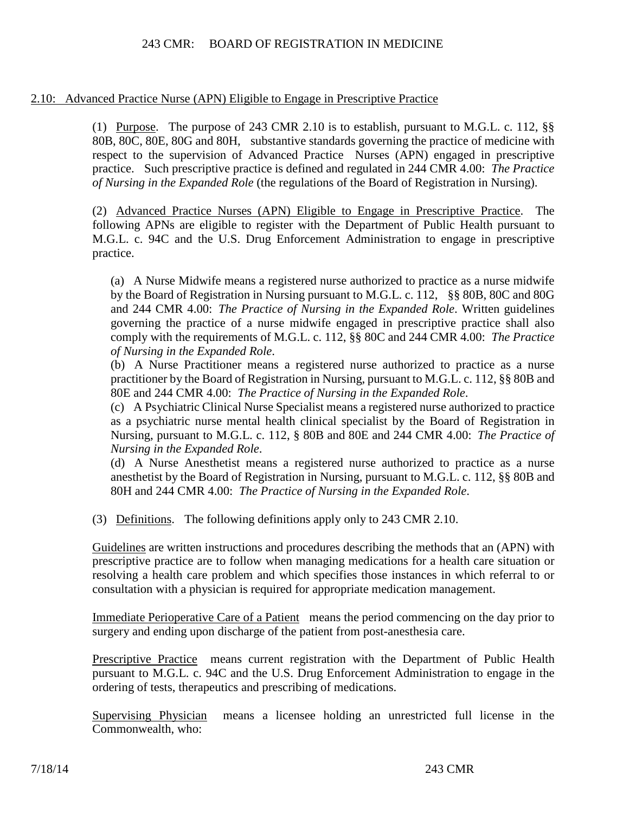2.10: Advanced Practice Nurse (APN) Eligible to Engage in Prescriptive Practice

(1) Purpose. The purpose of 243 CMR 2.10 is to establish, pursuant to M.G.L. c. 112, §§ 80B, 80C, 80E, 80G and 80H, substantive standards governing the practice of medicine with respect to the supervision of Advanced Practice Nurses (APN) engaged in prescriptive practice. Such prescriptive practice is defined and regulated in 244 CMR 4.00: *The Practice of Nursing in the Expanded Role* (the regulations of the Board of Registration in Nursing).

(2) Advanced Practice Nurses (APN) Eligible to Engage in Prescriptive Practice. The following APNs are eligible to register with the Department of Public Health pursuant to M.G.L. c. 94C and the U.S. Drug Enforcement Administration to engage in prescriptive practice.

(a) A Nurse Midwife means a registered nurse authorized to practice as a nurse midwife by the Board of Registration in Nursing pursuant to M.G.L. c. 112, §§ 80B, 80C and 80G and 244 CMR 4.00: *The Practice of Nursing in the Expanded Role*. Written guidelines governing the practice of a nurse midwife engaged in prescriptive practice shall also comply with the requirements of M.G.L. c. 112, §§ 80C and 244 CMR 4.00: *The Practice of Nursing in the Expanded Role*.

(b) A Nurse Practitioner means a registered nurse authorized to practice as a nurse practitioner by the Board of Registration in Nursing, pursuant to M.G.L. c. 112, §§ 80B and 80E and 244 CMR 4.00: *The Practice of Nursing in the Expanded Role*.

(c) A Psychiatric Clinical Nurse Specialist means a registered nurse authorized to practice as a psychiatric nurse mental health clinical specialist by the Board of Registration in Nursing, pursuant to M.G.L. c. 112, § 80B and 80E and 244 CMR 4.00: *The Practice of Nursing in the Expanded Role*.

(d) A Nurse Anesthetist means a registered nurse authorized to practice as a nurse anesthetist by the Board of Registration in Nursing, pursuant to M.G.L. c. 112, §§ 80B and 80H and 244 CMR 4.00: *The Practice of Nursing in the Expanded Role*.

(3) Definitions. The following definitions apply only to 243 CMR 2.10.

Guidelines are written instructions and procedures describing the methods that an (APN) with prescriptive practice are to follow when managing medications for a health care situation or resolving a health care problem and which specifies those instances in which referral to or consultation with a physician is required for appropriate medication management.

Immediate Perioperative Care of a Patient means the period commencing on the day prior to surgery and ending upon discharge of the patient from post-anesthesia care.

Prescriptive Practice means current registration with the Department of Public Health pursuant to M.G.L. c. 94C and the U.S. Drug Enforcement Administration to engage in the ordering of tests, therapeutics and prescribing of medications.

Supervising Physician means a licensee holding an unrestricted full license in the Commonwealth, who: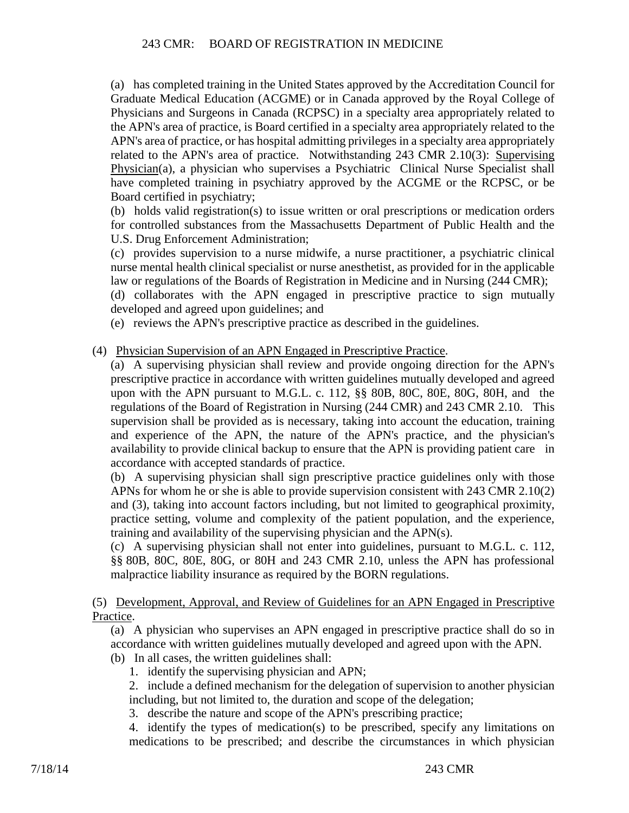(a) has completed training in the United States approved by the Accreditation Council for Graduate Medical Education (ACGME) or in Canada approved by the Royal College of Physicians and Surgeons in Canada (RCPSC) in a specialty area appropriately related to the APN's area of practice, is Board certified in a specialty area appropriately related to the APN's area of practice, or has hospital admitting privileges in a specialty area appropriately related to the APN's area of practice. Notwithstanding 243 CMR 2.10(3): Supervising Physician(a), a physician who supervises a Psychiatric Clinical Nurse Specialist shall have completed training in psychiatry approved by the ACGME or the RCPSC, or be Board certified in psychiatry;

(b) holds valid registration(s) to issue written or oral prescriptions or medication orders for controlled substances from the Massachusetts Department of Public Health and the U.S. Drug Enforcement Administration;

(c) provides supervision to a nurse midwife, a nurse practitioner, a psychiatric clinical nurse mental health clinical specialist or nurse anesthetist, as provided for in the applicable law or regulations of the Boards of Registration in Medicine and in Nursing (244 CMR);

(d) collaborates with the APN engaged in prescriptive practice to sign mutually developed and agreed upon guidelines; and

- (e) reviews the APN's prescriptive practice as described in the guidelines.
- (4) Physician Supervision of an APN Engaged in Prescriptive Practice.
	- (a) A supervising physician shall review and provide ongoing direction for the APN's prescriptive practice in accordance with written guidelines mutually developed and agreed upon with the APN pursuant to M.G.L. c. 112, §§ 80B, 80C, 80E, 80G, 80H, and the regulations of the Board of Registration in Nursing (244 CMR) and 243 CMR 2.10. This supervision shall be provided as is necessary, taking into account the education, training and experience of the APN, the nature of the APN's practice, and the physician's availability to provide clinical backup to ensure that the APN is providing patient care in accordance with accepted standards of practice.

(b) A supervising physician shall sign prescriptive practice guidelines only with those APNs for whom he or she is able to provide supervision consistent with 243 CMR 2.10(2) and (3), taking into account factors including, but not limited to geographical proximity, practice setting, volume and complexity of the patient population, and the experience, training and availability of the supervising physician and the APN(s).

(c) A supervising physician shall not enter into guidelines, pursuant to M.G.L. c. 112, §§ 80B, 80C, 80E, 80G, or 80H and 243 CMR 2.10, unless the APN has professional malpractice liability insurance as required by the BORN regulations.

(5) Development, Approval, and Review of Guidelines for an APN Engaged in Prescriptive Practice.

(a) A physician who supervises an APN engaged in prescriptive practice shall do so in accordance with written guidelines mutually developed and agreed upon with the APN. (b) In all cases, the written guidelines shall:

- 1. identify the supervising physician and APN;
	- 2. include a defined mechanism for the delegation of supervision to another physician including, but not limited to, the duration and scope of the delegation;
	- 3. describe the nature and scope of the APN's prescribing practice;

4. identify the types of medication(s) to be prescribed, specify any limitations on medications to be prescribed; and describe the circumstances in which physician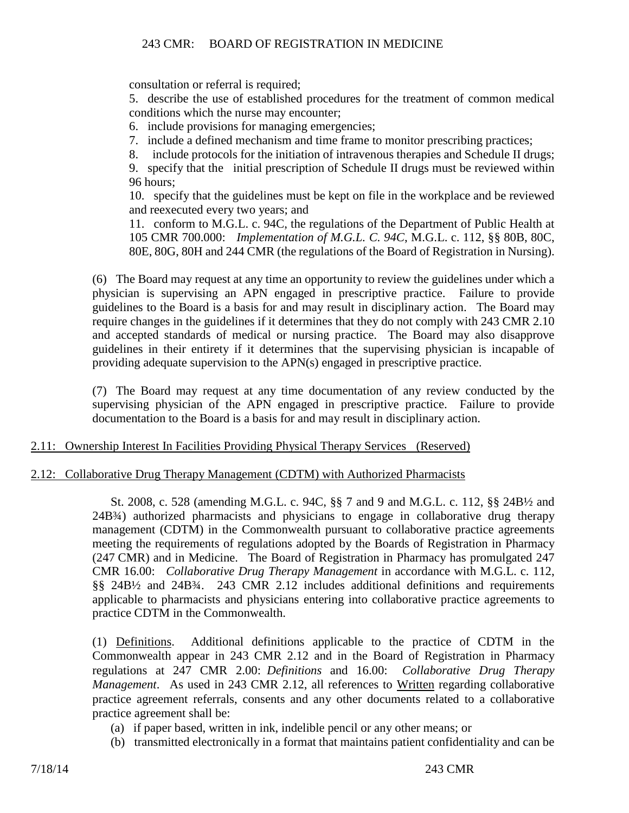consultation or referral is required;

5. describe the use of established procedures for the treatment of common medical conditions which the nurse may encounter;

6. include provisions for managing emergencies;

7. include a defined mechanism and time frame to monitor prescribing practices;

8. include protocols for the initiation of intravenous therapies and Schedule II drugs;

9. specify that the initial prescription of Schedule II drugs must be reviewed within 96 hours;

10. specify that the guidelines must be kept on file in the workplace and be reviewed and reexecuted every two years; and

11. conform to M.G.L. c. 94C, the regulations of the Department of Public Health at 105 CMR 700.000: *Implementation of M.G.L. C. 94C*, M.G.L. c. 112, §§ 80B, 80C, 80E, 80G, 80H and 244 CMR (the regulations of the Board of Registration in Nursing).

(6) The Board may request at any time an opportunity to review the guidelines under which a physician is supervising an APN engaged in prescriptive practice. Failure to provide guidelines to the Board is a basis for and may result in disciplinary action. The Board may require changes in the guidelines if it determines that they do not comply with 243 CMR 2.10 and accepted standards of medical or nursing practice. The Board may also disapprove guidelines in their entirety if it determines that the supervising physician is incapable of providing adequate supervision to the APN(s) engaged in prescriptive practice.

(7) The Board may request at any time documentation of any review conducted by the supervising physician of the APN engaged in prescriptive practice. Failure to provide documentation to the Board is a basis for and may result in disciplinary action.

# 2.11: Ownership Interest In Facilities Providing Physical Therapy Services (Reserved)

# 2.12: Collaborative Drug Therapy Management (CDTM) with Authorized Pharmacists

St. 2008, c. 528 (amending M.G.L. c. 94C, §§ 7 and 9 and M.G.L. c. 112, §§ 24B½ and 24B¾) authorized pharmacists and physicians to engage in collaborative drug therapy management (CDTM) in the Commonwealth pursuant to collaborative practice agreements meeting the requirements of regulations adopted by the Boards of Registration in Pharmacy (247 CMR) and in Medicine. The Board of Registration in Pharmacy has promulgated 247 CMR 16.00: *Collaborative Drug Therapy Management* in accordance with M.G.L. c. 112, §§ 24B½ and 24B¾. 243 CMR 2.12 includes additional definitions and requirements applicable to pharmacists and physicians entering into collaborative practice agreements to practice CDTM in the Commonwealth.

(1) Definitions. Additional definitions applicable to the practice of CDTM in the Commonwealth appear in 243 CMR 2.12 and in the Board of Registration in Pharmacy regulations at 247 CMR 2.00: *Definitions* and 16.00: *Collaborative Drug Therapy Management*. As used in 243 CMR 2.12, all references to Written regarding collaborative practice agreement referrals, consents and any other documents related to a collaborative practice agreement shall be:

- (a) if paper based, written in ink, indelible pencil or any other means; or
- (b) transmitted electronically in a format that maintains patient confidentiality and can be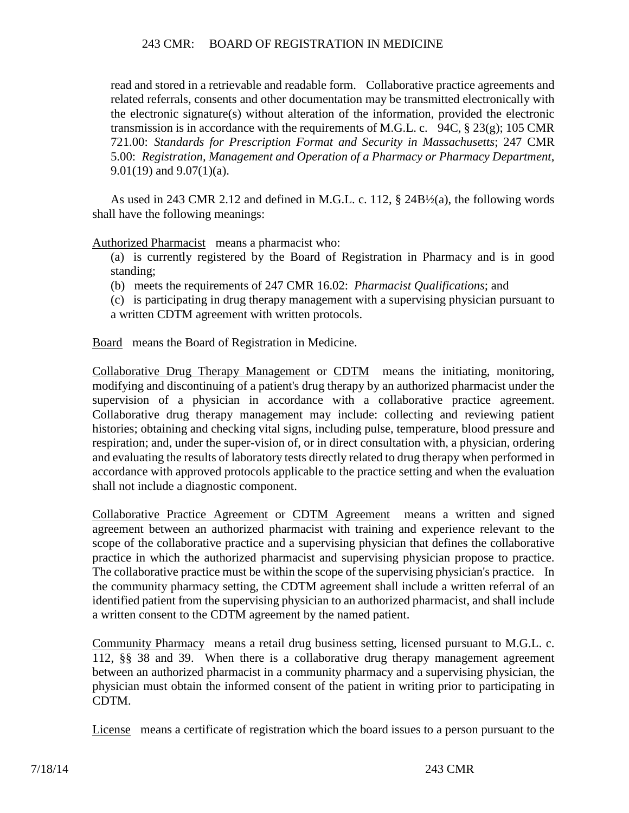read and stored in a retrievable and readable form. Collaborative practice agreements and related referrals, consents and other documentation may be transmitted electronically with the electronic signature(s) without alteration of the information, provided the electronic transmission is in accordance with the requirements of M.G.L. c. 94C,  $\S 23(g)$ ; 105 CMR 721.00: *Standards for Prescription Format and Security in Massachusetts*; 247 CMR 5.00: *Registration, Management and Operation of a Pharmacy or Pharmacy Department*, 9.01(19) and 9.07(1)(a).

As used in 243 CMR 2.12 and defined in M.G.L. c. 112, § 24B½(a), the following words shall have the following meanings:

Authorized Pharmacist means a pharmacist who:

(a) is currently registered by the Board of Registration in Pharmacy and is in good standing;

(b) meets the requirements of 247 CMR 16.02: *Pharmacist Qualifications*; and

(c) is participating in drug therapy management with a supervising physician pursuant to a written CDTM agreement with written protocols.

Board means the Board of Registration in Medicine.

Collaborative Drug Therapy Management or CDTM means the initiating, monitoring, modifying and discontinuing of a patient's drug therapy by an authorized pharmacist under the supervision of a physician in accordance with a collaborative practice agreement. Collaborative drug therapy management may include: collecting and reviewing patient histories; obtaining and checking vital signs, including pulse, temperature, blood pressure and respiration; and, under the super-vision of, or in direct consultation with, a physician, ordering and evaluating the results of laboratory tests directly related to drug therapy when performed in accordance with approved protocols applicable to the practice setting and when the evaluation shall not include a diagnostic component.

Collaborative Practice Agreement or CDTM Agreement means a written and signed agreement between an authorized pharmacist with training and experience relevant to the scope of the collaborative practice and a supervising physician that defines the collaborative practice in which the authorized pharmacist and supervising physician propose to practice. The collaborative practice must be within the scope of the supervising physician's practice. In the community pharmacy setting, the CDTM agreement shall include a written referral of an identified patient from the supervising physician to an authorized pharmacist, and shall include a written consent to the CDTM agreement by the named patient.

Community Pharmacy means a retail drug business setting, licensed pursuant to M.G.L. c. 112, §§ 38 and 39. When there is a collaborative drug therapy management agreement between an authorized pharmacist in a community pharmacy and a supervising physician, the physician must obtain the informed consent of the patient in writing prior to participating in CDTM.

License means a certificate of registration which the board issues to a person pursuant to the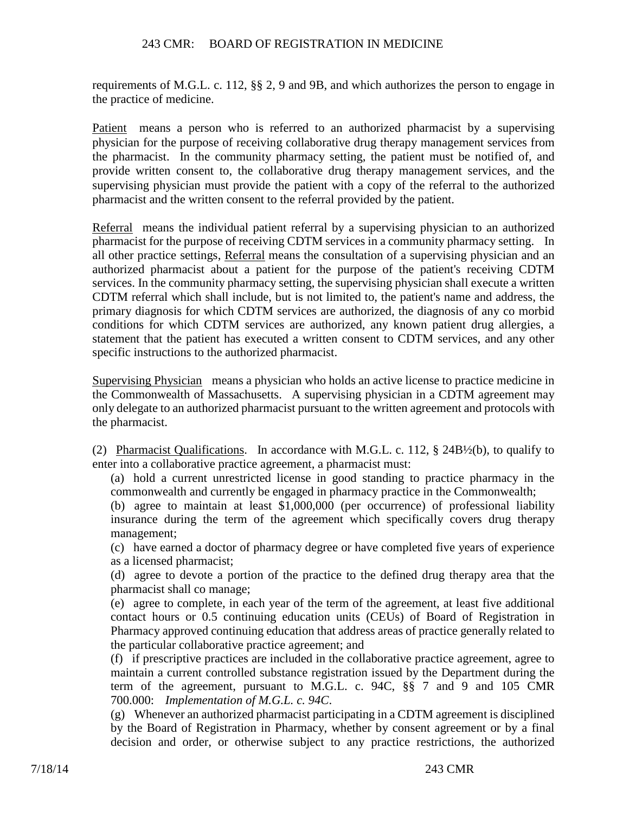requirements of M.G.L. c. 112, §§ 2, 9 and 9B, and which authorizes the person to engage in the practice of medicine.

Patient means a person who is referred to an authorized pharmacist by a supervising physician for the purpose of receiving collaborative drug therapy management services from the pharmacist. In the community pharmacy setting, the patient must be notified of, and provide written consent to, the collaborative drug therapy management services, and the supervising physician must provide the patient with a copy of the referral to the authorized pharmacist and the written consent to the referral provided by the patient.

Referral means the individual patient referral by a supervising physician to an authorized pharmacist for the purpose of receiving CDTM services in a community pharmacy setting. In all other practice settings, Referral means the consultation of a supervising physician and an authorized pharmacist about a patient for the purpose of the patient's receiving CDTM services. In the community pharmacy setting, the supervising physician shall execute a written CDTM referral which shall include, but is not limited to, the patient's name and address, the primary diagnosis for which CDTM services are authorized, the diagnosis of any co morbid conditions for which CDTM services are authorized, any known patient drug allergies, a statement that the patient has executed a written consent to CDTM services, and any other specific instructions to the authorized pharmacist.

Supervising Physician means a physician who holds an active license to practice medicine in the Commonwealth of Massachusetts. A supervising physician in a CDTM agreement may only delegate to an authorized pharmacist pursuant to the written agreement and protocols with the pharmacist.

(2) Pharmacist Qualifications. In accordance with M.G.L. c. 112, § 24B½(b), to qualify to enter into a collaborative practice agreement, a pharmacist must:

(a) hold a current unrestricted license in good standing to practice pharmacy in the commonwealth and currently be engaged in pharmacy practice in the Commonwealth;

(b) agree to maintain at least \$1,000,000 (per occurrence) of professional liability insurance during the term of the agreement which specifically covers drug therapy management;

(c) have earned a doctor of pharmacy degree or have completed five years of experience as a licensed pharmacist;

(d) agree to devote a portion of the practice to the defined drug therapy area that the pharmacist shall co manage;

(e) agree to complete, in each year of the term of the agreement, at least five additional contact hours or 0.5 continuing education units (CEUs) of Board of Registration in Pharmacy approved continuing education that address areas of practice generally related to the particular collaborative practice agreement; and

(f) if prescriptive practices are included in the collaborative practice agreement, agree to maintain a current controlled substance registration issued by the Department during the term of the agreement, pursuant to M.G.L. c. 94C, §§ 7 and 9 and 105 CMR 700.000: *Implementation of M.G.L. c. 94C*.

(g) Whenever an authorized pharmacist participating in a CDTM agreement is disciplined by the Board of Registration in Pharmacy, whether by consent agreement or by a final decision and order, or otherwise subject to any practice restrictions, the authorized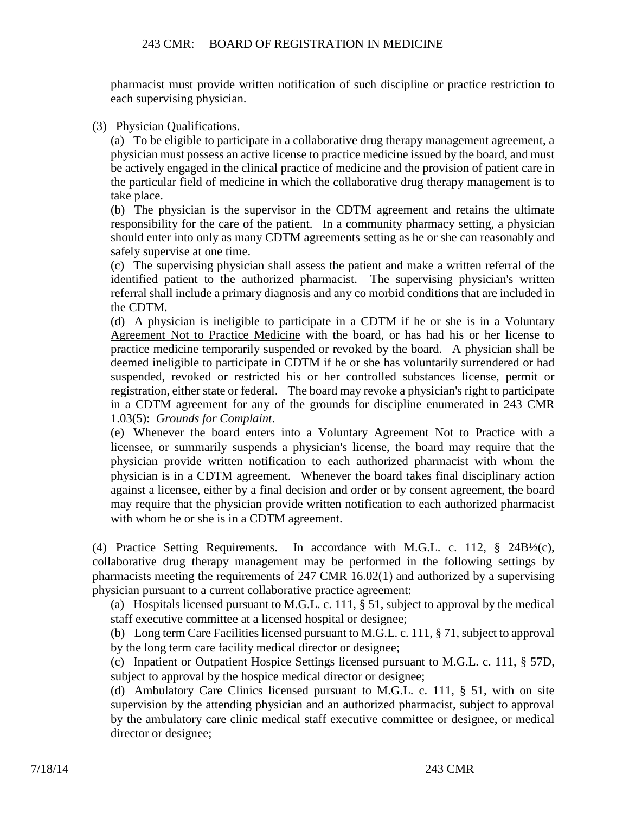pharmacist must provide written notification of such discipline or practice restriction to each supervising physician.

(3) Physician Qualifications.

(a) To be eligible to participate in a collaborative drug therapy management agreement, a physician must possess an active license to practice medicine issued by the board, and must be actively engaged in the clinical practice of medicine and the provision of patient care in the particular field of medicine in which the collaborative drug therapy management is to take place.

(b) The physician is the supervisor in the CDTM agreement and retains the ultimate responsibility for the care of the patient. In a community pharmacy setting, a physician should enter into only as many CDTM agreements setting as he or she can reasonably and safely supervise at one time.

(c) The supervising physician shall assess the patient and make a written referral of the identified patient to the authorized pharmacist. The supervising physician's written referral shall include a primary diagnosis and any co morbid conditions that are included in the CDTM.

(d) A physician is ineligible to participate in a CDTM if he or she is in a Voluntary Agreement Not to Practice Medicine with the board, or has had his or her license to practice medicine temporarily suspended or revoked by the board. A physician shall be deemed ineligible to participate in CDTM if he or she has voluntarily surrendered or had suspended, revoked or restricted his or her controlled substances license, permit or registration, either state or federal. The board may revoke a physician's right to participate in a CDTM agreement for any of the grounds for discipline enumerated in 243 CMR 1.03(5): *Grounds for Complaint*.

(e) Whenever the board enters into a Voluntary Agreement Not to Practice with a licensee, or summarily suspends a physician's license, the board may require that the physician provide written notification to each authorized pharmacist with whom the physician is in a CDTM agreement. Whenever the board takes final disciplinary action against a licensee, either by a final decision and order or by consent agreement, the board may require that the physician provide written notification to each authorized pharmacist with whom he or she is in a CDTM agreement.

(4) Practice Setting Requirements. In accordance with M.G.L. c. 112, § 24B½(c), collaborative drug therapy management may be performed in the following settings by pharmacists meeting the requirements of 247 CMR 16.02(1) and authorized by a supervising physician pursuant to a current collaborative practice agreement:

(a) Hospitals licensed pursuant to M.G.L. c. 111, § 51, subject to approval by the medical staff executive committee at a licensed hospital or designee;

(b) Long term Care Facilities licensed pursuant to M.G.L. c. 111, § 71, subject to approval by the long term care facility medical director or designee;

(c) Inpatient or Outpatient Hospice Settings licensed pursuant to M.G.L. c. 111, § 57D, subject to approval by the hospice medical director or designee;

(d) Ambulatory Care Clinics licensed pursuant to M.G.L. c. 111, § 51, with on site supervision by the attending physician and an authorized pharmacist, subject to approval by the ambulatory care clinic medical staff executive committee or designee, or medical director or designee;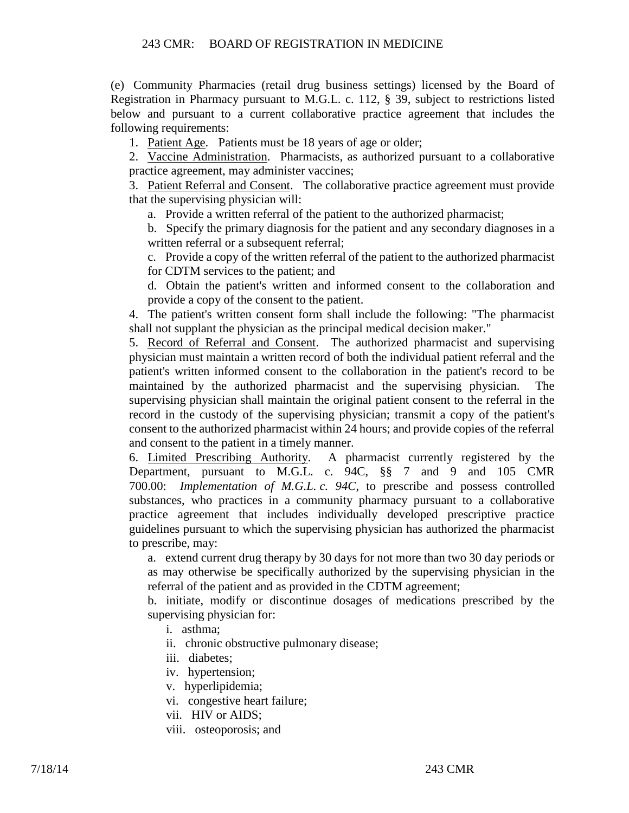(e) Community Pharmacies (retail drug business settings) licensed by the Board of Registration in Pharmacy pursuant to M.G.L. c. 112, § 39, subject to restrictions listed below and pursuant to a current collaborative practice agreement that includes the following requirements:

1. Patient Age. Patients must be 18 years of age or older;

2. Vaccine Administration. Pharmacists, as authorized pursuant to a collaborative practice agreement, may administer vaccines;

3. Patient Referral and Consent. The collaborative practice agreement must provide that the supervising physician will:

a. Provide a written referral of the patient to the authorized pharmacist;

b. Specify the primary diagnosis for the patient and any secondary diagnoses in a written referral or a subsequent referral;

c. Provide a copy of the written referral of the patient to the authorized pharmacist for CDTM services to the patient; and

d. Obtain the patient's written and informed consent to the collaboration and provide a copy of the consent to the patient.

4. The patient's written consent form shall include the following: "The pharmacist shall not supplant the physician as the principal medical decision maker."

5. Record of Referral and Consent. The authorized pharmacist and supervising physician must maintain a written record of both the individual patient referral and the patient's written informed consent to the collaboration in the patient's record to be maintained by the authorized pharmacist and the supervising physician. The supervising physician shall maintain the original patient consent to the referral in the record in the custody of the supervising physician; transmit a copy of the patient's consent to the authorized pharmacist within 24 hours; and provide copies of the referral and consent to the patient in a timely manner.

6. Limited Prescribing Authority. A pharmacist currently registered by the Department, pursuant to M.G.L. c. 94C, §§ 7 and 9 and 105 CMR 700.00: *Implementation of M.G.L. c. 94C*, to prescribe and possess controlled substances, who practices in a community pharmacy pursuant to a collaborative practice agreement that includes individually developed prescriptive practice guidelines pursuant to which the supervising physician has authorized the pharmacist to prescribe, may:

a. extend current drug therapy by 30 days for not more than two 30 day periods or as may otherwise be specifically authorized by the supervising physician in the referral of the patient and as provided in the CDTM agreement;

b. initiate, modify or discontinue dosages of medications prescribed by the supervising physician for:

- i. asthma;
- ii. chronic obstructive pulmonary disease;
- iii. diabetes;
- iv. hypertension;
- v. hyperlipidemia;
- vi. congestive heart failure;
- vii. HIV or AIDS;
- viii. osteoporosis; and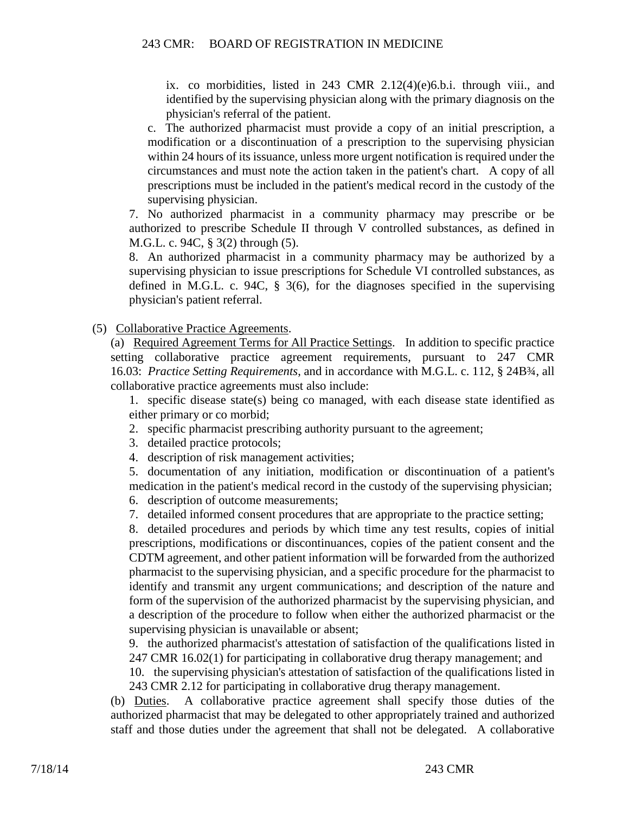ix. co morbidities, listed in 243 CMR 2.12(4)(e)6.b.i. through viii., and identified by the supervising physician along with the primary diagnosis on the physician's referral of the patient.

c. The authorized pharmacist must provide a copy of an initial prescription, a modification or a discontinuation of a prescription to the supervising physician within 24 hours of its issuance, unless more urgent notification is required under the circumstances and must note the action taken in the patient's chart. A copy of all prescriptions must be included in the patient's medical record in the custody of the supervising physician.

7. No authorized pharmacist in a community pharmacy may prescribe or be authorized to prescribe Schedule II through V controlled substances, as defined in M.G.L. c. 94C, § 3(2) through (5).

8. An authorized pharmacist in a community pharmacy may be authorized by a supervising physician to issue prescriptions for Schedule VI controlled substances, as defined in M.G.L. c. 94C, § 3(6), for the diagnoses specified in the supervising physician's patient referral.

(5) Collaborative Practice Agreements.

(a) Required Agreement Terms for All Practice Settings. In addition to specific practice setting collaborative practice agreement requirements, pursuant to 247 CMR 16.03: *Practice Setting Requirements*, and in accordance with M.G.L. c. 112, § 24B¾, all collaborative practice agreements must also include:

1. specific disease state(s) being co managed, with each disease state identified as either primary or co morbid;

- 2. specific pharmacist prescribing authority pursuant to the agreement;
- 3. detailed practice protocols;
- 4. description of risk management activities;

5. documentation of any initiation, modification or discontinuation of a patient's medication in the patient's medical record in the custody of the supervising physician;

6. description of outcome measurements;

7. detailed informed consent procedures that are appropriate to the practice setting;

8. detailed procedures and periods by which time any test results, copies of initial prescriptions, modifications or discontinuances, copies of the patient consent and the CDTM agreement, and other patient information will be forwarded from the authorized pharmacist to the supervising physician, and a specific procedure for the pharmacist to identify and transmit any urgent communications; and description of the nature and form of the supervision of the authorized pharmacist by the supervising physician, and a description of the procedure to follow when either the authorized pharmacist or the supervising physician is unavailable or absent;

9. the authorized pharmacist's attestation of satisfaction of the qualifications listed in 247 CMR 16.02(1) for participating in collaborative drug therapy management; and

10. the supervising physician's attestation of satisfaction of the qualifications listed in 243 CMR 2.12 for participating in collaborative drug therapy management.

(b) Duties. A collaborative practice agreement shall specify those duties of the authorized pharmacist that may be delegated to other appropriately trained and authorized staff and those duties under the agreement that shall not be delegated. A collaborative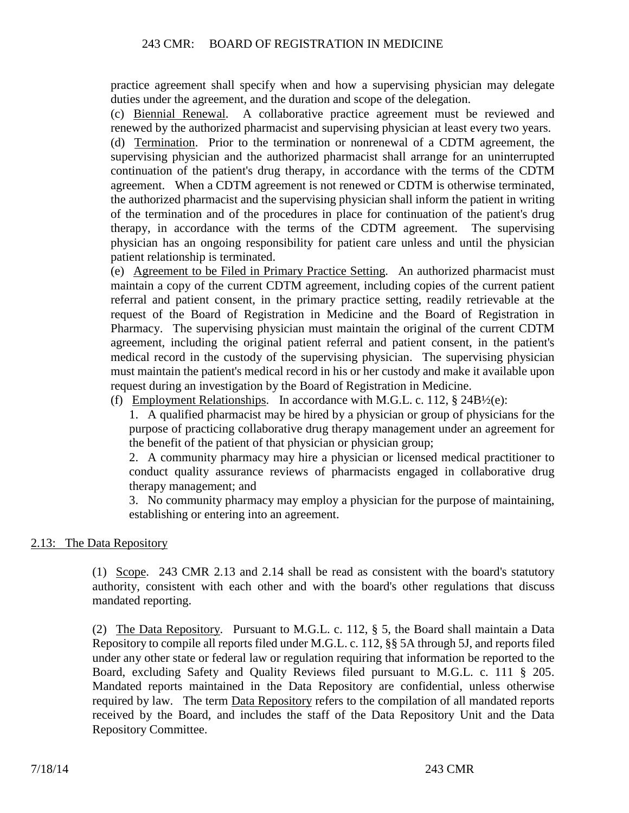practice agreement shall specify when and how a supervising physician may delegate duties under the agreement, and the duration and scope of the delegation.

(c) Biennial Renewal. A collaborative practice agreement must be reviewed and renewed by the authorized pharmacist and supervising physician at least every two years.

(d) Termination. Prior to the termination or nonrenewal of a CDTM agreement, the supervising physician and the authorized pharmacist shall arrange for an uninterrupted continuation of the patient's drug therapy, in accordance with the terms of the CDTM agreement. When a CDTM agreement is not renewed or CDTM is otherwise terminated, the authorized pharmacist and the supervising physician shall inform the patient in writing of the termination and of the procedures in place for continuation of the patient's drug therapy, in accordance with the terms of the CDTM agreement. The supervising physician has an ongoing responsibility for patient care unless and until the physician patient relationship is terminated.

(e) Agreement to be Filed in Primary Practice Setting. An authorized pharmacist must maintain a copy of the current CDTM agreement, including copies of the current patient referral and patient consent, in the primary practice setting, readily retrievable at the request of the Board of Registration in Medicine and the Board of Registration in Pharmacy. The supervising physician must maintain the original of the current CDTM agreement, including the original patient referral and patient consent, in the patient's medical record in the custody of the supervising physician. The supervising physician must maintain the patient's medical record in his or her custody and make it available upon request during an investigation by the Board of Registration in Medicine.

(f) Employment Relationships. In accordance with M.G.L. c. 112,  $\S$  24B $\frac{1}{2}$ (e):

1. A qualified pharmacist may be hired by a physician or group of physicians for the purpose of practicing collaborative drug therapy management under an agreement for the benefit of the patient of that physician or physician group;

2. A community pharmacy may hire a physician or licensed medical practitioner to conduct quality assurance reviews of pharmacists engaged in collaborative drug therapy management; and

3. No community pharmacy may employ a physician for the purpose of maintaining, establishing or entering into an agreement.

# 2.13: The Data Repository

(1) Scope. 243 CMR 2.13 and 2.14 shall be read as consistent with the board's statutory authority, consistent with each other and with the board's other regulations that discuss mandated reporting.

(2) The Data Repository. Pursuant to M.G.L. c. 112, § 5, the Board shall maintain a Data Repository to compile all reports filed under M.G.L. c. 112, §§ 5A through 5J, and reports filed under any other state or federal law or regulation requiring that information be reported to the Board, excluding Safety and Quality Reviews filed pursuant to M.G.L. c. 111 § 205. Mandated reports maintained in the Data Repository are confidential, unless otherwise required by law. The term Data Repository refers to the compilation of all mandated reports received by the Board, and includes the staff of the Data Repository Unit and the Data Repository Committee.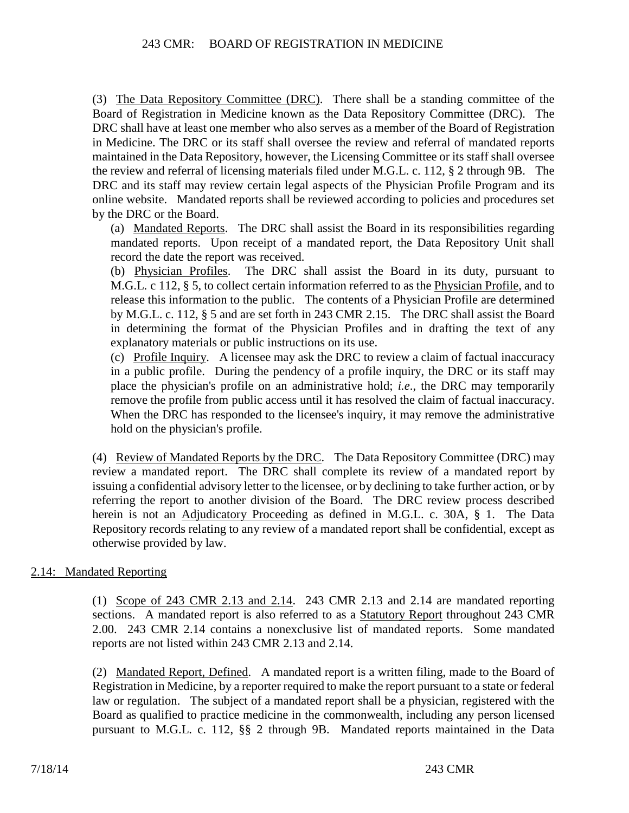(3) The Data Repository Committee (DRC). There shall be a standing committee of the Board of Registration in Medicine known as the Data Repository Committee (DRC). The DRC shall have at least one member who also serves as a member of the Board of Registration in Medicine. The DRC or its staff shall oversee the review and referral of mandated reports maintained in the Data Repository, however, the Licensing Committee or its staff shall oversee the review and referral of licensing materials filed under M.G.L. c. 112, § 2 through 9B. The DRC and its staff may review certain legal aspects of the Physician Profile Program and its online website. Mandated reports shall be reviewed according to policies and procedures set by the DRC or the Board.

(a) Mandated Reports. The DRC shall assist the Board in its responsibilities regarding mandated reports. Upon receipt of a mandated report, the Data Repository Unit shall record the date the report was received.

(b) Physician Profiles. The DRC shall assist the Board in its duty, pursuant to M.G.L. c 112, § 5, to collect certain information referred to as the Physician Profile, and to release this information to the public. The contents of a Physician Profile are determined by M.G.L. c. 112, § 5 and are set forth in 243 CMR 2.15. The DRC shall assist the Board in determining the format of the Physician Profiles and in drafting the text of any explanatory materials or public instructions on its use.

(c) Profile Inquiry. A licensee may ask the DRC to review a claim of factual inaccuracy in a public profile. During the pendency of a profile inquiry, the DRC or its staff may place the physician's profile on an administrative hold; *i.e*., the DRC may temporarily remove the profile from public access until it has resolved the claim of factual inaccuracy. When the DRC has responded to the licensee's inquiry, it may remove the administrative hold on the physician's profile.

(4) Review of Mandated Reports by the DRC. The Data Repository Committee (DRC) may review a mandated report. The DRC shall complete its review of a mandated report by issuing a confidential advisory letter to the licensee, or by declining to take further action, or by referring the report to another division of the Board. The DRC review process described herein is not an Adjudicatory Proceeding as defined in M.G.L. c. 30A, § 1. The Data Repository records relating to any review of a mandated report shall be confidential, except as otherwise provided by law.

# 2.14: Mandated Reporting

(1) Scope of 243 CMR 2.13 and 2.14. 243 CMR 2.13 and 2.14 are mandated reporting sections. A mandated report is also referred to as a Statutory Report throughout 243 CMR 2.00. 243 CMR 2.14 contains a nonexclusive list of mandated reports. Some mandated reports are not listed within 243 CMR 2.13 and 2.14.

(2) Mandated Report, Defined. A mandated report is a written filing, made to the Board of Registration in Medicine, by a reporter required to make the report pursuant to a state or federal law or regulation. The subject of a mandated report shall be a physician, registered with the Board as qualified to practice medicine in the commonwealth, including any person licensed pursuant to M.G.L. c. 112, §§ 2 through 9B. Mandated reports maintained in the Data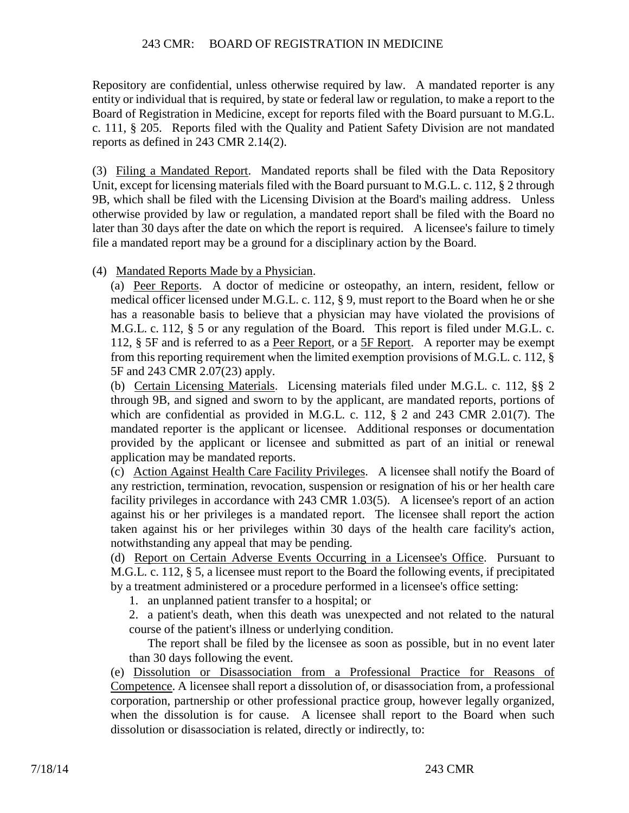Repository are confidential, unless otherwise required by law. A mandated reporter is any entity or individual that is required, by state or federal law or regulation, to make a report to the Board of Registration in Medicine, except for reports filed with the Board pursuant to M.G.L. c. 111, § 205. Reports filed with the Quality and Patient Safety Division are not mandated reports as defined in 243 CMR 2.14(2).

(3) Filing a Mandated Report. Mandated reports shall be filed with the Data Repository Unit, except for licensing materials filed with the Board pursuant to M.G.L. c. 112, § 2 through 9B, which shall be filed with the Licensing Division at the Board's mailing address. Unless otherwise provided by law or regulation, a mandated report shall be filed with the Board no later than 30 days after the date on which the report is required. A licensee's failure to timely file a mandated report may be a ground for a disciplinary action by the Board.

(4) Mandated Reports Made by a Physician.

(a) Peer Reports. A doctor of medicine or osteopathy, an intern, resident, fellow or medical officer licensed under M.G.L. c. 112, § 9, must report to the Board when he or she has a reasonable basis to believe that a physician may have violated the provisions of M.G.L. c. 112, § 5 or any regulation of the Board. This report is filed under M.G.L. c. 112, § 5F and is referred to as a Peer Report, or a 5F Report. A reporter may be exempt from this reporting requirement when the limited exemption provisions of M.G.L. c. 112, § 5F and 243 CMR 2.07(23) apply.

(b) Certain Licensing Materials. Licensing materials filed under M.G.L. c. 112, §§ 2 through 9B, and signed and sworn to by the applicant, are mandated reports, portions of which are confidential as provided in M.G.L. c. 112, § 2 and 243 CMR 2.01(7). The mandated reporter is the applicant or licensee. Additional responses or documentation provided by the applicant or licensee and submitted as part of an initial or renewal application may be mandated reports.

(c) Action Against Health Care Facility Privileges. A licensee shall notify the Board of any restriction, termination, revocation, suspension or resignation of his or her health care facility privileges in accordance with 243 CMR 1.03(5). A licensee's report of an action against his or her privileges is a mandated report. The licensee shall report the action taken against his or her privileges within 30 days of the health care facility's action, notwithstanding any appeal that may be pending.

(d) Report on Certain Adverse Events Occurring in a Licensee's Office. Pursuant to M.G.L. c. 112, § 5, a licensee must report to the Board the following events, if precipitated by a treatment administered or a procedure performed in a licensee's office setting:

1. an unplanned patient transfer to a hospital; or

2. a patient's death, when this death was unexpected and not related to the natural course of the patient's illness or underlying condition.

The report shall be filed by the licensee as soon as possible, but in no event later than 30 days following the event.

(e) Dissolution or Disassociation from a Professional Practice for Reasons of Competence. A licensee shall report a dissolution of, or disassociation from, a professional corporation, partnership or other professional practice group, however legally organized, when the dissolution is for cause. A licensee shall report to the Board when such dissolution or disassociation is related, directly or indirectly, to: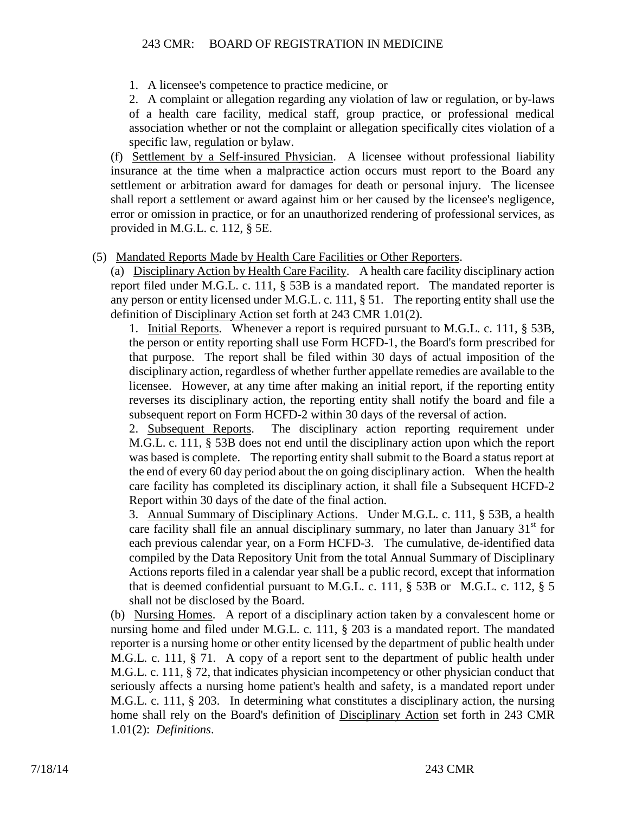1. A licensee's competence to practice medicine, or

2. A complaint or allegation regarding any violation of law or regulation, or by-laws of a health care facility, medical staff, group practice, or professional medical association whether or not the complaint or allegation specifically cites violation of a specific law, regulation or bylaw.

(f) Settlement by a Self-insured Physician. A licensee without professional liability insurance at the time when a malpractice action occurs must report to the Board any settlement or arbitration award for damages for death or personal injury. The licensee shall report a settlement or award against him or her caused by the licensee's negligence, error or omission in practice, or for an unauthorized rendering of professional services, as provided in M.G.L. c. 112, § 5E.

(5) Mandated Reports Made by Health Care Facilities or Other Reporters.

(a) Disciplinary Action by Health Care Facility. A health care facility disciplinary action report filed under M.G.L. c. 111, § 53B is a mandated report. The mandated reporter is any person or entity licensed under M.G.L. c. 111, § 51. The reporting entity shall use the definition of Disciplinary Action set forth at 243 CMR 1.01(2).

1. Initial Reports. Whenever a report is required pursuant to M.G.L. c. 111, § 53B, the person or entity reporting shall use Form HCFD-1, the Board's form prescribed for that purpose. The report shall be filed within 30 days of actual imposition of the disciplinary action, regardless of whether further appellate remedies are available to the licensee. However, at any time after making an initial report, if the reporting entity reverses its disciplinary action, the reporting entity shall notify the board and file a subsequent report on Form HCFD-2 within 30 days of the reversal of action.

2. Subsequent Reports. The disciplinary action reporting requirement under M.G.L. c. 111, § 53B does not end until the disciplinary action upon which the report was based is complete. The reporting entity shall submit to the Board a status report at the end of every 60 day period about the on going disciplinary action. When the health care facility has completed its disciplinary action, it shall file a Subsequent HCFD-2 Report within 30 days of the date of the final action.

3. Annual Summary of Disciplinary Actions. Under M.G.L. c. 111, § 53B, a health care facility shall file an annual disciplinary summary, no later than January  $31<sup>st</sup>$  for each previous calendar year, on a Form HCFD-3. The cumulative, de-identified data compiled by the Data Repository Unit from the total Annual Summary of Disciplinary Actions reports filed in a calendar year shall be a public record, except that information that is deemed confidential pursuant to M.G.L. c. 111, § 53B or M.G.L. c. 112, § 5 shall not be disclosed by the Board.

(b) Nursing Homes. A report of a disciplinary action taken by a convalescent home or nursing home and filed under M.G.L. c. 111, § 203 is a mandated report. The mandated reporter is a nursing home or other entity licensed by the department of public health under M.G.L. c. 111, § 71. A copy of a report sent to the department of public health under M.G.L. c. 111, § 72, that indicates physician incompetency or other physician conduct that seriously affects a nursing home patient's health and safety, is a mandated report under M.G.L. c. 111, § 203. In determining what constitutes a disciplinary action, the nursing home shall rely on the Board's definition of Disciplinary Action set forth in 243 CMR 1.01(2): *Definitions*.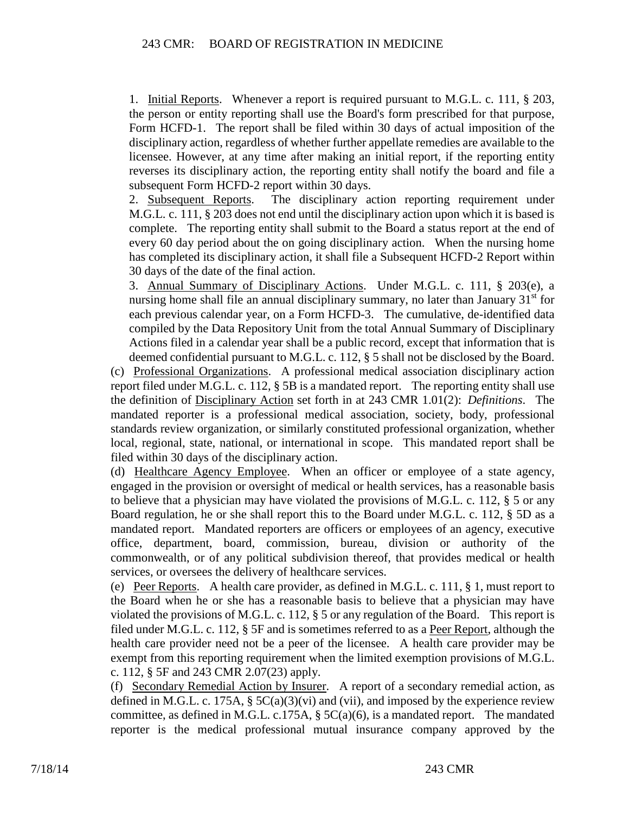1. Initial Reports. Whenever a report is required pursuant to M.G.L. c. 111, § 203, the person or entity reporting shall use the Board's form prescribed for that purpose, Form HCFD-1. The report shall be filed within 30 days of actual imposition of the disciplinary action, regardless of whether further appellate remedies are available to the licensee. However, at any time after making an initial report, if the reporting entity reverses its disciplinary action, the reporting entity shall notify the board and file a subsequent Form HCFD-2 report within 30 days.

2. Subsequent Reports. The disciplinary action reporting requirement under M.G.L. c. 111, § 203 does not end until the disciplinary action upon which it is based is complete. The reporting entity shall submit to the Board a status report at the end of every 60 day period about the on going disciplinary action. When the nursing home has completed its disciplinary action, it shall file a Subsequent HCFD-2 Report within 30 days of the date of the final action.

3. Annual Summary of Disciplinary Actions. Under M.G.L. c. 111, § 203(e), a nursing home shall file an annual disciplinary summary, no later than January  $31<sup>st</sup>$  for each previous calendar year, on a Form HCFD-3. The cumulative, de-identified data compiled by the Data Repository Unit from the total Annual Summary of Disciplinary Actions filed in a calendar year shall be a public record, except that information that is deemed confidential pursuant to M.G.L. c. 112, § 5 shall not be disclosed by the Board.

(c) Professional Organizations. A professional medical association disciplinary action report filed under M.G.L. c. 112, § 5B is a mandated report. The reporting entity shall use the definition of Disciplinary Action set forth in at 243 CMR 1.01(2): *Definitions*. The mandated reporter is a professional medical association, society, body, professional standards review organization, or similarly constituted professional organization, whether local, regional, state, national, or international in scope. This mandated report shall be filed within 30 days of the disciplinary action.

(d) Healthcare Agency Employee. When an officer or employee of a state agency, engaged in the provision or oversight of medical or health services, has a reasonable basis to believe that a physician may have violated the provisions of M.G.L. c. 112,  $\S$  5 or any Board regulation, he or she shall report this to the Board under M.G.L. c. 112, § 5D as a mandated report. Mandated reporters are officers or employees of an agency, executive office, department, board, commission, bureau, division or authority of the commonwealth, or of any political subdivision thereof, that provides medical or health services, or oversees the delivery of healthcare services.

(e) Peer Reports. A health care provider, as defined in M.G.L. c. 111, § 1, must report to the Board when he or she has a reasonable basis to believe that a physician may have violated the provisions of M.G.L. c. 112, § 5 or any regulation of the Board. This report is filed under M.G.L. c. 112, § 5F and is sometimes referred to as a Peer Report, although the health care provider need not be a peer of the licensee. A health care provider may be exempt from this reporting requirement when the limited exemption provisions of M.G.L. c. 112, § 5F and 243 CMR 2.07(23) apply.

(f) Secondary Remedial Action by Insurer. A report of a secondary remedial action, as defined in M.G.L. c. 175A,  $\S 5C(a)(3)(vi)$  and (vii), and imposed by the experience review committee, as defined in M.G.L. c.175A,  $\S 5C(a)(6)$ , is a mandated report. The mandated reporter is the medical professional mutual insurance company approved by the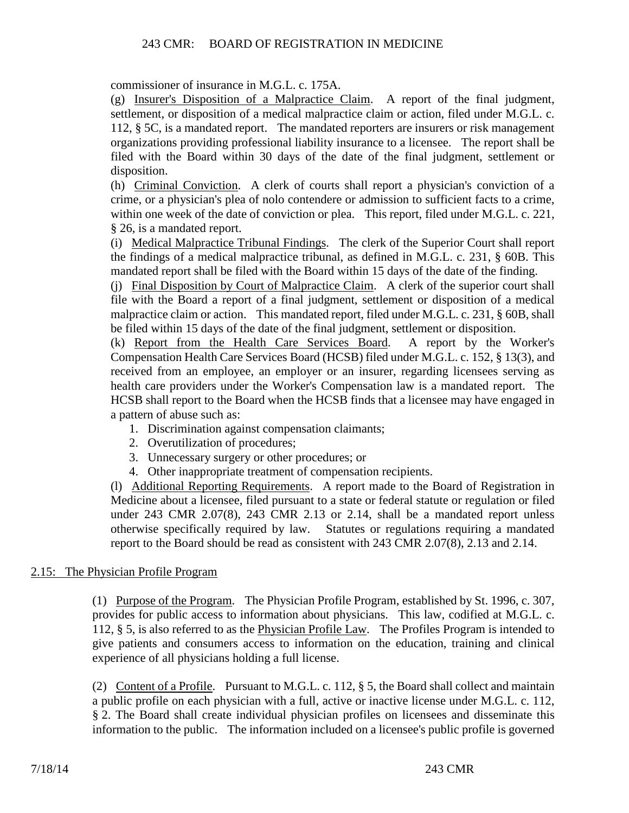commissioner of insurance in M.G.L. c. 175A.

(g) Insurer's Disposition of a Malpractice Claim. A report of the final judgment, settlement, or disposition of a medical malpractice claim or action, filed under M.G.L. c. 112, § 5C, is a mandated report. The mandated reporters are insurers or risk management organizations providing professional liability insurance to a licensee. The report shall be filed with the Board within 30 days of the date of the final judgment, settlement or disposition.

(h) Criminal Conviction. A clerk of courts shall report a physician's conviction of a crime, or a physician's plea of nolo contendere or admission to sufficient facts to a crime, within one week of the date of conviction or plea. This report, filed under M.G.L. c. 221, § 26, is a mandated report.

(i) Medical Malpractice Tribunal Findings. The clerk of the Superior Court shall report the findings of a medical malpractice tribunal, as defined in M.G.L. c. 231, § 60B. This mandated report shall be filed with the Board within 15 days of the date of the finding.

(j) Final Disposition by Court of Malpractice Claim. A clerk of the superior court shall file with the Board a report of a final judgment, settlement or disposition of a medical malpractice claim or action. This mandated report, filed under M.G.L. c. 231, § 60B, shall be filed within 15 days of the date of the final judgment, settlement or disposition.

(k) Report from the Health Care Services Board. A report by the Worker's Compensation Health Care Services Board (HCSB) filed under M.G.L. c. 152, § 13(3), and received from an employee, an employer or an insurer, regarding licensees serving as health care providers under the Worker's Compensation law is a mandated report. The HCSB shall report to the Board when the HCSB finds that a licensee may have engaged in a pattern of abuse such as:

- 1. Discrimination against compensation claimants;
- 2. Overutilization of procedures;
- 3. Unnecessary surgery or other procedures; or
- 4. Other inappropriate treatment of compensation recipients.

(l) Additional Reporting Requirements. A report made to the Board of Registration in Medicine about a licensee, filed pursuant to a state or federal statute or regulation or filed under 243 CMR 2.07(8), 243 CMR 2.13 or 2.14, shall be a mandated report unless otherwise specifically required by law. Statutes or regulations requiring a mandated report to the Board should be read as consistent with 243 CMR 2.07(8), 2.13 and 2.14.

# 2.15: The Physician Profile Program

(1) Purpose of the Program. The Physician Profile Program, established by St. 1996, c. 307, provides for public access to information about physicians. This law, codified at M.G.L. c. 112, § 5, is also referred to as the Physician Profile Law. The Profiles Program is intended to give patients and consumers access to information on the education, training and clinical experience of all physicians holding a full license.

(2) Content of a Profile. Pursuant to M.G.L. c. 112,  $\S$  5, the Board shall collect and maintain a public profile on each physician with a full, active or inactive license under M.G.L. c. 112, § 2. The Board shall create individual physician profiles on licensees and disseminate this information to the public. The information included on a licensee's public profile is governed